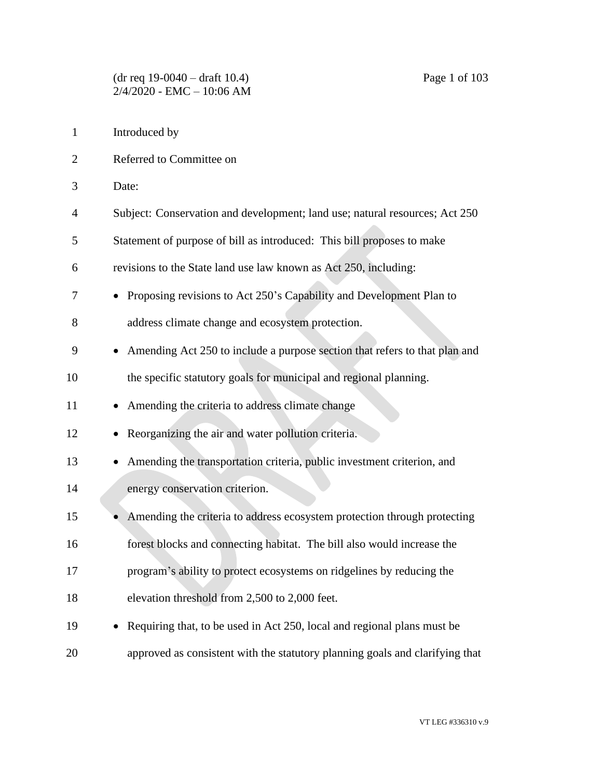- Referred to Committee on
- Date:
- Subject: Conservation and development; land use; natural resources; Act 250
- Statement of purpose of bill as introduced: This bill proposes to make
- revisions to the State land use law known as Act 250, including:
- Proposing revisions to Act 250's Capability and Development Plan to

address climate change and ecosystem protection.

- Amending Act 250 to include a purpose section that refers to that plan and
- the specific statutory goals for municipal and regional planning.
- 11 Amending the criteria to address climate change
- Reorganizing the air and water pollution criteria.
- 13 Amending the transportation criteria, public investment criterion, and energy conservation criterion.
- 15 Amending the criteria to address ecosystem protection through protecting forest blocks and connecting habitat. The bill also would increase the
- program's ability to protect ecosystems on ridgelines by reducing the
- elevation threshold from 2,500 to 2,000 feet.
- 19 Requiring that, to be used in Act 250, local and regional plans must be approved as consistent with the statutory planning goals and clarifying that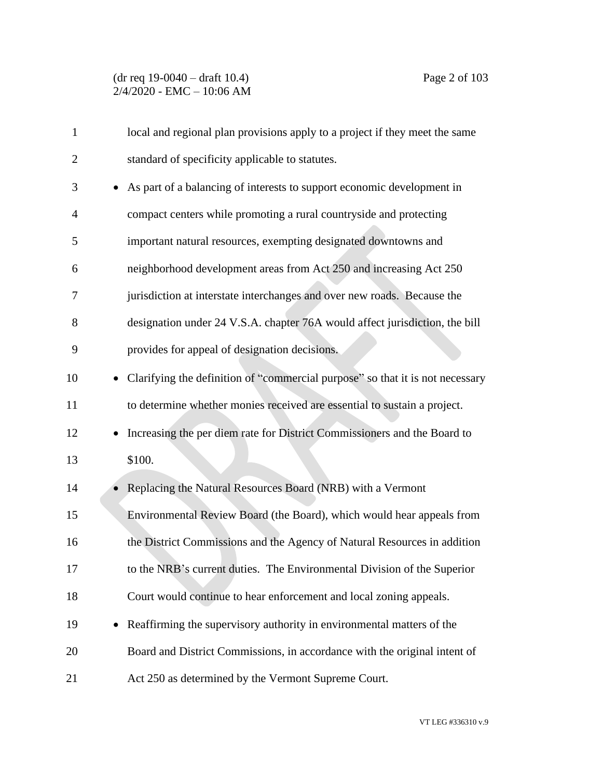| $\mathbf{1}$   | local and regional plan provisions apply to a project if they meet the same           |
|----------------|---------------------------------------------------------------------------------------|
| $\overline{2}$ | standard of specificity applicable to statutes.                                       |
| 3              | As part of a balancing of interests to support economic development in<br>$\bullet$   |
| 4              | compact centers while promoting a rural countryside and protecting                    |
| 5              | important natural resources, exempting designated downtowns and                       |
| 6              | neighborhood development areas from Act 250 and increasing Act 250                    |
| 7              | jurisdiction at interstate interchanges and over new roads. Because the               |
| 8              | designation under 24 V.S.A. chapter 76A would affect jurisdiction, the bill           |
| 9              | provides for appeal of designation decisions.                                         |
| 10             | Clarifying the definition of "commercial purpose" so that it is not necessary         |
| 11             | to determine whether monies received are essential to sustain a project.              |
| 12             | Increasing the per diem rate for District Commissioners and the Board to<br>$\bullet$ |
| 13             | \$100.                                                                                |
| 14             | Replacing the Natural Resources Board (NRB) with a Vermont<br>$\bullet$               |
| 15             | Environmental Review Board (the Board), which would hear appeals from                 |
| 16             | the District Commissions and the Agency of Natural Resources in addition              |
| 17             | to the NRB's current duties. The Environmental Division of the Superior               |
| 18             | Court would continue to hear enforcement and local zoning appeals.                    |
| 19             | Reaffirming the supervisory authority in environmental matters of the                 |
| 20             | Board and District Commissions, in accordance with the original intent of             |
| 21             | Act 250 as determined by the Vermont Supreme Court.                                   |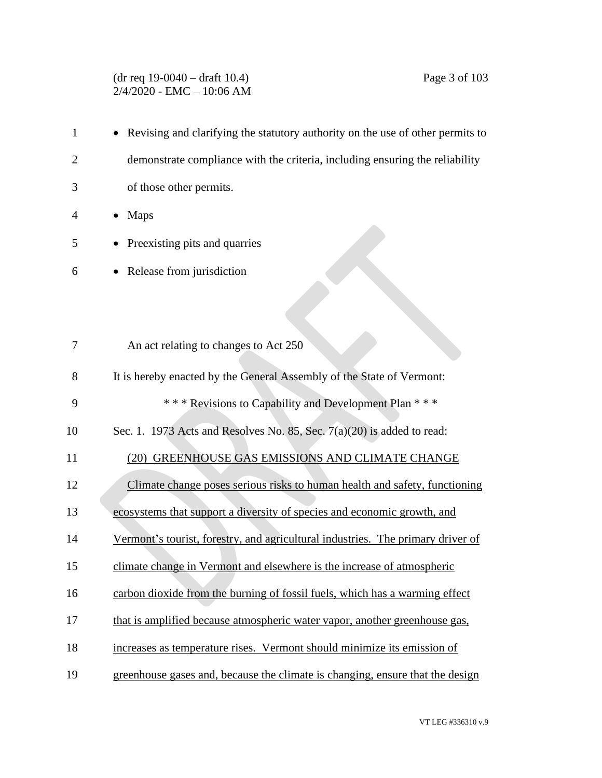# (dr req 19-0040 – draft 10.4) Page 3 of 103 2/4/2020 - EMC – 10:06 AM

| $\mathbf{1}$   | Revising and clarifying the statutory authority on the use of other permits to  |
|----------------|---------------------------------------------------------------------------------|
| $\overline{2}$ | demonstrate compliance with the criteria, including ensuring the reliability    |
| 3              | of those other permits.                                                         |
| 4              | <b>Maps</b>                                                                     |
| 5              | Preexisting pits and quarries                                                   |
| 6              | Release from jurisdiction                                                       |
|                |                                                                                 |
|                |                                                                                 |
| 7              | An act relating to changes to Act 250                                           |
| 8              | It is hereby enacted by the General Assembly of the State of Vermont:           |
| 9              | *** Revisions to Capability and Development Plan ***                            |
| 10             | Sec. 1. 1973 Acts and Resolves No. 85, Sec. $7(a)(20)$ is added to read:        |
| 11             | (20) GREENHOUSE GAS EMISSIONS AND CLIMATE CHANGE                                |
| 12             | Climate change poses serious risks to human health and safety, functioning      |
| 13             | ecosystems that support a diversity of species and economic growth, and         |
| 14             | Vermont's tourist, forestry, and agricultural industries. The primary driver of |
| 15             | climate change in Vermont and elsewhere is the increase of atmospheric          |
| 16             | carbon dioxide from the burning of fossil fuels, which has a warming effect     |
| 17             | that is amplified because atmospheric water vapor, another greenhouse gas,      |
| 18             | increases as temperature rises. Vermont should minimize its emission of         |
| 19             | greenhouse gases and, because the climate is changing, ensure that the design   |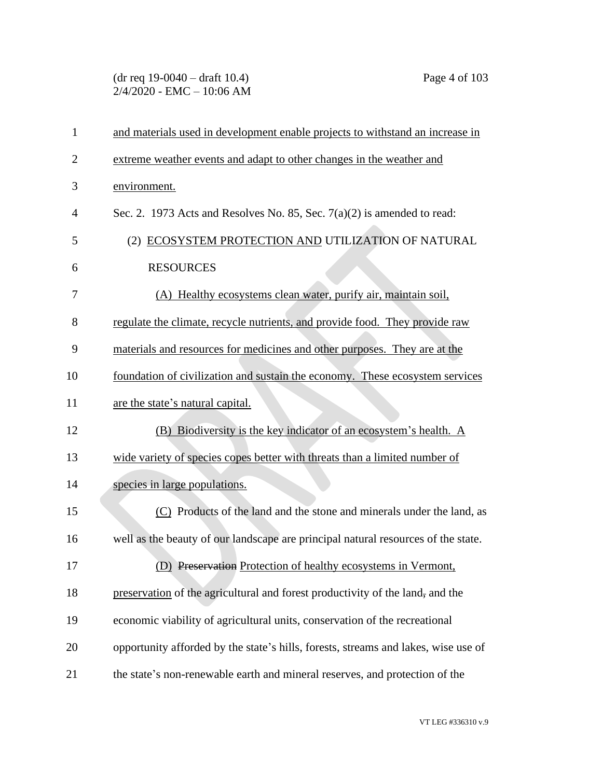## (dr req 19-0040 – draft 10.4) Page 4 of 103 2/4/2020 - EMC – 10:06 AM

| $\mathbf{1}$   | and materials used in development enable projects to withstand an increase in      |
|----------------|------------------------------------------------------------------------------------|
| $\overline{2}$ | extreme weather events and adapt to other changes in the weather and               |
| 3              | environment.                                                                       |
| 4              | Sec. 2. 1973 Acts and Resolves No. 85, Sec. $7(a)(2)$ is amended to read:          |
| 5              | (2) ECOSYSTEM PROTECTION AND UTILIZATION OF NATURAL                                |
| 6              | <b>RESOURCES</b>                                                                   |
| 7              | (A) Healthy ecosystems clean water, purify air, maintain soil,                     |
| 8              | regulate the climate, recycle nutrients, and provide food. They provide raw        |
| 9              | materials and resources for medicines and other purposes. They are at the          |
| 10             | foundation of civilization and sustain the economy. These ecosystem services       |
| 11             | are the state's natural capital.                                                   |
| 12             | (B) Biodiversity is the key indicator of an ecosystem's health. A                  |
| 13             | wide variety of species copes better with threats than a limited number of         |
| 14             | species in large populations.                                                      |
| 15             | (C) Products of the land and the stone and minerals under the land, as             |
| 16             | well as the beauty of our landscape are principal natural resources of the state.  |
| 17             | (D) Preservation Protection of healthy ecosystems in Vermont,                      |
| 18             | preservation of the agricultural and forest productivity of the land, and the      |
| 19             | economic viability of agricultural units, conservation of the recreational         |
| 20             | opportunity afforded by the state's hills, forests, streams and lakes, wise use of |
| 21             | the state's non-renewable earth and mineral reserves, and protection of the        |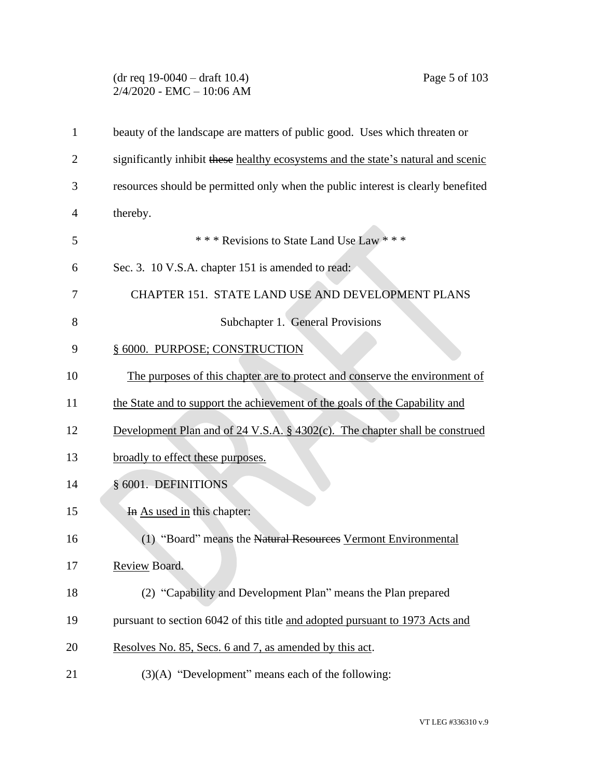# (dr req 19-0040 – draft 10.4) Page 5 of 103 2/4/2020 - EMC – 10:06 AM

| $\mathbf{1}$ | beauty of the landscape are matters of public good. Uses which threaten or        |
|--------------|-----------------------------------------------------------------------------------|
| 2            | significantly inhibit these healthy ecosystems and the state's natural and scenic |
| 3            | resources should be permitted only when the public interest is clearly benefited  |
| 4            | thereby.                                                                          |
| 5            | *** Revisions to State Land Use Law ***                                           |
| 6            | Sec. 3. 10 V.S.A. chapter 151 is amended to read:                                 |
| 7            | CHAPTER 151. STATE LAND USE AND DEVELOPMENT PLANS                                 |
| 8            | Subchapter 1. General Provisions                                                  |
| 9            | § 6000. PURPOSE; CONSTRUCTION                                                     |
| 10           | The purposes of this chapter are to protect and conserve the environment of       |
| 11           | the State and to support the achievement of the goals of the Capability and       |
| 12           | Development Plan and of 24 V.S.A. § 4302(c). The chapter shall be construed       |
| 13           | broadly to effect these purposes.                                                 |
| 14           | § 6001. DEFINITIONS                                                               |
| 15           | In As used in this chapter:                                                       |
| 16           | (1) "Board" means the Natural Resources Vermont Environmental                     |
| 17           | Review Board.                                                                     |
| 18           | (2) "Capability and Development Plan" means the Plan prepared                     |
| 19           | pursuant to section 6042 of this title and adopted pursuant to 1973 Acts and      |
| 20           | Resolves No. 85, Secs. 6 and 7, as amended by this act.                           |
| 21           | $(3)(A)$ "Development" means each of the following:                               |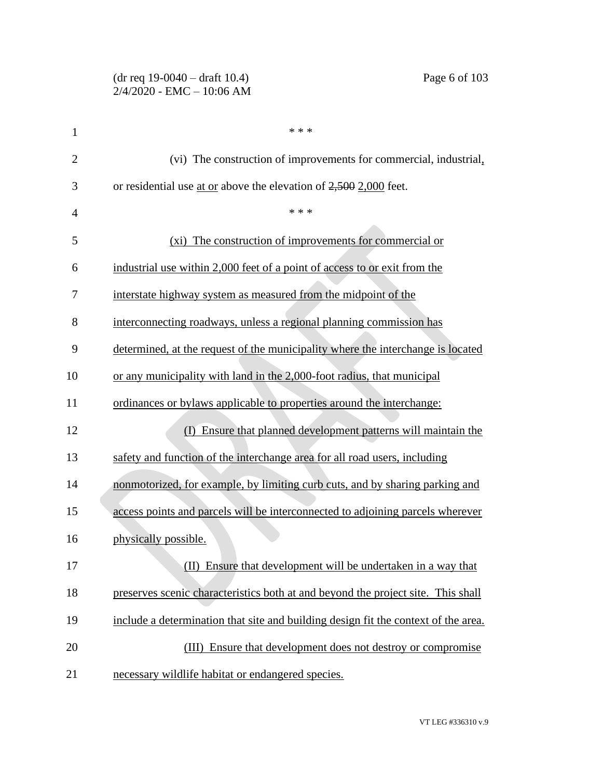#### (dr req 19-0040 – draft 10.4) Page 6 of 103 2/4/2020 - EMC – 10:06 AM

| $\mathbf{1}$   | * * *                                                                              |
|----------------|------------------------------------------------------------------------------------|
| $\overline{2}$ | (vi) The construction of improvements for commercial, industrial,                  |
| 3              | or residential use at or above the elevation of $2,500$ 2,000 feet.                |
| 4              | * * *                                                                              |
| 5              | (xi) The construction of improvements for commercial or                            |
| 6              | industrial use within 2,000 feet of a point of access to or exit from the          |
| 7              | interstate highway system as measured from the midpoint of the                     |
| 8              | interconnecting roadways, unless a regional planning commission has                |
| 9              | determined, at the request of the municipality where the interchange is located    |
| 10             | or any municipality with land in the 2,000-foot radius, that municipal             |
| 11             | ordinances or bylaws applicable to properties around the interchange:              |
| 12             | Ensure that planned development patterns will maintain the<br>$\rm(D)$             |
| 13             | safety and function of the interchange area for all road users, including          |
| 14             | nonmotorized, for example, by limiting curb cuts, and by sharing parking and       |
| 15             | access points and parcels will be interconnected to adjoining parcels wherever     |
| 16             | physically possible.                                                               |
| 17             | (II) Ensure that development will be undertaken in a way that                      |
| 18             | preserves scenic characteristics both at and beyond the project site. This shall   |
| 19             | include a determination that site and building design fit the context of the area. |
| 20             | (III) Ensure that development does not destroy or compromise                       |
| 21             | necessary wildlife habitat or endangered species.                                  |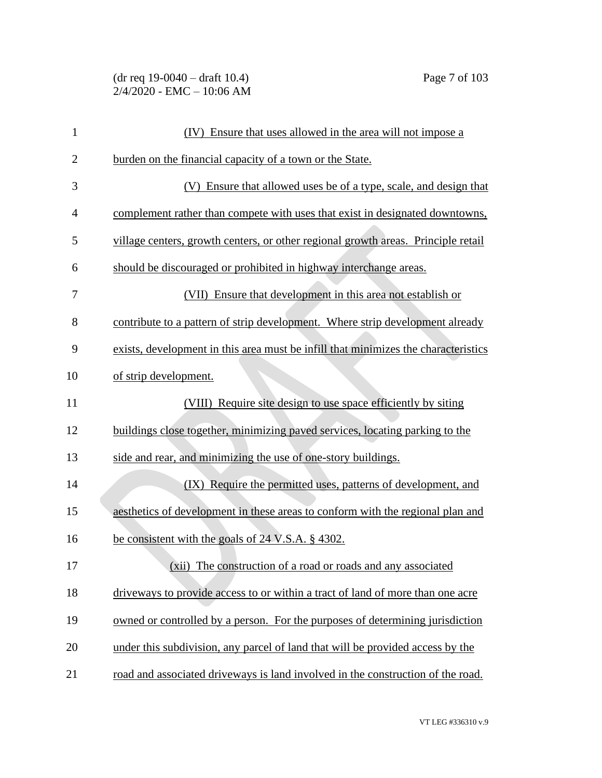(dr req 19-0040 – draft 10.4) Page 7 of 103 2/4/2020 - EMC – 10:06 AM

| $\mathbf{1}$   | (IV) Ensure that uses allowed in the area will not impose a                        |
|----------------|------------------------------------------------------------------------------------|
| $\overline{2}$ | burden on the financial capacity of a town or the State.                           |
| 3              | (V) Ensure that allowed uses be of a type, scale, and design that                  |
| $\overline{4}$ | complement rather than compete with uses that exist in designated downtowns,       |
| 5              | village centers, growth centers, or other regional growth areas. Principle retail  |
| 6              | should be discouraged or prohibited in highway interchange areas.                  |
| 7              | (VII) Ensure that development in this area not establish or                        |
| 8              | contribute to a pattern of strip development. Where strip development already      |
| 9              | exists, development in this area must be infill that minimizes the characteristics |
| 10             | of strip development.                                                              |
| 11             | (VIII) Require site design to use space efficiently by siting                      |
| 12             | buildings close together, minimizing paved services, locating parking to the       |
| 13             | side and rear, and minimizing the use of one-story buildings.                      |
| 14             | (IX) Require the permitted uses, patterns of development, and                      |
| 15             | aesthetics of development in these areas to conform with the regional plan and     |
| 16             | be consistent with the goals of 24 V.S.A. § 4302.                                  |
| 17             | (xii) The construction of a road or roads and any associated                       |
| 18             | driveways to provide access to or within a tract of land of more than one acre     |
| 19             | owned or controlled by a person. For the purposes of determining jurisdiction      |
| 20             | under this subdivision, any parcel of land that will be provided access by the     |
| 21             | road and associated driveways is land involved in the construction of the road.    |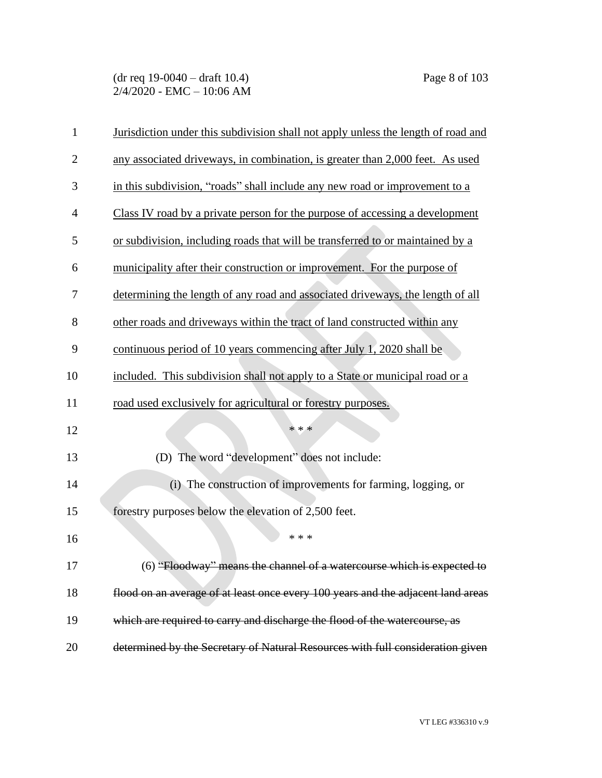| $\mathbf{1}$   | Jurisdiction under this subdivision shall not apply unless the length of road and |
|----------------|-----------------------------------------------------------------------------------|
| $\overline{2}$ | any associated driveways, in combination, is greater than 2,000 feet. As used     |
| 3              | in this subdivision, "roads" shall include any new road or improvement to a       |
| 4              | Class IV road by a private person for the purpose of accessing a development      |
| 5              | or subdivision, including roads that will be transferred to or maintained by a    |
| 6              | municipality after their construction or improvement. For the purpose of          |
| 7              | determining the length of any road and associated driveways, the length of all    |
| 8              | other roads and driveways within the tract of land constructed within any         |
| 9              | continuous period of 10 years commencing after July 1, 2020 shall be              |
| 10             | included. This subdivision shall not apply to a State or municipal road or a      |
| 11             | road used exclusively for agricultural or forestry purposes.                      |
| 12             | * * *                                                                             |
| 13             | (D) The word "development" does not include:                                      |
| 14             | (i) The construction of improvements for farming, logging, or                     |
| 15             | forestry purposes below the elevation of 2,500 feet.                              |
| 16             | * * *                                                                             |
| 17             | (6) "Floodway" means the channel of a watercourse which is expected to            |
| 18             | flood on an average of at least once every 100 years and the adjacent land areas  |
| 19             | which are required to carry and discharge the flood of the watercourse, as        |
| 20             | determined by the Secretary of Natural Resources with full consideration given    |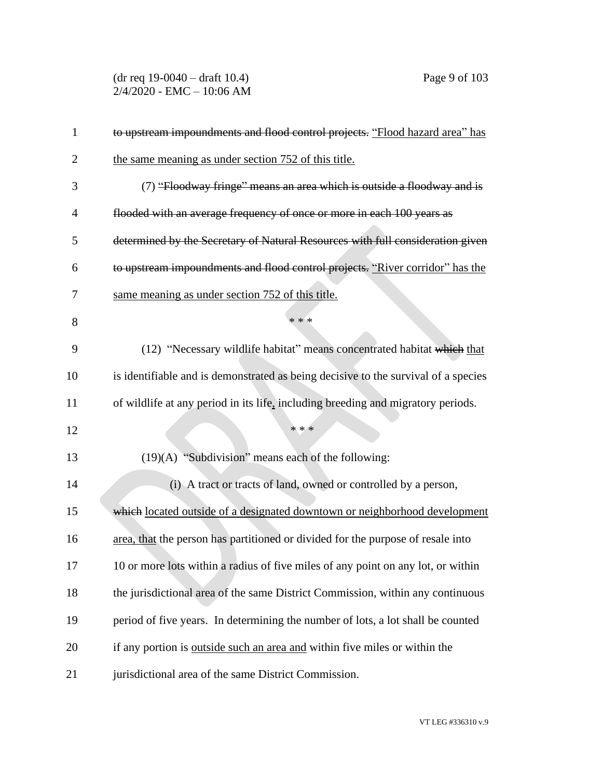(dr req 19-0040 – draft 10.4) Page 9 of 103 2/4/2020 - EMC – 10:06 AM

| $\mathbf{1}$   | to upstream impoundments and flood control projects. "Flood hazard area" has       |
|----------------|------------------------------------------------------------------------------------|
| $\overline{2}$ | the same meaning as under section 752 of this title.                               |
| 3              | (7) "Floodway fringe" means an area which is outside a floodway and is             |
| $\overline{4}$ | flooded with an average frequency of once or more in each 100 years as             |
| 5              | determined by the Secretary of Natural Resources with full consideration given     |
| 6              | to upstream impoundments and flood control projects. "River corridor" has the      |
| 7              | same meaning as under section 752 of this title.                                   |
| 8              | * * *                                                                              |
| 9              | (12) "Necessary wildlife habitat" means concentrated habitat which that            |
| 10             | is identifiable and is demonstrated as being decisive to the survival of a species |
| 11             | of wildlife at any period in its life, including breeding and migratory periods.   |
| 12             | * * *                                                                              |
| 13             | (19)(A) "Subdivision" means each of the following:                                 |
| 14             | (i) A tract or tracts of land, owned or controlled by a person,                    |
| 15             | which located outside of a designated downtown or neighborhood development         |
| 16             | area, that the person has partitioned or divided for the purpose of resale into    |
| 17             | 10 or more lots within a radius of five miles of any point on any lot, or within   |
| 18             | the jurisdictional area of the same District Commission, within any continuous     |
| 19             | period of five years. In determining the number of lots, a lot shall be counted    |
| 20             | if any portion is <u>outside such an area and</u> within five miles or within the  |
| 21             | jurisdictional area of the same District Commission.                               |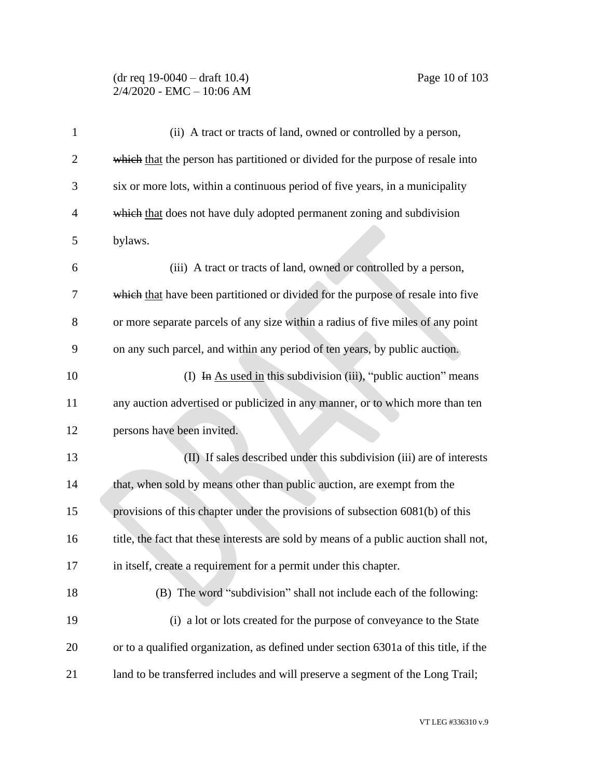#### (dr req 19-0040 – draft 10.4) Page 10 of 103 2/4/2020 - EMC – 10:06 AM

| 1              | (ii) A tract or tracts of land, owned or controlled by a person,                      |
|----------------|---------------------------------------------------------------------------------------|
| $\overline{2}$ | which that the person has partitioned or divided for the purpose of resale into       |
| 3              | six or more lots, within a continuous period of five years, in a municipality         |
| 4              | which that does not have duly adopted permanent zoning and subdivision                |
| 5              | bylaws.                                                                               |
| 6              | (iii) A tract or tracts of land, owned or controlled by a person,                     |
| 7              | which that have been partitioned or divided for the purpose of resale into five       |
| 8              | or more separate parcels of any size within a radius of five miles of any point       |
| 9              | on any such parcel, and within any period of ten years, by public auction.            |
| 10             | (I) In As used in this subdivision (iii), "public auction" means                      |
| 11             | any auction advertised or publicized in any manner, or to which more than ten         |
| 12             | persons have been invited.                                                            |
| 13             | (II) If sales described under this subdivision (iii) are of interests                 |
| 14             | that, when sold by means other than public auction, are exempt from the               |
| 15             | provisions of this chapter under the provisions of subsection 6081(b) of this         |
| 16             | title, the fact that these interests are sold by means of a public auction shall not, |
| 17             | in itself, create a requirement for a permit under this chapter.                      |
| 18             | (B) The word "subdivision" shall not include each of the following:                   |
| 19             | (i) a lot or lots created for the purpose of conveyance to the State                  |
| 20             | or to a qualified organization, as defined under section 6301a of this title, if the  |
| 21             | land to be transferred includes and will preserve a segment of the Long Trail;        |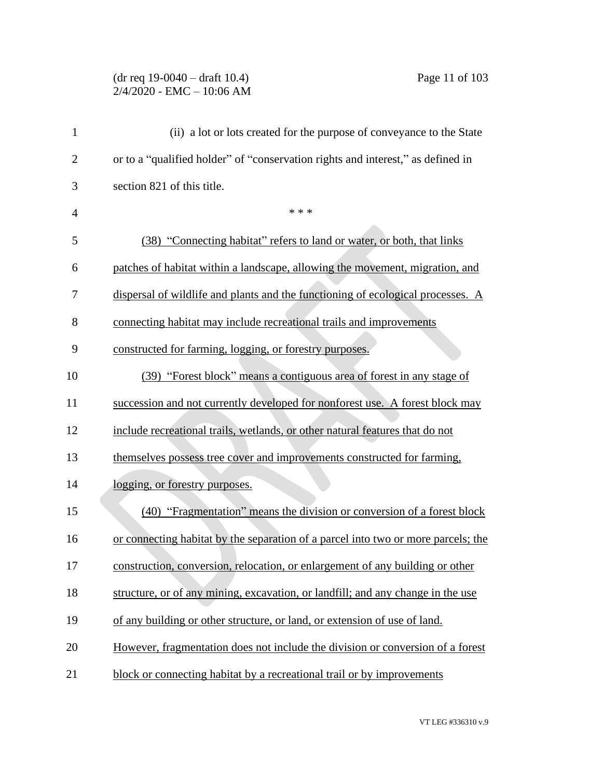## (dr req 19-0040 – draft 10.4) Page 11 of 103 2/4/2020 - EMC – 10:06 AM

| $\mathbf{1}$   | (ii) a lot or lots created for the purpose of conveyance to the State             |
|----------------|-----------------------------------------------------------------------------------|
| $\overline{2}$ | or to a "qualified holder" of "conservation rights and interest," as defined in   |
| 3              | section 821 of this title.                                                        |
| 4              | * * *                                                                             |
| 5              | (38) "Connecting habitat" refers to land or water, or both, that links            |
| 6              | patches of habitat within a landscape, allowing the movement, migration, and      |
| 7              | dispersal of wildlife and plants and the functioning of ecological processes. A   |
| 8              | connecting habitat may include recreational trails and improvements               |
| 9              | constructed for farming, logging, or forestry purposes.                           |
| 10             | (39) "Forest block" means a contiguous area of forest in any stage of             |
| 11             | succession and not currently developed for nonforest use. A forest block may      |
| 12             | include recreational trails, wetlands, or other natural features that do not      |
| 13             | themselves possess tree cover and improvements constructed for farming,           |
| 14             | logging, or forestry purposes.                                                    |
| 15             | (40) "Fragmentation" means the division or conversion of a forest block           |
| 16             | or connecting habitat by the separation of a parcel into two or more parcels; the |
| 17             | construction, conversion, relocation, or enlargement of any building or other     |
| 18             | structure, or of any mining, excavation, or landfill; and any change in the use   |
| 19             | of any building or other structure, or land, or extension of use of land.         |
| 20             | However, fragmentation does not include the division or conversion of a forest    |
| 21             | block or connecting habitat by a recreational trail or by improvements            |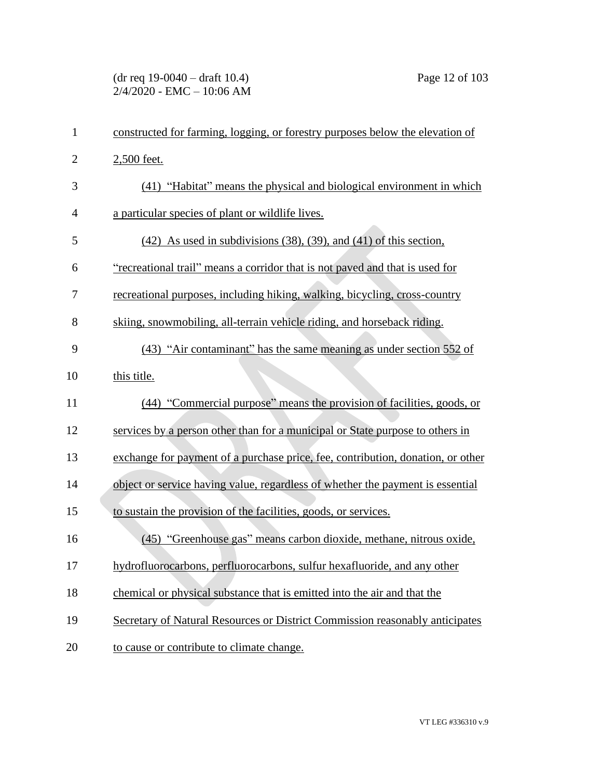# (dr req 19-0040 – draft 10.4) Page 12 of 103 2/4/2020 - EMC – 10:06 AM

| 1              | constructed for farming, logging, or forestry purposes below the elevation of   |
|----------------|---------------------------------------------------------------------------------|
| $\mathbf{2}$   | 2,500 feet.                                                                     |
| 3              | (41) "Habitat" means the physical and biological environment in which           |
| $\overline{4}$ | a particular species of plant or wildlife lives.                                |
| 5              | $(42)$ As used in subdivisions $(38)$ , $(39)$ , and $(41)$ of this section,    |
| 6              | "recreational trail" means a corridor that is not paved and that is used for    |
| 7              | recreational purposes, including hiking, walking, bicycling, cross-country      |
| 8              | skiing, snowmobiling, all-terrain vehicle riding, and horseback riding.         |
| 9              | (43) "Air contaminant" has the same meaning as under section 552 of             |
| 10             | this title.                                                                     |
| 11             | (44) "Commercial purpose" means the provision of facilities, goods, or          |
| 12             | services by a person other than for a municipal or State purpose to others in   |
| 13             | exchange for payment of a purchase price, fee, contribution, donation, or other |
| 14             | object or service having value, regardless of whether the payment is essential  |
| 15             | to sustain the provision of the facilities, goods, or services.                 |
| 16             | (45) "Greenhouse gas" means carbon dioxide, methane, nitrous oxide,             |
| 17             | hydrofluorocarbons, perfluorocarbons, sulfur hexafluoride, and any other        |
| 18             | chemical or physical substance that is emitted into the air and that the        |
| 19             | Secretary of Natural Resources or District Commission reasonably anticipates    |
| 20             | to cause or contribute to climate change.                                       |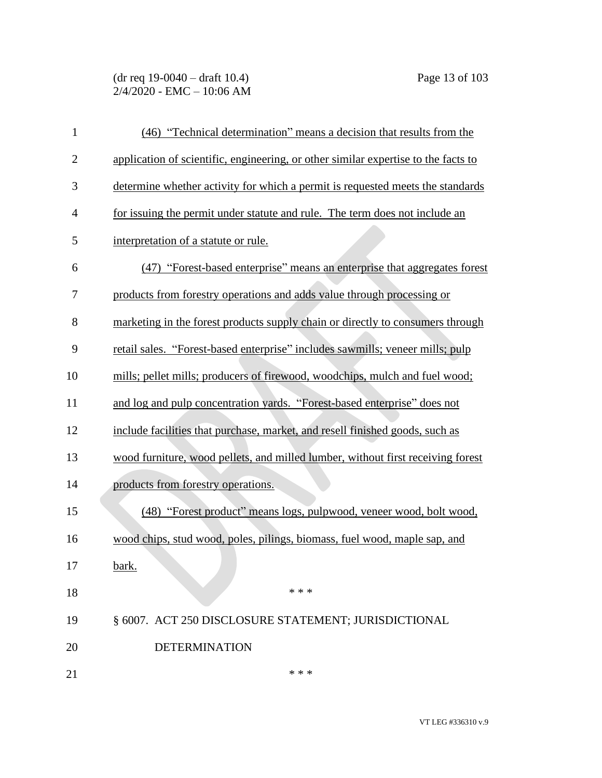# (dr req 19-0040 – draft 10.4) Page 13 of 103 2/4/2020 - EMC – 10:06 AM

| $\mathbf{1}$   | (46) "Technical determination" means a decision that results from the              |
|----------------|------------------------------------------------------------------------------------|
| $\overline{2}$ | application of scientific, engineering, or other similar expertise to the facts to |
| 3              | determine whether activity for which a permit is requested meets the standards     |
| 4              | for issuing the permit under statute and rule. The term does not include an        |
| 5              | interpretation of a statute or rule.                                               |
| 6              | (47) "Forest-based enterprise" means an enterprise that aggregates forest          |
| 7              | products from forestry operations and adds value through processing or             |
| 8              | marketing in the forest products supply chain or directly to consumers through     |
| 9              | retail sales. "Forest-based enterprise" includes sawmills; veneer mills; pulp      |
| 10             | mills; pellet mills; producers of firewood, woodchips, mulch and fuel wood;        |
| 11             | and log and pulp concentration yards. "Forest-based enterprise" does not           |
| 12             | include facilities that purchase, market, and resell finished goods, such as       |
| 13             | wood furniture, wood pellets, and milled lumber, without first receiving forest    |
| 14             | products from forestry operations.                                                 |
| 15             | (48) "Forest product" means logs, pulpwood, veneer wood, bolt wood,                |
| 16             | wood chips, stud wood, poles, pilings, biomass, fuel wood, maple sap, and          |
| 17             | bark.                                                                              |
| 18             | * * *                                                                              |
| 19             | § 6007. ACT 250 DISCLOSURE STATEMENT; JURISDICTIONAL                               |
| 20             | <b>DETERMINATION</b>                                                               |
| 21             | * * *                                                                              |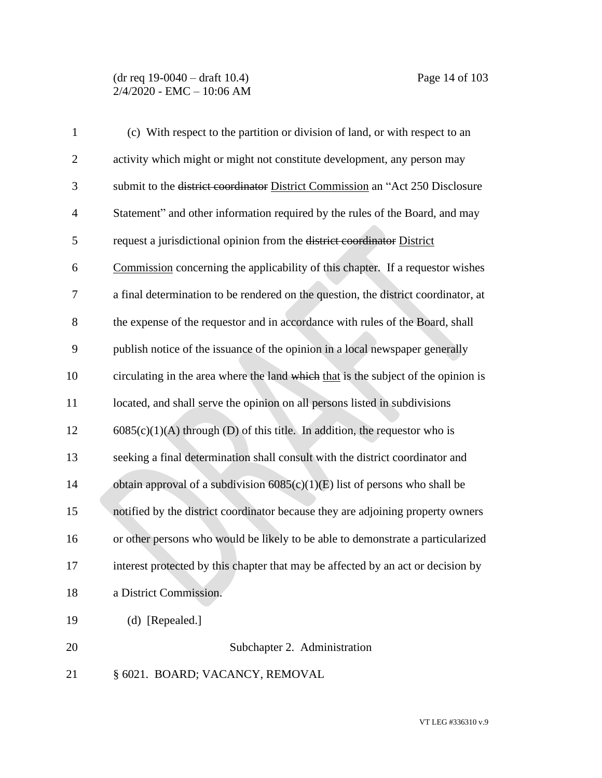# (dr req 19-0040 – draft 10.4) Page 14 of 103 2/4/2020 - EMC – 10:06 AM

| $\mathbf{1}$   | (c) With respect to the partition or division of land, or with respect to an       |
|----------------|------------------------------------------------------------------------------------|
| $\overline{2}$ | activity which might or might not constitute development, any person may           |
| 3              | submit to the district coordinator District Commission an "Act 250 Disclosure      |
| $\overline{4}$ | Statement" and other information required by the rules of the Board, and may       |
| 5              | request a jurisdictional opinion from the district coordinator District            |
| 6              | Commission concerning the applicability of this chapter. If a requestor wishes     |
| 7              | a final determination to be rendered on the question, the district coordinator, at |
| 8              | the expense of the requestor and in accordance with rules of the Board, shall      |
| 9              | publish notice of the issuance of the opinion in a local newspaper generally       |
| 10             | circulating in the area where the land which that is the subject of the opinion is |
| 11             | located, and shall serve the opinion on all persons listed in subdivisions         |
| 12             | $6085(c)(1)(A)$ through (D) of this title. In addition, the requestor who is       |
| 13             | seeking a final determination shall consult with the district coordinator and      |
| 14             | obtain approval of a subdivision $6085(c)(1)(E)$ list of persons who shall be      |
| 15             | notified by the district coordinator because they are adjoining property owners    |
| 16             | or other persons who would be likely to be able to demonstrate a particularized    |
| 17             | interest protected by this chapter that may be affected by an act or decision by   |
| 18             | a District Commission.                                                             |
| 19             | $(d)$ [Repealed.]                                                                  |
| 20             | Subchapter 2. Administration                                                       |
| 21             | § 6021. BOARD; VACANCY, REMOVAL                                                    |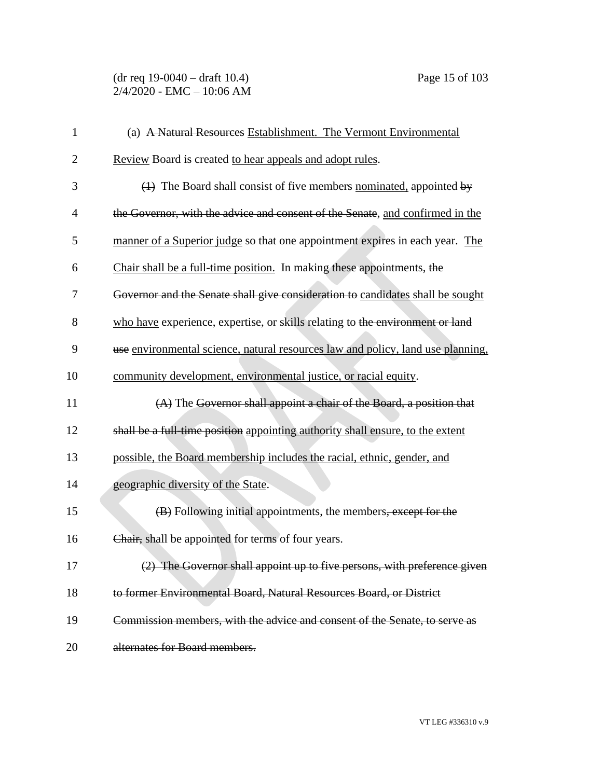| $\mathbf{1}$   | (a) A Natural Resources Establishment. The Vermont Environmental                |
|----------------|---------------------------------------------------------------------------------|
| $\overline{2}$ | Review Board is created to hear appeals and adopt rules.                        |
| 3              | $(1)$ The Board shall consist of five members nominated, appointed by           |
| $\overline{4}$ | the Governor, with the advice and consent of the Senate, and confirmed in the   |
| 5              | manner of a Superior judge so that one appointment expires in each year. The    |
| 6              | Chair shall be a full-time position. In making these appointments, the          |
| 7              | Governor and the Senate shall give consideration to candidates shall be sought  |
| 8              | who have experience, expertise, or skills relating to the environment or land   |
| 9              | use environmental science, natural resources law and policy, land use planning, |
| 10             | community development, environmental justice, or racial equity.                 |
| 11             | (A) The Governor shall appoint a chair of the Board, a position that            |
| 12             | shall be a full-time position appointing authority shall ensure, to the extent  |
| 13             | possible, the Board membership includes the racial, ethnic, gender, and         |
| 14             | geographic diversity of the State.                                              |
| 15             | (B) Following initial appointments, the members, except for the                 |
| 16             | Chair, shall be appointed for terms of four years.                              |
| 17             | (2) The Governor shall appoint up to five persons, with preference given        |
| 18             | to former Environmental Board, Natural Resources Board, or District             |
| 19             | Commission members, with the advice and consent of the Senate, to serve as      |
| 20             | alternates for Board members.                                                   |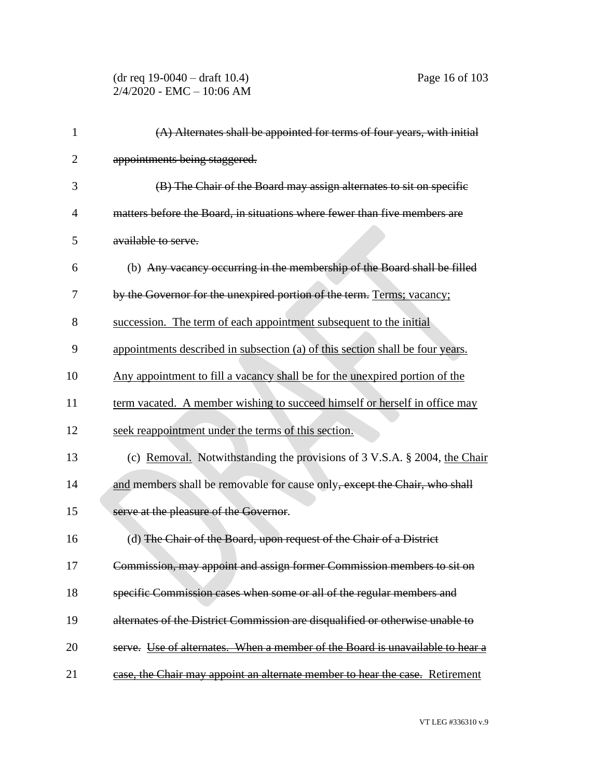#### (dr req 19-0040 – draft 10.4) Page 16 of 103 2/4/2020 - EMC – 10:06 AM

| 1              | $(A)$ Alternates shall be appointed for terms of four years, with initial     |
|----------------|-------------------------------------------------------------------------------|
| $\overline{2}$ | appointments being staggered.                                                 |
| 3              | (B) The Chair of the Board may assign alternates to sit on specific           |
| 4              | matters before the Board, in situations where fewer than five members are     |
| 5              | available to serve.                                                           |
| 6              | (b) Any vacancy occurring in the membership of the Board shall be filled      |
| 7              | by the Governor for the unexpired portion of the term. Terms; vacancy;        |
| 8              | succession. The term of each appointment subsequent to the initial            |
| 9              | appointments described in subsection (a) of this section shall be four years. |
| 10             | Any appointment to fill a vacancy shall be for the unexpired portion of the   |
| 11             | term vacated. A member wishing to succeed himself or herself in office may    |
| 12             | seek reappointment under the terms of this section.                           |
| 13             | (c) Removal. Notwithstanding the provisions of 3 V.S.A. § 2004, the Chair     |
| 14             | and members shall be removable for cause only, except the Chair, who shall    |
| 15             | serve at the pleasure of the Governor.                                        |
| 16             | (d) The Chair of the Board, upon request of the Chair of a District           |
| 17             | Commission, may appoint and assign former Commission members to sit on        |
| 18             | specific Commission cases when some or all of the regular members and         |
| 19             | alternates of the District Commission are disqualified or otherwise unable to |
| 20             | serve. Use of alternates. When a member of the Board is unavailable to hear a |
| 21             | case, the Chair may appoint an alternate member to hear the case. Retirement  |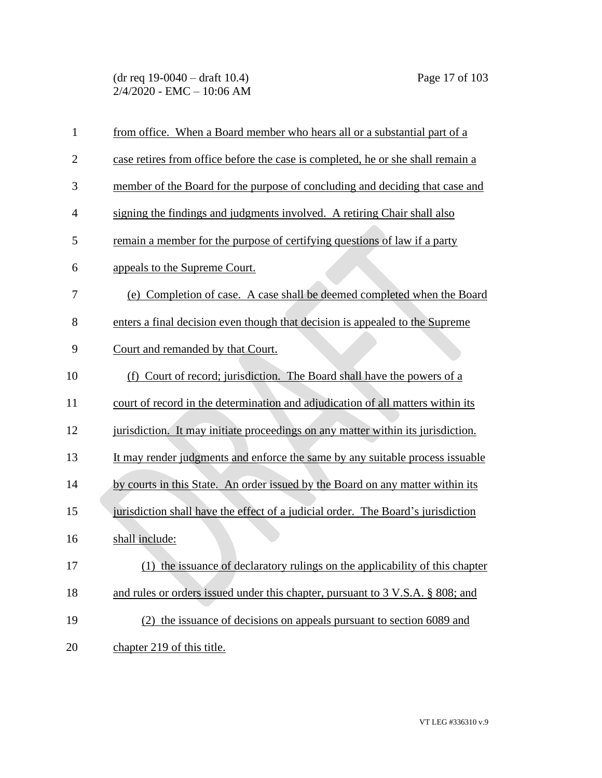(dr req 19-0040 – draft 10.4) Page 17 of 103 2/4/2020 - EMC – 10:06 AM

| $\mathbf{1}$   | from office. When a Board member who hears all or a substantial part of a        |
|----------------|----------------------------------------------------------------------------------|
| $\overline{2}$ | case retires from office before the case is completed, he or she shall remain a  |
| 3              | member of the Board for the purpose of concluding and deciding that case and     |
| $\overline{4}$ | signing the findings and judgments involved. A retiring Chair shall also         |
| 5              | remain a member for the purpose of certifying questions of law if a party        |
| 6              | appeals to the Supreme Court.                                                    |
| 7              | (e) Completion of case. A case shall be deemed completed when the Board          |
| 8              | enters a final decision even though that decision is appealed to the Supreme     |
| 9              | Court and remanded by that Court.                                                |
| 10             | Court of record; jurisdiction. The Board shall have the powers of a<br>(f)       |
| 11             | court of record in the determination and adjudication of all matters within its  |
| 12             | jurisdiction. It may initiate proceedings on any matter within its jurisdiction. |
| 13             | It may render judgments and enforce the same by any suitable process is suable   |
| 14             | by courts in this State. An order issued by the Board on any matter within its   |
| 15             | jurisdiction shall have the effect of a judicial order. The Board's jurisdiction |
| 16             | shall include:                                                                   |
| 17             | (1) the issuance of declaratory rulings on the applicability of this chapter     |
| 18             | and rules or orders issued under this chapter, pursuant to 3 V.S.A. § 808; and   |
| 19             | (2) the issuance of decisions on appeals pursuant to section 6089 and            |
| 20             | chapter 219 of this title.                                                       |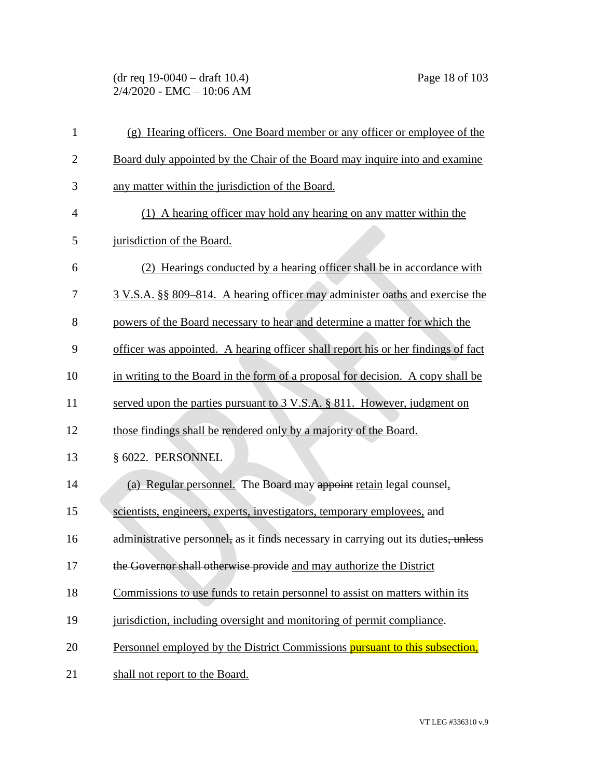(dr req 19-0040 – draft 10.4) Page 18 of 103 2/4/2020 - EMC – 10:06 AM

| $\mathbf{1}$   | (g) Hearing officers. One Board member or any officer or employee of the           |
|----------------|------------------------------------------------------------------------------------|
| $\overline{2}$ | Board duly appointed by the Chair of the Board may inquire into and examine        |
| 3              | any matter within the jurisdiction of the Board.                                   |
| $\overline{4}$ | (1) A hearing officer may hold any hearing on any matter within the                |
| 5              | jurisdiction of the Board.                                                         |
| 6              | (2) Hearings conducted by a hearing officer shall be in accordance with            |
| 7              | 3 V.S.A. §§ 809–814. A hearing officer may administer oaths and exercise the       |
| 8              | powers of the Board necessary to hear and determine a matter for which the         |
| 9              | officer was appointed. A hearing officer shall report his or her findings of fact  |
| 10             | in writing to the Board in the form of a proposal for decision. A copy shall be    |
| 11             | served upon the parties pursuant to $3 \text{ V.S.A.}$ § 811. However, judgment on |
| 12             | those findings shall be rendered only by a majority of the Board.                  |
| 13             | § 6022. PERSONNEL                                                                  |
| 14             | (a) Regular personnel. The Board may appoint retain legal counsel,                 |
| 15             | scientists, engineers, experts, investigators, temporary employees, and            |
| 16             | administrative personnel, as it finds necessary in carrying out its duties, unless |
| 17             | the Governor shall otherwise provide and may authorize the District                |
| 18             | Commissions to use funds to retain personnel to assist on matters within its       |
| 19             | jurisdiction, including oversight and monitoring of permit compliance.             |
| 20             | Personnel employed by the District Commissions pursuant to this subsection,        |
| 21             | shall not report to the Board.                                                     |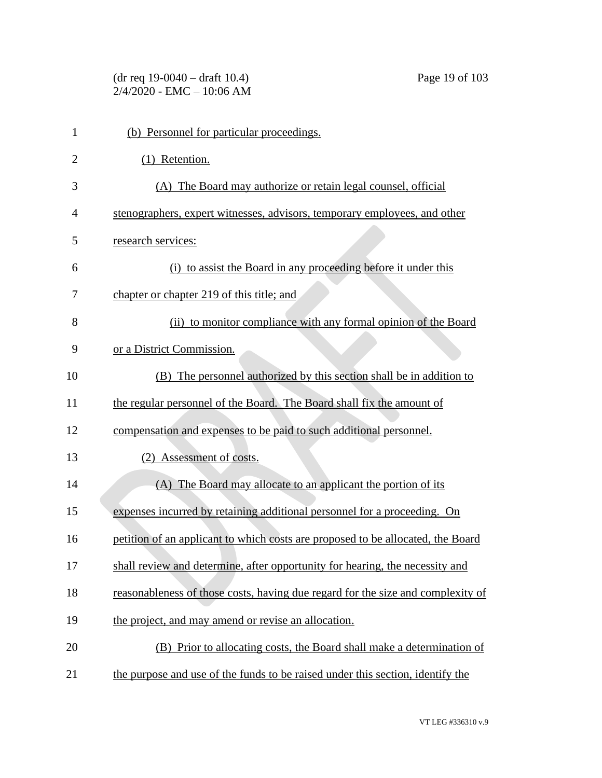| $(dr \text{ req } 19-0040 - draft } 10.4)$ |
|--------------------------------------------|
| 2/4/2020 - EMC – 10:06 AM                  |

| $\mathbf{1}$   | (b) Personnel for particular proceedings.                                       |
|----------------|---------------------------------------------------------------------------------|
| $\overline{2}$ | (1) Retention.                                                                  |
| 3              | (A) The Board may authorize or retain legal counsel, official                   |
| $\overline{4}$ | stenographers, expert witnesses, advisors, temporary employees, and other       |
| 5              | research services:                                                              |
| 6              | (i) to assist the Board in any proceeding before it under this                  |
| 7              | chapter or chapter 219 of this title; and                                       |
| 8              | (ii) to monitor compliance with any formal opinion of the Board                 |
| 9              | or a District Commission.                                                       |
| 10             | (B) The personnel authorized by this section shall be in addition to            |
| 11             | the regular personnel of the Board. The Board shall fix the amount of           |
| 12             | compensation and expenses to be paid to such additional personnel.              |
| 13             | Assessment of costs.<br>(2)                                                     |
| 14             | (A) The Board may allocate to an applicant the portion of its                   |
| 15             | expenses incurred by retaining additional personnel for a proceeding. On        |
| 16             | petition of an applicant to which costs are proposed to be allocated, the Board |
| 17             | shall review and determine, after opportunity for hearing, the necessity and    |
| 18             | reasonableness of those costs, having due regard for the size and complexity of |
| 19             | the project, and may amend or revise an allocation.                             |
| 20             | (B) Prior to allocating costs, the Board shall make a determination of          |
| 21             | the purpose and use of the funds to be raised under this section, identify the  |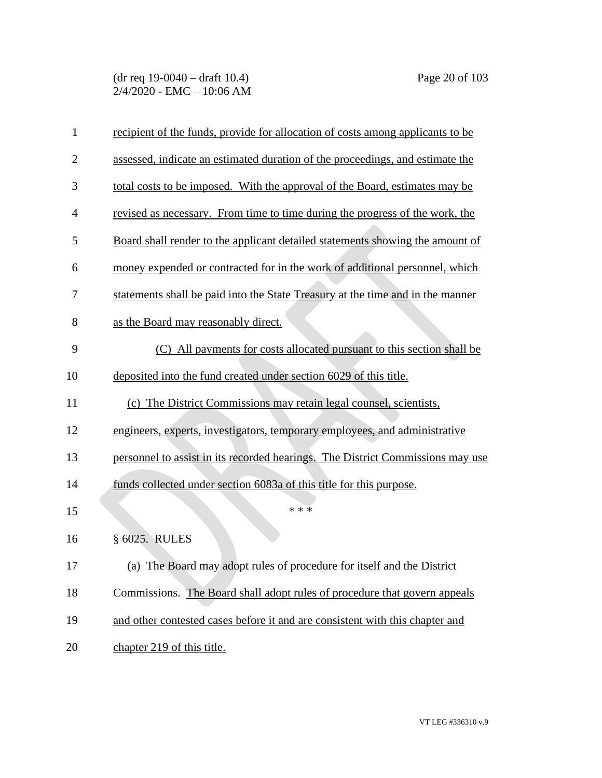| 1              | recipient of the funds, provide for allocation of costs among applicants to be |
|----------------|--------------------------------------------------------------------------------|
| $\overline{c}$ | assessed, indicate an estimated duration of the proceedings, and estimate the  |
| 3              | total costs to be imposed. With the approval of the Board, estimates may be    |
| 4              | revised as necessary. From time to time during the progress of the work, the   |
| 5              | Board shall render to the applicant detailed statements showing the amount of  |
| 6              | money expended or contracted for in the work of additional personnel, which    |
| 7              | statements shall be paid into the State Treasury at the time and in the manner |
| 8              | as the Board may reasonably direct.                                            |
| 9              | (C) All payments for costs allocated pursuant to this section shall be         |
| 10             | deposited into the fund created under section 6029 of this title.              |
| 11             | (c) The District Commissions may retain legal counsel, scientists,             |
| 12             | engineers, experts, investigators, temporary employees, and administrative     |
| 13             | personnel to assist in its recorded hearings. The District Commissions may use |
| 14             | funds collected under section 6083a of this title for this purpose.            |
| 15             | * * *                                                                          |
| 16             | § 6025. RULES                                                                  |
| 17             | (a) The Board may adopt rules of procedure for itself and the District         |
| 18             | Commissions. The Board shall adopt rules of procedure that govern appeals      |
| 19             | and other contested cases before it and are consistent with this chapter and   |
| 20             | chapter 219 of this title.                                                     |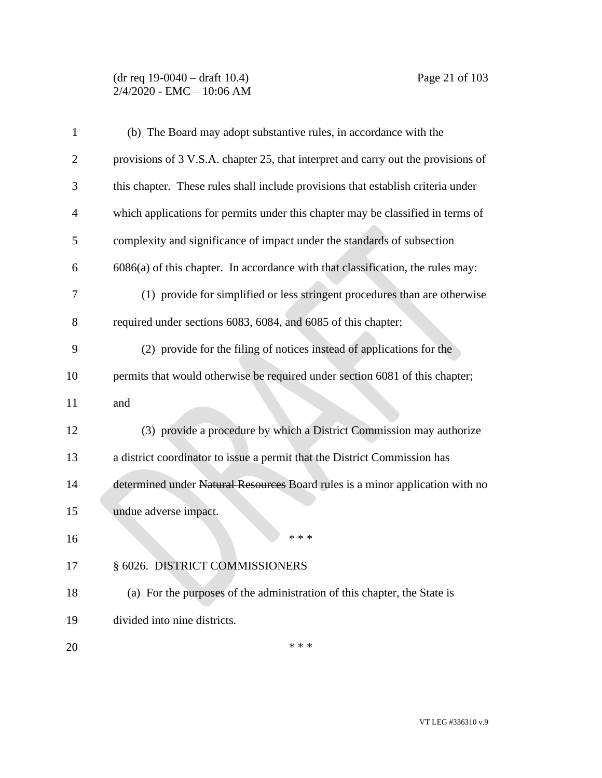## (dr req 19-0040 – draft 10.4) Page 21 of 103 2/4/2020 - EMC – 10:06 AM

| 1              | (b) The Board may adopt substantive rules, in accordance with the                 |
|----------------|-----------------------------------------------------------------------------------|
| $\overline{2}$ | provisions of 3 V.S.A. chapter 25, that interpret and carry out the provisions of |
| 3              | this chapter. These rules shall include provisions that establish criteria under  |
| 4              | which applications for permits under this chapter may be classified in terms of   |
| 5              | complexity and significance of impact under the standards of subsection           |
| 6              | $6086(a)$ of this chapter. In accordance with that classification, the rules may: |
| 7              | (1) provide for simplified or less stringent procedures than are otherwise        |
| 8              | required under sections 6083, 6084, and 6085 of this chapter;                     |
| 9              | (2) provide for the filing of notices instead of applications for the             |
| 10             | permits that would otherwise be required under section 6081 of this chapter;      |
| 11             | and                                                                               |
| 12             | (3) provide a procedure by which a District Commission may authorize              |
| 13             | a district coordinator to issue a permit that the District Commission has         |
| 14             | determined under Natural Resources Board rules is a minor application with no     |
| 15             | undue adverse impact.                                                             |
| 16             | * * *                                                                             |
| 17             | § 6026. DISTRICT COMMISSIONERS                                                    |
| 18             | (a) For the purposes of the administration of this chapter, the State is          |
| 19             | divided into nine districts.                                                      |
| 20             | * * *                                                                             |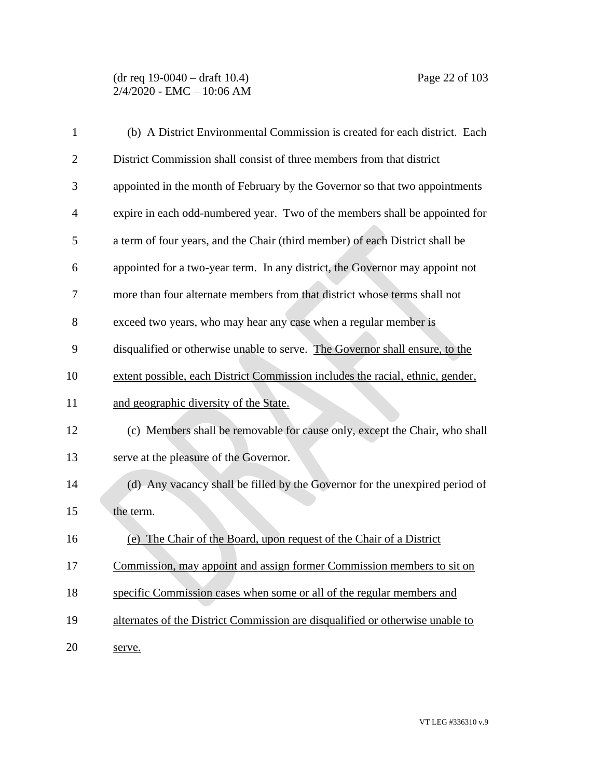# (dr req 19-0040 – draft 10.4) Page 22 of 103 2/4/2020 - EMC – 10:06 AM

| 1              | (b) A District Environmental Commission is created for each district. Each     |
|----------------|--------------------------------------------------------------------------------|
| $\overline{2}$ | District Commission shall consist of three members from that district          |
| 3              | appointed in the month of February by the Governor so that two appointments    |
| $\overline{4}$ | expire in each odd-numbered year. Two of the members shall be appointed for    |
| 5              | a term of four years, and the Chair (third member) of each District shall be   |
| 6              | appointed for a two-year term. In any district, the Governor may appoint not   |
| 7              | more than four alternate members from that district whose terms shall not      |
| 8              | exceed two years, who may hear any case when a regular member is               |
| 9              | disqualified or otherwise unable to serve. The Governor shall ensure, to the   |
| 10             | extent possible, each District Commission includes the racial, ethnic, gender, |
| 11             | and geographic diversity of the State.                                         |
| 12             | (c) Members shall be removable for cause only, except the Chair, who shall     |
| 13             | serve at the pleasure of the Governor.                                         |
| 14             | (d) Any vacancy shall be filled by the Governor for the unexpired period of    |
| 15             | the term.                                                                      |
| 16             | (e) The Chair of the Board, upon request of the Chair of a District            |
| 17             | Commission, may appoint and assign former Commission members to sit on         |
| 18             | specific Commission cases when some or all of the regular members and          |
| 19             | alternates of the District Commission are disqualified or otherwise unable to  |
| 20             | serve.                                                                         |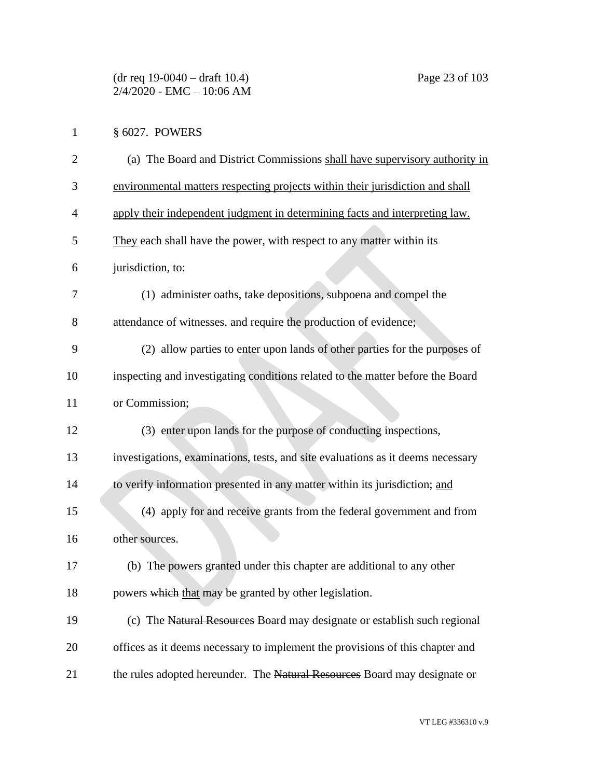| 1              | § 6027. POWERS                                                                  |
|----------------|---------------------------------------------------------------------------------|
| $\overline{2}$ | (a) The Board and District Commissions shall have supervisory authority in      |
| 3              | environmental matters respecting projects within their jurisdiction and shall   |
| 4              | apply their independent judgment in determining facts and interpreting law.     |
| 5              | They each shall have the power, with respect to any matter within its           |
| 6              | jurisdiction, to:                                                               |
| 7              | (1) administer oaths, take depositions, subpoena and compel the                 |
| 8              | attendance of witnesses, and require the production of evidence;                |
| 9              | (2) allow parties to enter upon lands of other parties for the purposes of      |
| 10             | inspecting and investigating conditions related to the matter before the Board  |
| 11             | or Commission;                                                                  |
| 12             | (3) enter upon lands for the purpose of conducting inspections,                 |
| 13             | investigations, examinations, tests, and site evaluations as it deems necessary |
| 14             | to verify information presented in any matter within its jurisdiction; and      |
| 15             | (4) apply for and receive grants from the federal government and from           |
| 16             | other sources.                                                                  |
| 17             | (b) The powers granted under this chapter are additional to any other           |
| 18             | powers which that may be granted by other legislation.                          |
| 19             | (c) The Natural Resources Board may designate or establish such regional        |
| 20             | offices as it deems necessary to implement the provisions of this chapter and   |
| 21             | the rules adopted hereunder. The Natural Resources Board may designate or       |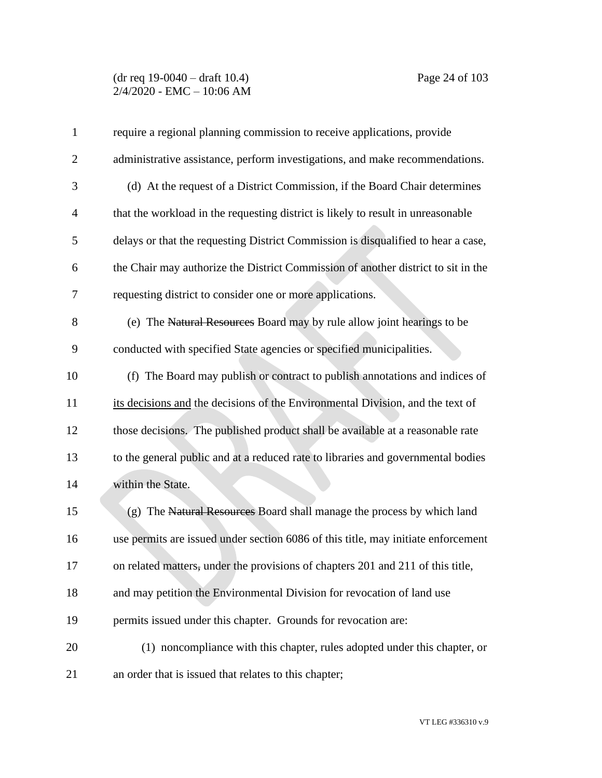## (dr req 19-0040 – draft 10.4) Page 24 of 103 2/4/2020 - EMC – 10:06 AM

| 1              | require a regional planning commission to receive applications, provide           |
|----------------|-----------------------------------------------------------------------------------|
| $\overline{2}$ | administrative assistance, perform investigations, and make recommendations.      |
| 3              | (d) At the request of a District Commission, if the Board Chair determines        |
| $\overline{4}$ | that the workload in the requesting district is likely to result in unreasonable  |
| 5              | delays or that the requesting District Commission is disqualified to hear a case, |
| 6              | the Chair may authorize the District Commission of another district to sit in the |
| 7              | requesting district to consider one or more applications.                         |
| 8              | (e) The Natural Resources Board may by rule allow joint hearings to be            |
| 9              | conducted with specified State agencies or specified municipalities.              |
| 10             | (f) The Board may publish or contract to publish annotations and indices of       |
| 11             | its decisions and the decisions of the Environmental Division, and the text of    |
| 12             | those decisions. The published product shall be available at a reasonable rate    |
| 13             | to the general public and at a reduced rate to libraries and governmental bodies  |
| 14             | within the State.                                                                 |
| 15             | (g) The Natural Resources Board shall manage the process by which land            |
| 16             | use permits are issued under section 6086 of this title, may initiate enforcement |
| 17             | on related matters, under the provisions of chapters 201 and 211 of this title,   |
| 18             | and may petition the Environmental Division for revocation of land use            |
| 19             | permits issued under this chapter. Grounds for revocation are:                    |
| 20             | (1) noncompliance with this chapter, rules adopted under this chapter, or         |
| 21             | an order that is issued that relates to this chapter;                             |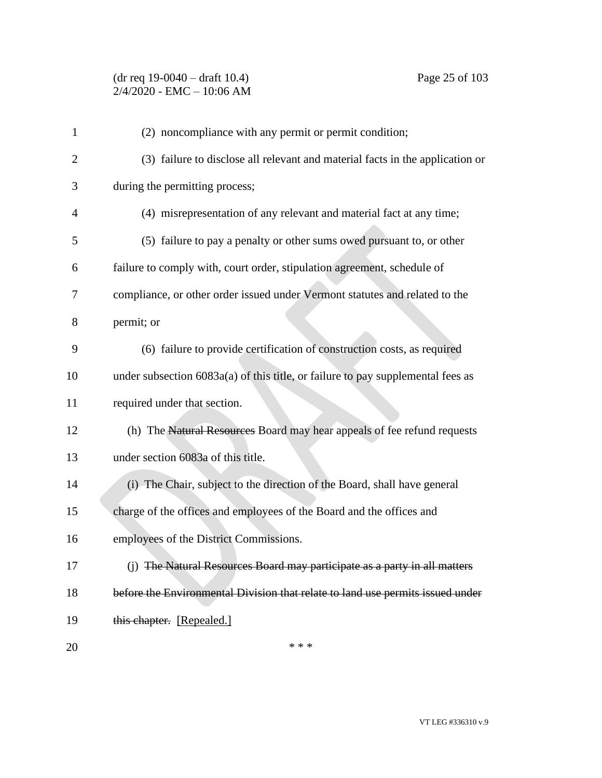# (dr req 19-0040 – draft 10.4) Page 25 of 103 2/4/2020 - EMC – 10:06 AM

| $\mathbf{1}$   | (2) noncompliance with any permit or permit condition;                          |
|----------------|---------------------------------------------------------------------------------|
| $\overline{2}$ | (3) failure to disclose all relevant and material facts in the application or   |
| 3              | during the permitting process;                                                  |
| 4              | (4) misrepresentation of any relevant and material fact at any time;            |
| 5              | (5) failure to pay a penalty or other sums owed pursuant to, or other           |
| 6              | failure to comply with, court order, stipulation agreement, schedule of         |
| 7              | compliance, or other order issued under Vermont statutes and related to the     |
| 8              | permit; or                                                                      |
| 9              | (6) failure to provide certification of construction costs, as required         |
| 10             | under subsection 6083a(a) of this title, or failure to pay supplemental fees as |
| 11             | required under that section.                                                    |
| 12             | (h) The Natural Resources Board may hear appeals of fee refund requests         |
| 13             | under section 6083a of this title.                                              |
| 14             | (i) The Chair, subject to the direction of the Board, shall have general        |
| 15             | charge of the offices and employees of the Board and the offices and            |
| 16             | employees of the District Commissions.                                          |
| 17             | (j) The Natural Resources Board may participate as a party in all matters       |
| 18             | before the Environmental Division that relate to land use permits issued under  |
| 19             | this chapter. [Repealed.]                                                       |
| 20             | * * *                                                                           |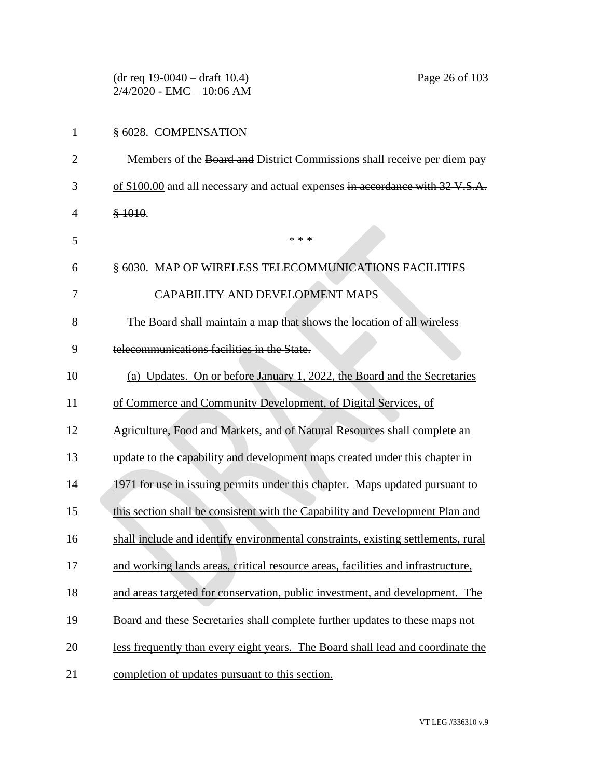|                | $(dr \text{ req } 19-0040 - draft 10.4)$<br>Page 26 of 103<br>$2/4/2020$ - EMC - 10:06 AM |
|----------------|-------------------------------------------------------------------------------------------|
| $\mathbf{1}$   | § 6028. COMPENSATION                                                                      |
| $\overline{2}$ | Members of the Board and District Commissions shall receive per diem pay                  |
| 3              | of \$100.00 and all necessary and actual expenses in accordance with 32 V.S.A.            |
| 4              | \$1010.                                                                                   |
| 5              | * * *                                                                                     |
| 6              | § 6030. MAP OF WIRELESS TELECOMMUNICATIONS FACILITIES                                     |
| 7              | CAPABILITY AND DEVELOPMENT MAPS                                                           |
| 8              | The Board shall maintain a map that shows the location of all wireless                    |
| 9              | telecommunications facilities in the State.                                               |
| 10             | (a) Updates. On or before January 1, 2022, the Board and the Secretaries                  |
| 11             | of Commerce and Community Development, of Digital Services, of                            |
| 12             | Agriculture, Food and Markets, and of Natural Resources shall complete an                 |
| 13             | update to the capability and development maps created under this chapter in               |
| 14             | 1971 for use in issuing permits under this chapter. Maps updated pursuant to              |
| 15             | this section shall be consistent with the Capability and Development Plan and             |
| 16             | shall include and identify environmental constraints, existing settlements, rural         |
| 17             | and working lands areas, critical resource areas, facilities and infrastructure,          |
| 18             | and areas targeted for conservation, public investment, and development. The              |
| 19             | Board and these Secretaries shall complete further updates to these maps not              |
| 20             | less frequently than every eight years. The Board shall lead and coordinate the           |
| 21             | completion of updates pursuant to this section.                                           |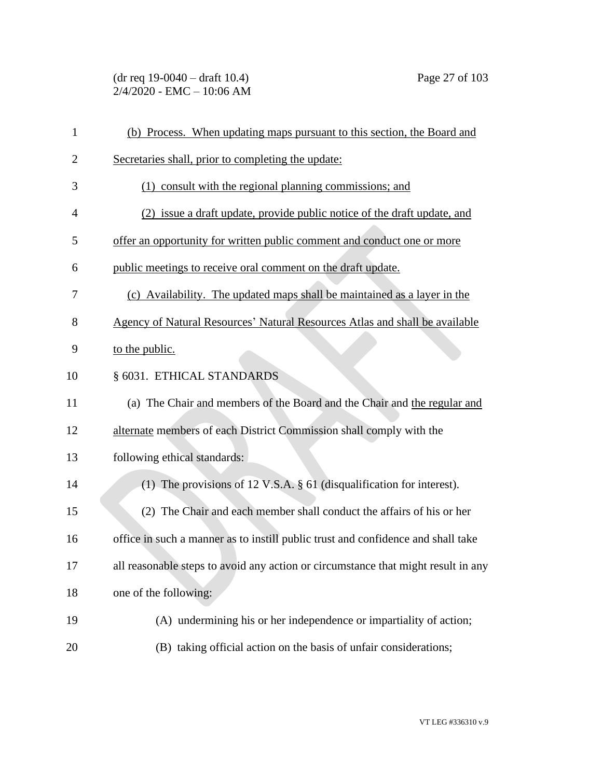(dr req 19-0040 – draft 10.4) Page 27 of 103 2/4/2020 - EMC – 10:06 AM

| $\mathbf{1}$   | (b) Process. When updating maps pursuant to this section, the Board and           |
|----------------|-----------------------------------------------------------------------------------|
| $\overline{2}$ | Secretaries shall, prior to completing the update:                                |
| 3              | (1) consult with the regional planning commissions; and                           |
| $\overline{4}$ | (2) issue a draft update, provide public notice of the draft update, and          |
| 5              | offer an opportunity for written public comment and conduct one or more           |
| 6              | public meetings to receive oral comment on the draft update.                      |
| 7              | (c) Availability. The updated maps shall be maintained as a layer in the          |
| 8              | Agency of Natural Resources' Natural Resources Atlas and shall be available       |
| 9              | to the public.                                                                    |
| 10             | § 6031. ETHICAL STANDARDS                                                         |
| 11             | (a) The Chair and members of the Board and the Chair and the regular and          |
| 12             | alternate members of each District Commission shall comply with the               |
| 13             | following ethical standards:                                                      |
| 14             | (1) The provisions of 12 V.S.A. $\S$ 61 (disqualification for interest).          |
| 15             | (2) The Chair and each member shall conduct the affairs of his or her             |
| 16             | office in such a manner as to instill public trust and confidence and shall take  |
| 17             | all reasonable steps to avoid any action or circumstance that might result in any |
| 18             | one of the following:                                                             |
| 19             | (A) undermining his or her independence or impartiality of action;                |
| 20             | (B) taking official action on the basis of unfair considerations;                 |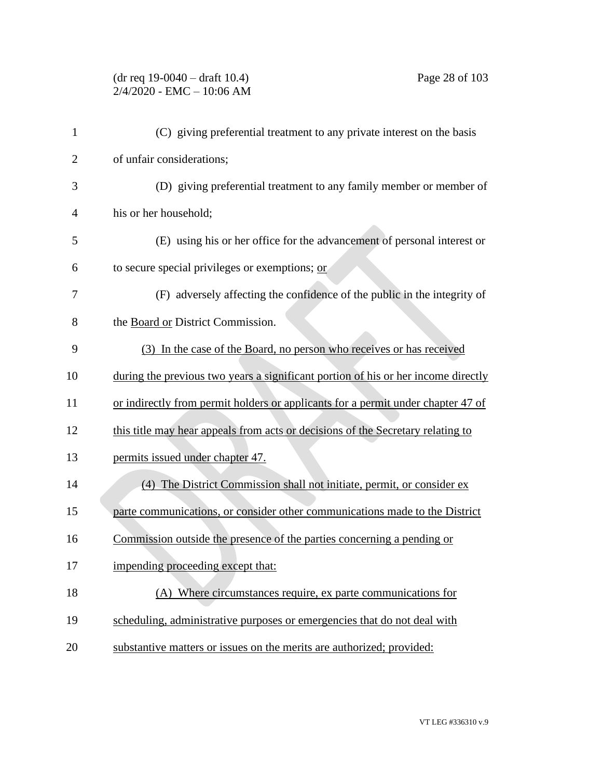# (dr req 19-0040 – draft 10.4) Page 28 of 103 2/4/2020 - EMC – 10:06 AM

| 1              | (C) giving preferential treatment to any private interest on the basis            |
|----------------|-----------------------------------------------------------------------------------|
| $\overline{2}$ | of unfair considerations;                                                         |
| 3              | (D) giving preferential treatment to any family member or member of               |
| 4              | his or her household;                                                             |
| 5              | (E) using his or her office for the advancement of personal interest or           |
| 6              | to secure special privileges or exemptions; or                                    |
| 7              | (F) adversely affecting the confidence of the public in the integrity of          |
| 8              | the Board or District Commission.                                                 |
| 9              | (3) In the case of the Board, no person who receives or has received              |
| 10             | during the previous two years a significant portion of his or her income directly |
| 11             | or indirectly from permit holders or applicants for a permit under chapter 47 of  |
| 12             | this title may hear appeals from acts or decisions of the Secretary relating to   |
| 13             | permits issued under chapter 47.                                                  |
| 14             | (4) The District Commission shall not initiate, permit, or consider ex            |
| 15             | parte communications, or consider other communications made to the District       |
| 16             | Commission outside the presence of the parties concerning a pending or            |
| 17             | impending proceeding except that:                                                 |
| 18             | (A) Where circumstances require, ex parte communications for                      |
| 19             | scheduling, administrative purposes or emergencies that do not deal with          |
| 20             | substantive matters or issues on the merits are authorized; provided:             |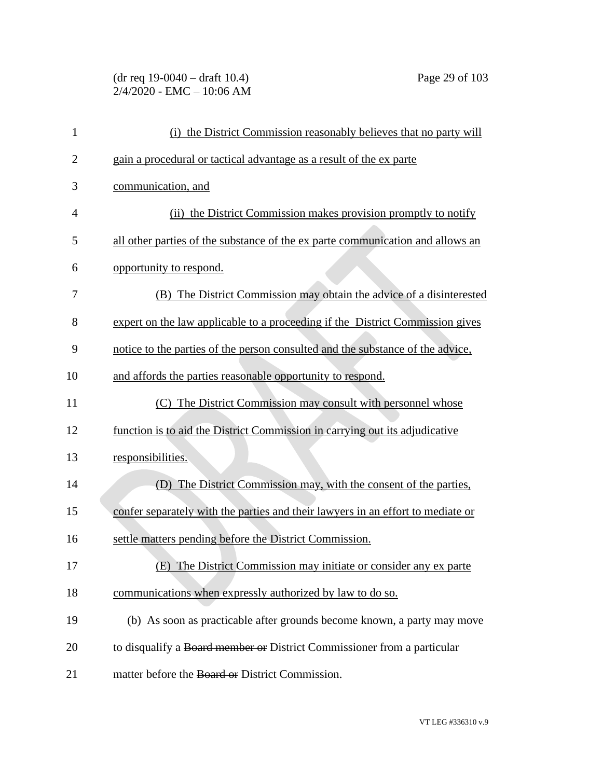# (dr req 19-0040 – draft 10.4) Page 29 of 103 2/4/2020 - EMC – 10:06 AM

| 1              | (i) the District Commission reasonably believes that no party will              |
|----------------|---------------------------------------------------------------------------------|
| $\overline{2}$ | gain a procedural or tactical advantage as a result of the ex parte             |
| 3              | communication, and                                                              |
| 4              | (ii) the District Commission makes provision promptly to notify                 |
| 5              | all other parties of the substance of the ex parte communication and allows an  |
| 6              | opportunity to respond.                                                         |
| 7              | (B) The District Commission may obtain the advice of a disinterested            |
| 8              | expert on the law applicable to a proceeding if the District Commission gives   |
| 9              | notice to the parties of the person consulted and the substance of the advice,  |
| 10             | and affords the parties reasonable opportunity to respond.                      |
| 11             | (C) The District Commission may consult with personnel whose                    |
| 12             | function is to aid the District Commission in carrying out its adjudicative     |
| 13             | responsibilities.                                                               |
| 14             | (D) The District Commission may, with the consent of the parties,               |
| 15             | confer separately with the parties and their lawyers in an effort to mediate or |
| 16             | settle matters pending before the District Commission.                          |
| 17             | (E) The District Commission may initiate or consider any ex parte               |
| 18             | communications when expressly authorized by law to do so.                       |
| 19             | (b) As soon as practicable after grounds become known, a party may move         |
| 20             | to disqualify a Board member or District Commissioner from a particular         |
| 21             | matter before the Board or District Commission.                                 |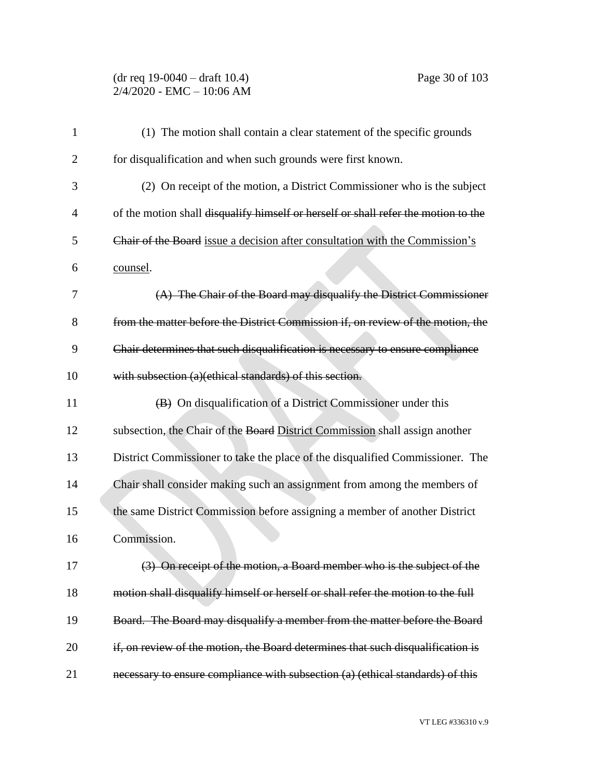### (dr req 19-0040 – draft 10.4) Page 30 of 103 2/4/2020 - EMC – 10:06 AM

| 1              | (1) The motion shall contain a clear statement of the specific grounds             |
|----------------|------------------------------------------------------------------------------------|
| $\overline{2}$ | for disqualification and when such grounds were first known.                       |
| 3              | (2) On receipt of the motion, a District Commissioner who is the subject           |
| 4              | of the motion shall disqualify himself or herself or shall refer the motion to the |
| 5              | Chair of the Board issue a decision after consultation with the Commission's       |
| 6              | counsel.                                                                           |
| 7              | $(A)$ The Chair of the Board may disqualify the District Commissioner              |
| 8              | from the matter before the District Commission if, on review of the motion, the    |
| 9              | Chair determines that such disqualification is necessary to ensure compliance      |
| 10             | with subsection (a)(ethical standards) of this section.                            |
| 11             | $(B)$ On disqualification of a District Commissioner under this                    |
| 12             | subsection, the Chair of the Board District Commission shall assign another        |
| 13             | District Commissioner to take the place of the disqualified Commissioner. The      |
| 14             | Chair shall consider making such an assignment from among the members of           |
| 15             | the same District Commission before assigning a member of another District         |
| 16             | Commission.                                                                        |
| 17             | (3) On receipt of the motion, a Board member who is the subject of the             |
| 18             | motion shall disqualify himself or herself or shall refer the motion to the full   |
| 19             | Board. The Board may disqualify a member from the matter before the Board          |
| 20             | if, on review of the motion, the Board determines that such disqualification is    |
| 21             | necessary to ensure compliance with subsection (a) (ethical standards) of this     |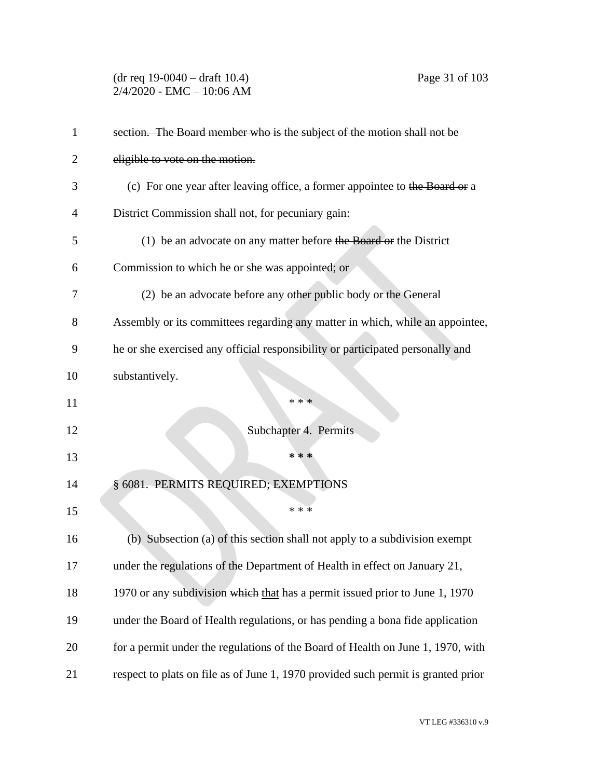(dr req 19-0040 – draft 10.4) Page 31 of 103 2/4/2020 - EMC – 10:06 AM

| 1  | section. The Board member who is the subject of the motion shall not be           |
|----|-----------------------------------------------------------------------------------|
| 2  | eligible to vote on the motion.                                                   |
| 3  | (c) For one year after leaving office, a former appointee to the Board or a       |
| 4  | District Commission shall not, for pecuniary gain:                                |
| 5  | $(1)$ be an advocate on any matter before the Board or the District               |
| 6  | Commission to which he or she was appointed; or                                   |
| 7  | (2) be an advocate before any other public body or the General                    |
| 8  | Assembly or its committees regarding any matter in which, while an appointee,     |
| 9  | he or she exercised any official responsibility or participated personally and    |
| 10 | substantively.                                                                    |
| 11 | * * *                                                                             |
| 12 | Subchapter 4. Permits                                                             |
| 13 | * * *                                                                             |
| 14 | § 6081. PERMITS REQUIRED; EXEMPTIONS                                              |
| 15 | * * *                                                                             |
| 16 | (b) Subsection (a) of this section shall not apply to a subdivision exempt        |
| 17 | under the regulations of the Department of Health in effect on January 21,        |
| 18 | 1970 or any subdivision which that has a permit issued prior to June 1, 1970      |
| 19 | under the Board of Health regulations, or has pending a bona fide application     |
| 20 | for a permit under the regulations of the Board of Health on June 1, 1970, with   |
| 21 | respect to plats on file as of June 1, 1970 provided such permit is granted prior |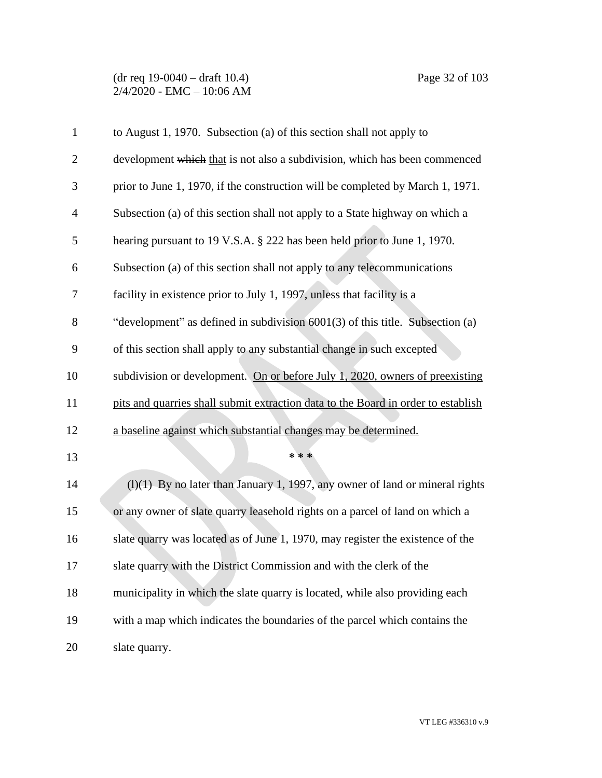(dr req 19-0040 – draft 10.4) Page 32 of 103 2/4/2020 - EMC – 10:06 AM

| $\mathbf{1}$   | to August 1, 1970. Subsection (a) of this section shall not apply to              |
|----------------|-----------------------------------------------------------------------------------|
| $\overline{2}$ | development which that is not also a subdivision, which has been commenced        |
| 3              | prior to June 1, 1970, if the construction will be completed by March 1, 1971.    |
| 4              | Subsection (a) of this section shall not apply to a State highway on which a      |
| 5              | hearing pursuant to 19 V.S.A. § 222 has been held prior to June 1, 1970.          |
| 6              | Subsection (a) of this section shall not apply to any telecommunications          |
| 7              | facility in existence prior to July 1, 1997, unless that facility is a            |
| 8              | "development" as defined in subdivision 6001(3) of this title. Subsection (a)     |
| 9              | of this section shall apply to any substantial change in such excepted            |
| 10             | subdivision or development. On or before July 1, 2020, owners of preexisting      |
| 11             | pits and quarries shall submit extraction data to the Board in order to establish |
| 12             | a baseline against which substantial changes may be determined.                   |
| 13             | * * *                                                                             |
| 14             | $(l)(1)$ By no later than January 1, 1997, any owner of land or mineral rights    |
| 15             | or any owner of slate quarry leasehold rights on a parcel of land on which a      |
| 16             | slate quarry was located as of June 1, 1970, may register the existence of the    |
| 17             | slate quarry with the District Commission and with the clerk of the               |
| 18             | municipality in which the slate quarry is located, while also providing each      |
| 19             | with a map which indicates the boundaries of the parcel which contains the        |
| 20             | slate quarry.                                                                     |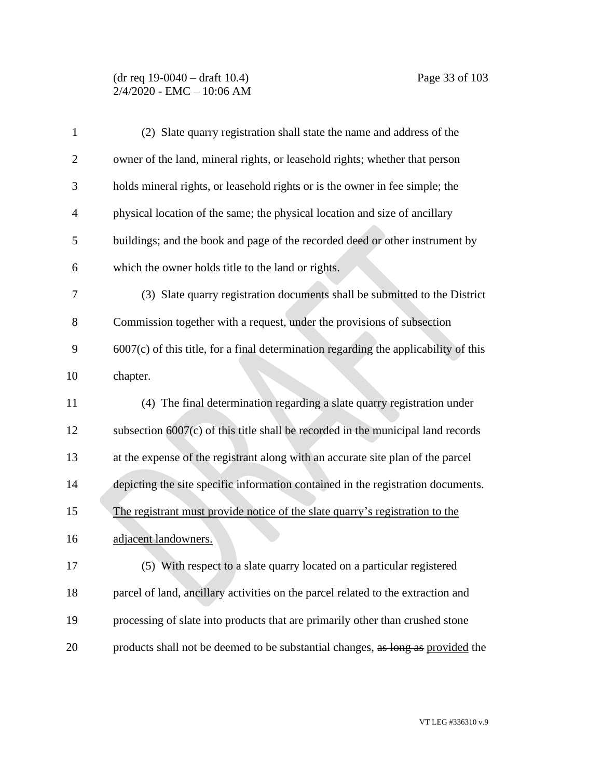## (dr req 19-0040 – draft 10.4) Page 33 of 103 2/4/2020 - EMC – 10:06 AM

| 1              | (2) Slate quarry registration shall state the name and address of the                  |
|----------------|----------------------------------------------------------------------------------------|
| $\overline{2}$ | owner of the land, mineral rights, or leasehold rights; whether that person            |
| 3              | holds mineral rights, or leasehold rights or is the owner in fee simple; the           |
| 4              | physical location of the same; the physical location and size of ancillary             |
| 5              | buildings; and the book and page of the recorded deed or other instrument by           |
| 6              | which the owner holds title to the land or rights.                                     |
| 7              | (3) Slate quarry registration documents shall be submitted to the District             |
| 8              | Commission together with a request, under the provisions of subsection                 |
| 9              | $6007(c)$ of this title, for a final determination regarding the applicability of this |
| 10             | chapter.                                                                               |
| 11             | (4) The final determination regarding a slate quarry registration under                |
| 12             | subsection $6007(c)$ of this title shall be recorded in the municipal land records     |
| 13             | at the expense of the registrant along with an accurate site plan of the parcel        |
| 14             | depicting the site specific information contained in the registration documents.       |
| 15             | The registrant must provide notice of the slate quarry's registration to the           |
| 16             | adjacent landowners.                                                                   |
| 17             | (5) With respect to a slate quarry located on a particular registered                  |
| 18             | parcel of land, ancillary activities on the parcel related to the extraction and       |
| 19             | processing of slate into products that are primarily other than crushed stone          |
| 20             | products shall not be deemed to be substantial changes, as long as provided the        |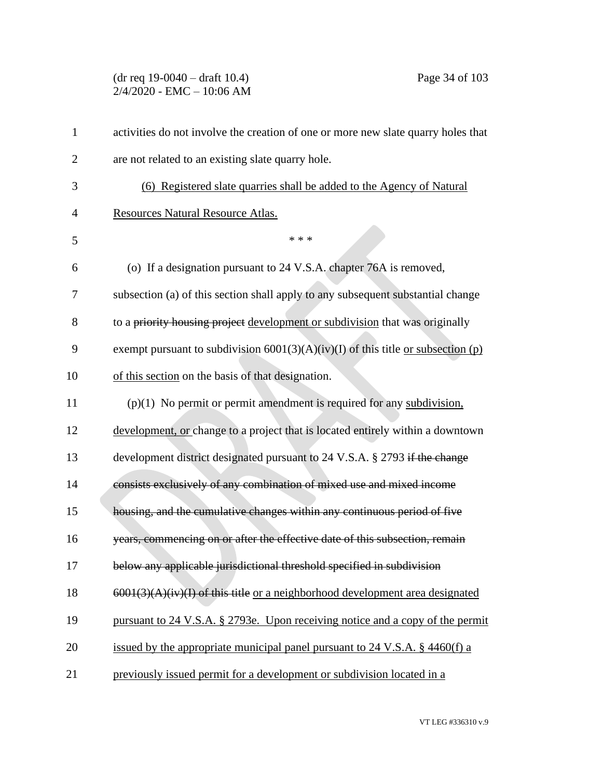(dr req 19-0040 – draft 10.4) Page 34 of 103 2/4/2020 - EMC – 10:06 AM

| $\mathbf{1}$   | activities do not involve the creation of one or more new slate quarry holes that         |
|----------------|-------------------------------------------------------------------------------------------|
| $\overline{2}$ | are not related to an existing slate quarry hole.                                         |
| 3              | (6) Registered slate quarries shall be added to the Agency of Natural                     |
| 4              | Resources Natural Resource Atlas.                                                         |
| 5              | * * *                                                                                     |
| 6              | (o) If a designation pursuant to 24 V.S.A. chapter 76A is removed,                        |
| 7              | subsection (a) of this section shall apply to any subsequent substantial change           |
| 8              | to a priority housing project development or subdivision that was originally              |
| 9              | exempt pursuant to subdivision $6001(3)(A)(iv)(I)$ of this title <u>or subsection (p)</u> |
| 10             | of this section on the basis of that designation.                                         |
| 11             | $(p)(1)$ No permit or permit amendment is required for any subdivision,                   |
| 12             | development, or change to a project that is located entirely within a downtown            |
| 13             | development district designated pursuant to 24 V.S.A. § 2793 if the change                |
| 14             | consists exclusively of any combination of mixed use and mixed income                     |
| 15             | housing, and the cumulative changes within any continuous period of five                  |
| 16             | years, commencing on or after the effective date of this subsection, remain               |
| 17             | below any applicable jurisdictional threshold specified in subdivision                    |
| 18             | $6001(3)(A)(iv)(I)$ of this title or a neighborhood development area designated           |
| 19             | pursuant to 24 V.S.A. § 2793e. Upon receiving notice and a copy of the permit             |
| 20             | issued by the appropriate municipal panel pursuant to 24 V.S.A. $\S$ 4460(f) a            |
| 21             | previously issued permit for a development or subdivision located in a                    |
|                |                                                                                           |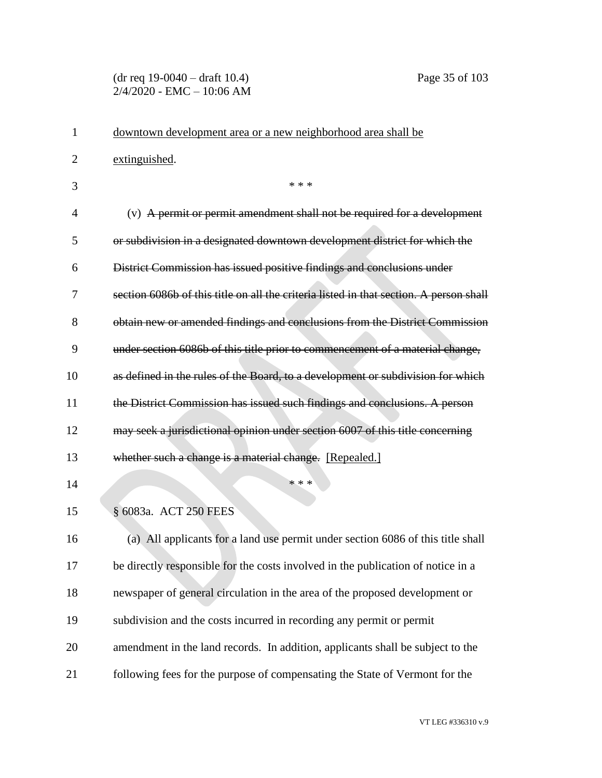#### (dr req 19-0040 – draft 10.4) Page 35 of 103 2/4/2020 - EMC – 10:06 AM

| 1              | downtown development area or a new neighborhood area shall be                          |
|----------------|----------------------------------------------------------------------------------------|
| $\overline{2}$ | extinguished.                                                                          |
| 3              | * * *                                                                                  |
| 4              | (v) A permit or permit amendment shall not be required for a development               |
| 5              | or subdivision in a designated downtown development district for which the             |
| 6              | District Commission has issued positive findings and conclusions under                 |
| 7              | section 6086b of this title on all the criteria listed in that section. A person shall |
| 8              | obtain new or amended findings and conclusions from the District Commission            |
| 9              | under section 6086b of this title prior to commencement of a material change,          |
| 10             | as defined in the rules of the Board, to a development or subdivision for which        |
| 11             | the District Commission has issued such findings and conclusions. A person             |
| 12             | may seek a jurisdictional opinion under section 6007 of this title concerning          |
| 13             | whether such a change is a material change. [Repealed.]                                |
| 14             | * * *                                                                                  |
| 15             | § 6083a. ACT 250 FEES                                                                  |
| 16             | (a) All applicants for a land use permit under section 6086 of this title shall        |
| 17             | be directly responsible for the costs involved in the publication of notice in a       |
| 18             | newspaper of general circulation in the area of the proposed development or            |
| 19             | subdivision and the costs incurred in recording any permit or permit                   |
| 20             | amendment in the land records. In addition, applicants shall be subject to the         |
| 21             | following fees for the purpose of compensating the State of Vermont for the            |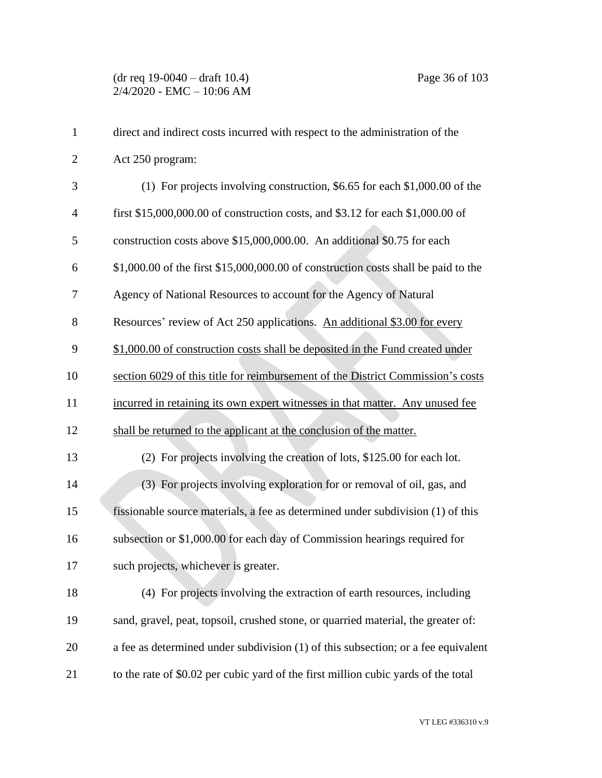| $\mathbf{1}$   | direct and indirect costs incurred with respect to the administration of the       |
|----------------|------------------------------------------------------------------------------------|
| $\overline{2}$ | Act 250 program:                                                                   |
| 3              | (1) For projects involving construction, $$6.65$ for each $$1,000.00$ of the       |
| $\overline{4}$ | first \$15,000,000.00 of construction costs, and \$3.12 for each \$1,000.00 of     |
| 5              | construction costs above \$15,000,000.00. An additional \$0.75 for each            |
| 6              | \$1,000.00 of the first \$15,000,000.00 of construction costs shall be paid to the |
| 7              | Agency of National Resources to account for the Agency of Natural                  |
| 8              | Resources' review of Act 250 applications. An additional \$3.00 for every          |
| 9              | \$1,000.00 of construction costs shall be deposited in the Fund created under      |
| 10             | section 6029 of this title for reimbursement of the District Commission's costs    |
| 11             | incurred in retaining its own expert witnesses in that matter. Any unused fee      |
| 12             | shall be returned to the applicant at the conclusion of the matter.                |
| 13             | (2) For projects involving the creation of lots, \$125.00 for each lot.            |
| 14             | (3) For projects involving exploration for or removal of oil, gas, and             |
| 15             | fissionable source materials, a fee as determined under subdivision (1) of this    |
| 16             | subsection or \$1,000.00 for each day of Commission hearings required for          |
| 17             | such projects, whichever is greater.                                               |
| 18             | (4) For projects involving the extraction of earth resources, including            |
| 19             | sand, gravel, peat, topsoil, crushed stone, or quarried material, the greater of:  |
| 20             | a fee as determined under subdivision (1) of this subsection; or a fee equivalent  |
| 21             | to the rate of \$0.02 per cubic yard of the first million cubic yards of the total |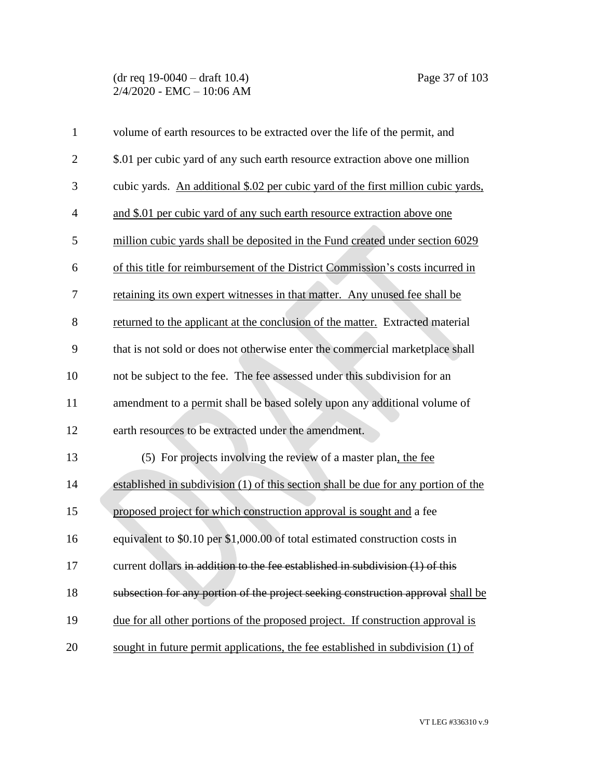(dr req 19-0040 – draft 10.4) Page 37 of 103 2/4/2020 - EMC – 10:06 AM

| $\mathbf{1}$   | volume of earth resources to be extracted over the life of the permit, and         |
|----------------|------------------------------------------------------------------------------------|
| $\overline{2}$ | \$.01 per cubic yard of any such earth resource extraction above one million       |
| 3              | cubic yards. An additional \$.02 per cubic yard of the first million cubic yards,  |
| $\overline{4}$ | and \$.01 per cubic yard of any such earth resource extraction above one           |
| 5              | million cubic yards shall be deposited in the Fund created under section 6029      |
| 6              | of this title for reimbursement of the District Commission's costs incurred in     |
| 7              | retaining its own expert witnesses in that matter. Any unused fee shall be         |
| 8              | returned to the applicant at the conclusion of the matter. Extracted material      |
| 9              | that is not sold or does not otherwise enter the commercial marketplace shall      |
| 10             | not be subject to the fee. The fee assessed under this subdivision for an          |
| 11             | amendment to a permit shall be based solely upon any additional volume of          |
| 12             | earth resources to be extracted under the amendment.                               |
| 13             | (5) For projects involving the review of a master plan, the fee                    |
| 14             | established in subdivision (1) of this section shall be due for any portion of the |
| 15             | proposed project for which construction approval is sought and a fee               |
| 16             | equivalent to \$0.10 per \$1,000.00 of total estimated construction costs in       |
| 17             | current dollars in addition to the fee established in subdivision $(1)$ of this    |
| 18             | subsection for any portion of the project seeking construction approval shall be   |
| 19             | due for all other portions of the proposed project. If construction approval is    |
| 20             | sought in future permit applications, the fee established in subdivision (1) of    |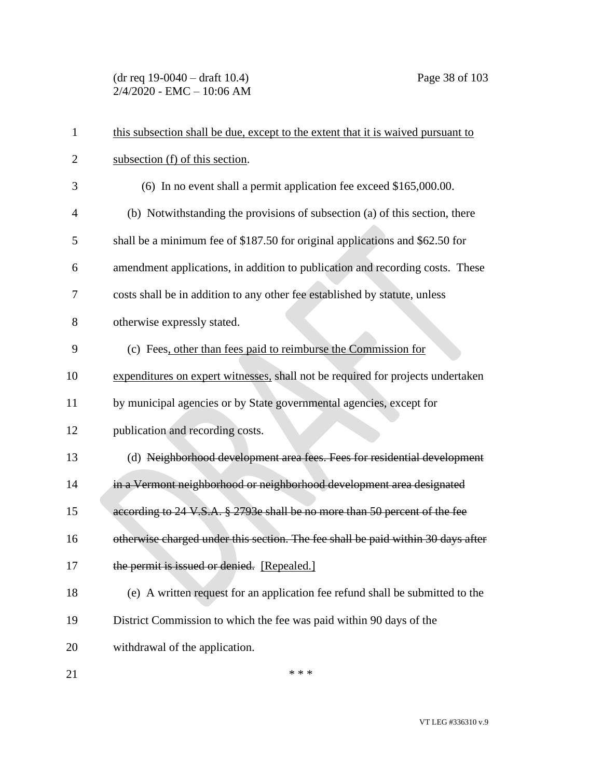(dr req 19-0040 – draft 10.4) Page 38 of 103 2/4/2020 - EMC – 10:06 AM

| 1              | this subsection shall be due, except to the extent that it is waived pursuant to |
|----------------|----------------------------------------------------------------------------------|
| $\overline{2}$ | subsection (f) of this section.                                                  |
| 3              | (6) In no event shall a permit application fee exceed \$165,000.00.              |
| $\overline{4}$ | (b) Notwithstanding the provisions of subsection (a) of this section, there      |
| 5              | shall be a minimum fee of \$187.50 for original applications and \$62.50 for     |
| 6              | amendment applications, in addition to publication and recording costs. These    |
| 7              | costs shall be in addition to any other fee established by statute, unless       |
| 8              | otherwise expressly stated.                                                      |
| 9              | (c) Fees, other than fees paid to reimburse the Commission for                   |
| 10             | expenditures on expert witnesses, shall not be required for projects undertaken  |
| 11             | by municipal agencies or by State governmental agencies, except for              |
| 12             | publication and recording costs.                                                 |
| 13             | (d) Neighborhood development area fees. Fees for residential development         |
| 14             | in a Vermont neighborhood or neighborhood development area designated            |
| 15             | according to 24 V.S.A. § 2793e shall be no more than 50 percent of the fee       |
| 16             | otherwise charged under this section. The fee shall be paid within 30 days after |
| 17             | the permit is issued or denied. [Repealed.]                                      |
| 18             | (e) A written request for an application fee refund shall be submitted to the    |
| 19             | District Commission to which the fee was paid within 90 days of the              |
| 20             | withdrawal of the application.                                                   |
| 21             | * * *                                                                            |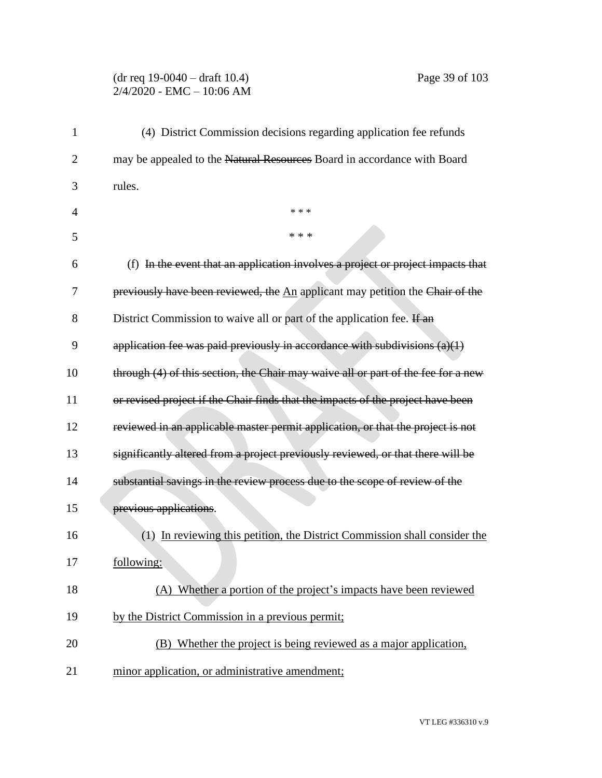## (dr req 19-0040 – draft 10.4) Page 39 of 103 2/4/2020 - EMC – 10:06 AM

| 1              | (4) District Commission decisions regarding application fee refunds               |
|----------------|-----------------------------------------------------------------------------------|
| $\overline{2}$ | may be appealed to the Natural Resources Board in accordance with Board           |
| 3              | rules.                                                                            |
| 4              | * * *                                                                             |
| 5              | * * *                                                                             |
| 6              | (f) In the event that an application involves a project or project impacts that   |
| 7              | previously have been reviewed, the An applicant may petition the Chair of the     |
| 8              | District Commission to waive all or part of the application fee. If an            |
| 9              | application fee was paid previously in accordance with subdivisions $(a)(1)$      |
| 10             | through (4) of this section, the Chair may waive all or part of the fee for a new |
| 11             | or revised project if the Chair finds that the impacts of the project have been   |
| 12             | reviewed in an applicable master permit application, or that the project is not   |
| 13             | significantly altered from a project previously reviewed, or that there will be   |
| 14             | substantial savings in the review process due to the scope of review of the       |
| 15             | previous applications.                                                            |
| 16             | (1) In reviewing this petition, the District Commission shall consider the        |
| 17             | following:                                                                        |
| 18             | (A) Whether a portion of the project's impacts have been reviewed                 |
| 19             | by the District Commission in a previous permit;                                  |
| 20             | (B) Whether the project is being reviewed as a major application,                 |
| 21             | minor application, or administrative amendment;                                   |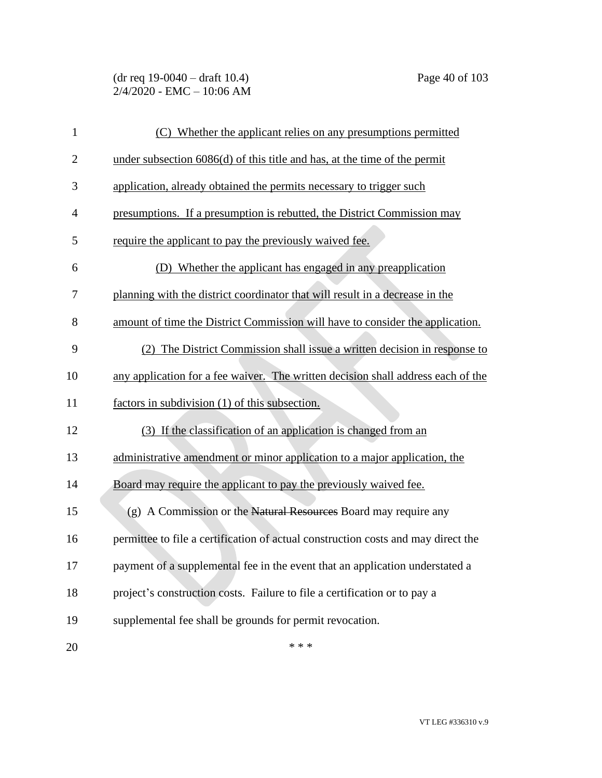(dr req 19-0040 – draft 10.4) Page 40 of 103 2/4/2020 - EMC – 10:06 AM

| $\mathbf{1}$   | (C) Whether the applicant relies on any presumptions permitted                    |
|----------------|-----------------------------------------------------------------------------------|
| $\overline{2}$ | under subsection $6086(d)$ of this title and has, at the time of the permit       |
| 3              | application, already obtained the permits necessary to trigger such               |
| $\overline{4}$ | presumptions. If a presumption is rebutted, the District Commission may           |
| 5              | require the applicant to pay the previously waived fee.                           |
| 6              | (D) Whether the applicant has engaged in any preapplication                       |
| 7              | planning with the district coordinator that will result in a decrease in the      |
| 8              | amount of time the District Commission will have to consider the application.     |
| 9              | (2) The District Commission shall issue a written decision in response to         |
| 10             | any application for a fee waiver. The written decision shall address each of the  |
| 11             | factors in subdivision (1) of this subsection.                                    |
| 12             | (3) If the classification of an application is changed from an                    |
| 13             | administrative amendment or minor application to a major application, the         |
| 14             | Board may require the applicant to pay the previously waived fee.                 |
| 15             | (g) A Commission or the Natural Resources Board may require any                   |
| 16             | permittee to file a certification of actual construction costs and may direct the |
| 17             | payment of a supplemental fee in the event that an application understated a      |
| 18             | project's construction costs. Failure to file a certification or to pay a         |
| 19             | supplemental fee shall be grounds for permit revocation.                          |
| 20             | * * *                                                                             |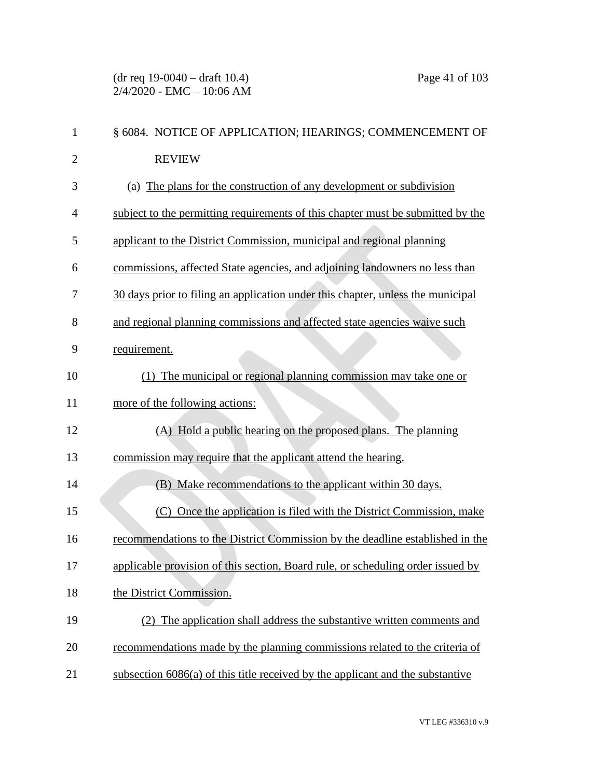(dr req 19-0040 – draft 10.4) Page 41 of 103 2/4/2020 - EMC – 10:06 AM

| $\mathbf{1}$   | § 6084. NOTICE OF APPLICATION; HEARINGS; COMMENCEMENT OF                         |
|----------------|----------------------------------------------------------------------------------|
| $\overline{2}$ | <b>REVIEW</b>                                                                    |
| 3              | (a) The plans for the construction of any development or subdivision             |
| 4              | subject to the permitting requirements of this chapter must be submitted by the  |
| 5              | applicant to the District Commission, municipal and regional planning            |
| 6              | commissions, affected State agencies, and adjoining landowners no less than      |
| 7              | 30 days prior to filing an application under this chapter, unless the municipal  |
| 8              | and regional planning commissions and affected state agencies waive such         |
| 9              | requirement.                                                                     |
| 10             | (1) The municipal or regional planning commission may take one or                |
| 11             | more of the following actions:                                                   |
| 12             | (A) Hold a public hearing on the proposed plans. The planning                    |
| 13             | commission may require that the applicant attend the hearing.                    |
| 14             | Make recommendations to the applicant within 30 days.<br>(B)                     |
| 15             | (C) Once the application is filed with the District Commission, make             |
| 16             | recommendations to the District Commission by the deadline established in the    |
| 17             | applicable provision of this section, Board rule, or scheduling order issued by  |
| 18             | the District Commission.                                                         |
| 19             | The application shall address the substantive written comments and               |
| 20             | recommendations made by the planning commissions related to the criteria of      |
| 21             | subsection $6086(a)$ of this title received by the applicant and the substantive |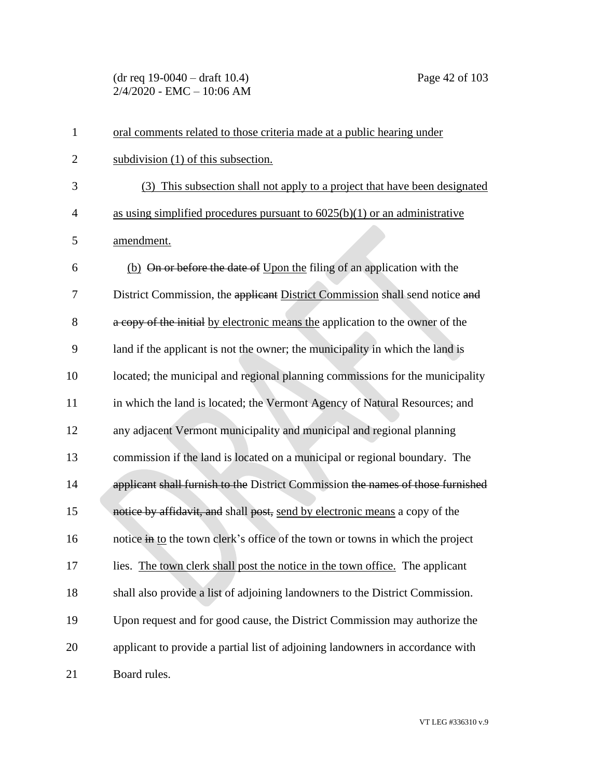(dr req 19-0040 – draft 10.4) Page 42 of 103 2/4/2020 - EMC – 10:06 AM

| $\mathbf{1}$   | oral comments related to those criteria made at a public hearing under          |
|----------------|---------------------------------------------------------------------------------|
| $\overline{2}$ | subdivision (1) of this subsection.                                             |
| 3              | (3) This subsection shall not apply to a project that have been designated      |
| $\overline{4}$ | as using simplified procedures pursuant to $6025(b)(1)$ or an administrative    |
| 5              | amendment.                                                                      |
| 6              | (b) On or before the date of Upon the filing of an application with the         |
| 7              | District Commission, the applicant District Commission shall send notice and    |
| 8              | a copy of the initial by electronic means the application to the owner of the   |
| 9              | land if the applicant is not the owner; the municipality in which the land is   |
| 10             | located; the municipal and regional planning commissions for the municipality   |
| 11             | in which the land is located; the Vermont Agency of Natural Resources; and      |
| 12             | any adjacent Vermont municipality and municipal and regional planning           |
| 13             | commission if the land is located on a municipal or regional boundary. The      |
| 14             | applicant shall furnish to the District Commission the names of those furnished |
| 15             | notice by affidavit, and shall post, send by electronic means a copy of the     |
| 16             | notice in to the town clerk's office of the town or towns in which the project  |
| 17             | lies. The town clerk shall post the notice in the town office. The applicant    |
| 18             | shall also provide a list of adjoining landowners to the District Commission.   |
| 19             | Upon request and for good cause, the District Commission may authorize the      |
| 20             | applicant to provide a partial list of adjoining landowners in accordance with  |
| 21             | Board rules.                                                                    |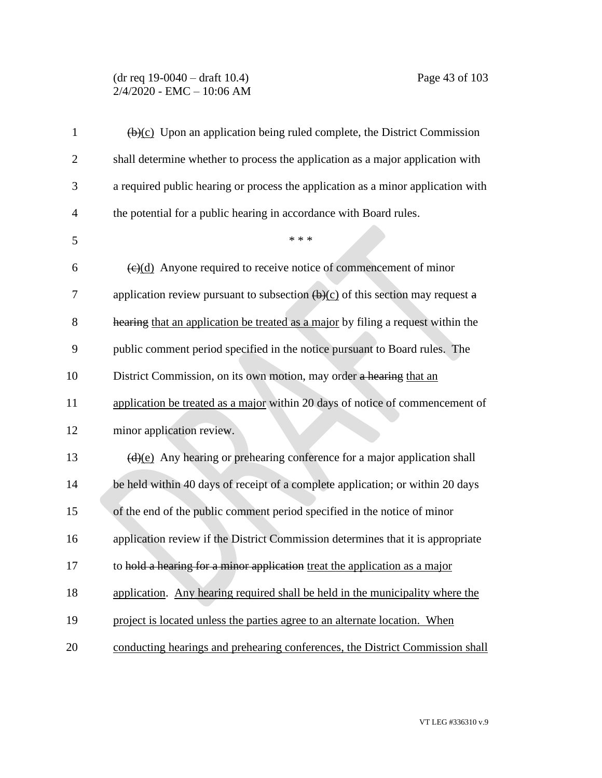## (dr req 19-0040 – draft 10.4) Page 43 of 103 2/4/2020 - EMC – 10:06 AM

| $\mathbf{1}$   | $\overline{(b)(c)}$ Upon an application being ruled complete, the District Commission              |
|----------------|----------------------------------------------------------------------------------------------------|
| $\overline{2}$ | shall determine whether to process the application as a major application with                     |
| 3              | a required public hearing or process the application as a minor application with                   |
| $\overline{4}$ | the potential for a public hearing in accordance with Board rules.                                 |
| 5              | * * *                                                                                              |
| 6              | $\left(\frac{e}{c}\right)$ Anyone required to receive notice of commencement of minor              |
| 7              | application review pursuant to subsection $\left(\frac{b}{c}\right)$ of this section may request a |
| 8              | hearing that an application be treated as a major by filing a request within the                   |
| 9              | public comment period specified in the notice pursuant to Board rules. The                         |
| 10             | District Commission, on its own motion, may order a hearing that an                                |
| 11             | application be treated as a major within 20 days of notice of commencement of                      |
| 12             | minor application review.                                                                          |
| 13             | $\left(\frac{d}{e}\right)$ Any hearing or prehearing conference for a major application shall      |
| 14             | be held within 40 days of receipt of a complete application; or within 20 days                     |
| 15             | of the end of the public comment period specified in the notice of minor                           |
| 16             | application review if the District Commission determines that it is appropriate                    |
| 17             | to hold a hearing for a minor application treat the application as a major                         |
| 18             | application. Any hearing required shall be held in the municipality where the                      |
| 19             | project is located unless the parties agree to an alternate location. When                         |
| 20             | conducting hearings and prehearing conferences, the District Commission shall                      |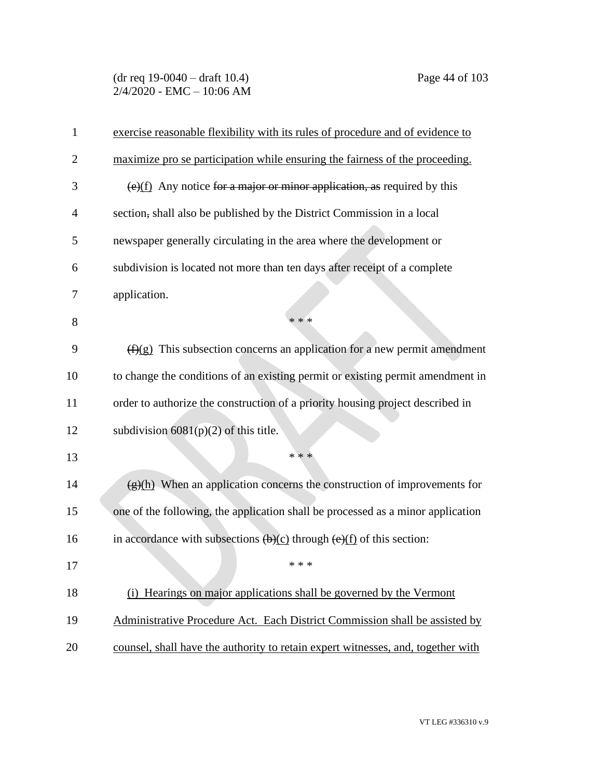(dr req 19-0040 – draft 10.4) Page 44 of 103 2/4/2020 - EMC – 10:06 AM

| $\mathbf{1}$   | exercise reasonable flexibility with its rules of procedure and of evidence to                                |
|----------------|---------------------------------------------------------------------------------------------------------------|
| $\overline{2}$ | maximize pro se participation while ensuring the fairness of the proceeding.                                  |
| 3              | $\left(\frac{e}{f}\right)$ Any notice for a major or minor application, as required by this                   |
| $\overline{4}$ | section, shall also be published by the District Commission in a local                                        |
| 5              | newspaper generally circulating in the area where the development or                                          |
| 6              | subdivision is located not more than ten days after receipt of a complete                                     |
| 7              | application.                                                                                                  |
| 8              | * * *                                                                                                         |
| 9              | $(f)(g)$ This subsection concerns an application for a new permit amendment                                   |
| 10             | to change the conditions of an existing permit or existing permit amendment in                                |
| 11             | order to authorize the construction of a priority housing project described in                                |
| 12             | subdivision $6081(p)(2)$ of this title.                                                                       |
| 13             | * * *                                                                                                         |
| 14             | $\frac{g(h)}{h}$ When an application concerns the construction of improvements for                            |
| 15             | one of the following, the application shall be processed as a minor application                               |
| 16             | in accordance with subsections $\left(\frac{b}{c}\right)$ through $\left(\frac{e}{f}\right)$ of this section: |
| 17             | * * *                                                                                                         |
| 18             | (i) Hearings on major applications shall be governed by the Vermont                                           |
| 19             | Administrative Procedure Act. Each District Commission shall be assisted by                                   |
| 20             | counsel, shall have the authority to retain expert witnesses, and, together with                              |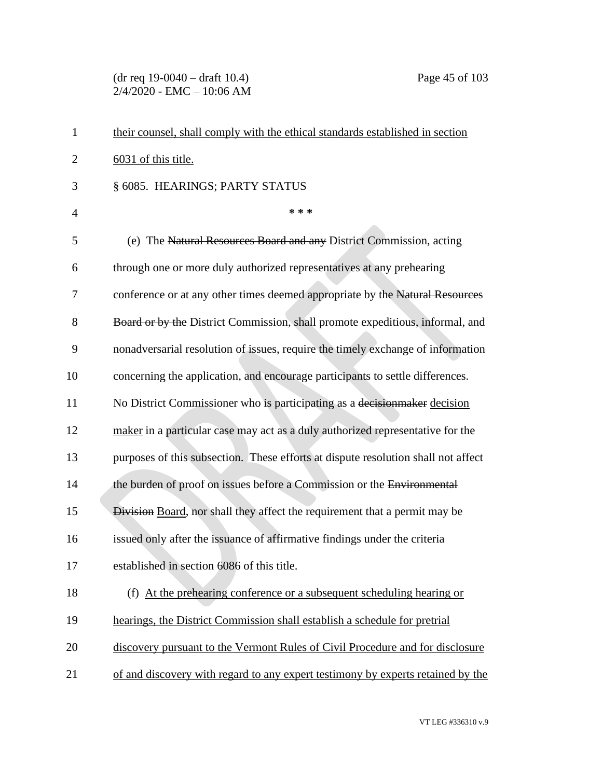(dr req 19-0040 – draft 10.4) Page 45 of 103 2/4/2020 - EMC – 10:06 AM

| $\mathbf{1}$   | their counsel, shall comply with the ethical standards established in section     |
|----------------|-----------------------------------------------------------------------------------|
| $\overline{2}$ | 6031 of this title.                                                               |
| 3              | § 6085. HEARINGS; PARTY STATUS                                                    |
| $\overline{4}$ | * * *                                                                             |
| 5              | (e) The Natural Resources Board and any District Commission, acting               |
| 6              | through one or more duly authorized representatives at any prehearing             |
| 7              | conference or at any other times deemed appropriate by the Natural Resources      |
| 8              | Board or by the District Commission, shall promote expeditious, informal, and     |
| 9              | nonadversarial resolution of issues, require the timely exchange of information   |
| 10             | concerning the application, and encourage participants to settle differences.     |
| 11             | No District Commissioner who is participating as a decision maker decision        |
| 12             | maker in a particular case may act as a duly authorized representative for the    |
| 13             | purposes of this subsection. These efforts at dispute resolution shall not affect |
| 14             | the burden of proof on issues before a Commission or the Environmental            |
| 15             | Division Board, nor shall they affect the requirement that a permit may be        |
| 16             | issued only after the issuance of affirmative findings under the criteria         |
| 17             | established in section 6086 of this title.                                        |
| 18             | (f) At the prehearing conference or a subsequent scheduling hearing or            |
| 19             | hearings, the District Commission shall establish a schedule for pretrial         |
| 20             | discovery pursuant to the Vermont Rules of Civil Procedure and for disclosure     |
| 21             | of and discovery with regard to any expert testimony by experts retained by the   |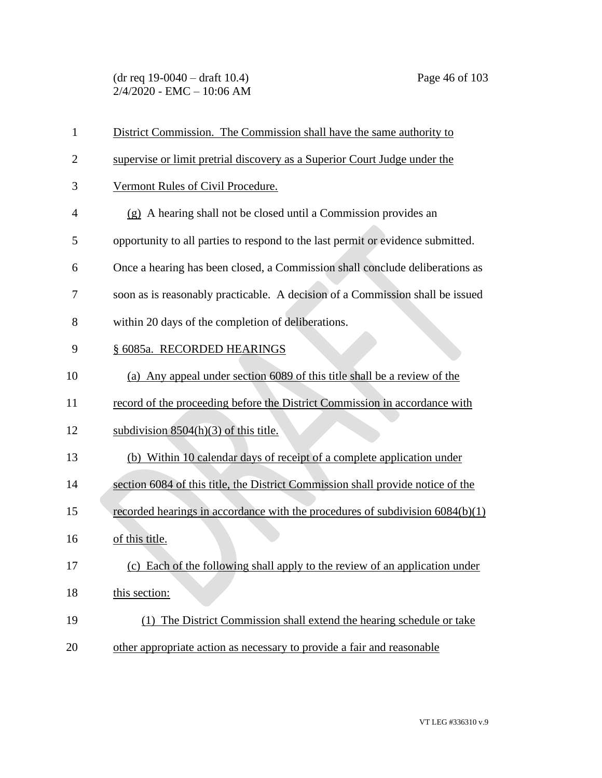(dr req 19-0040 – draft 10.4) Page 46 of 103 2/4/2020 - EMC – 10:06 AM

| $\mathbf{1}$   | District Commission. The Commission shall have the same authority to            |
|----------------|---------------------------------------------------------------------------------|
| $\overline{2}$ | supervise or limit pretrial discovery as a Superior Court Judge under the       |
| 3              | Vermont Rules of Civil Procedure.                                               |
| 4              | $(g)$ A hearing shall not be closed until a Commission provides an              |
| 5              | opportunity to all parties to respond to the last permit or evidence submitted. |
| 6              | Once a hearing has been closed, a Commission shall conclude deliberations as    |
| 7              | soon as is reasonably practicable. A decision of a Commission shall be issued   |
| 8              | within 20 days of the completion of deliberations.                              |
| 9              | § 6085a. RECORDED HEARINGS                                                      |
| 10             | (a) Any appeal under section 6089 of this title shall be a review of the        |
| 11             | record of the proceeding before the District Commission in accordance with      |
| 12             | subdivision $8504(h)(3)$ of this title.                                         |
| 13             | (b) Within 10 calendar days of receipt of a complete application under          |
| 14             | section 6084 of this title, the District Commission shall provide notice of the |
| 15             | recorded hearings in accordance with the procedures of subdivision 6084(b)(1)   |
| 16             | of this title.                                                                  |
| 17             | (c) Each of the following shall apply to the review of an application under     |
| 18             | this section:                                                                   |
| 19             | The District Commission shall extend the hearing schedule or take<br>(1)        |
| 20             | other appropriate action as necessary to provide a fair and reasonable          |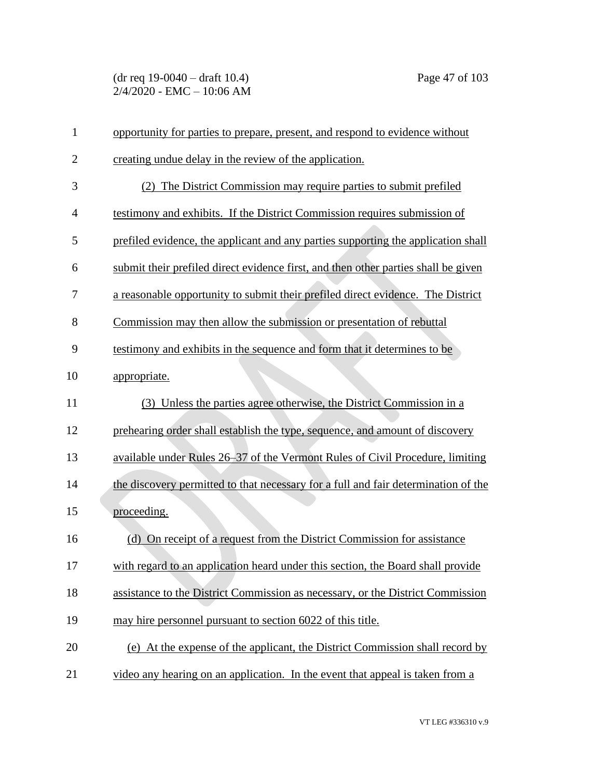(dr req 19-0040 – draft 10.4) Page 47 of 103 2/4/2020 - EMC – 10:06 AM

| $\mathbf{1}$   | opportunity for parties to prepare, present, and respond to evidence without       |
|----------------|------------------------------------------------------------------------------------|
| $\overline{2}$ | creating undue delay in the review of the application.                             |
| 3              | (2) The District Commission may require parties to submit prefiled                 |
| $\overline{4}$ | testimony and exhibits. If the District Commission requires submission of          |
| 5              | prefiled evidence, the applicant and any parties supporting the application shall  |
| 6              | submit their prefiled direct evidence first, and then other parties shall be given |
| 7              | a reasonable opportunity to submit their prefiled direct evidence. The District    |
| 8              | Commission may then allow the submission or presentation of rebuttal               |
| 9              | testimony and exhibits in the sequence and form that it determines to be           |
| 10             | appropriate.                                                                       |
| 11             | (3) Unless the parties agree otherwise, the District Commission in a               |
| 12             | prehearing order shall establish the type, sequence, and amount of discovery       |
| 13             | available under Rules 26–37 of the Vermont Rules of Civil Procedure, limiting      |
| 14             | the discovery permitted to that necessary for a full and fair determination of the |
| 15             | proceeding.                                                                        |
| 16             | (d) On receipt of a request from the District Commission for assistance            |
| 17             | with regard to an application heard under this section, the Board shall provide    |
| 18             | assistance to the District Commission as necessary, or the District Commission     |
| 19             | may hire personnel pursuant to section 6022 of this title.                         |
| 20             | (e) At the expense of the applicant, the District Commission shall record by       |
| 21             | video any hearing on an application. In the event that appeal is taken from a      |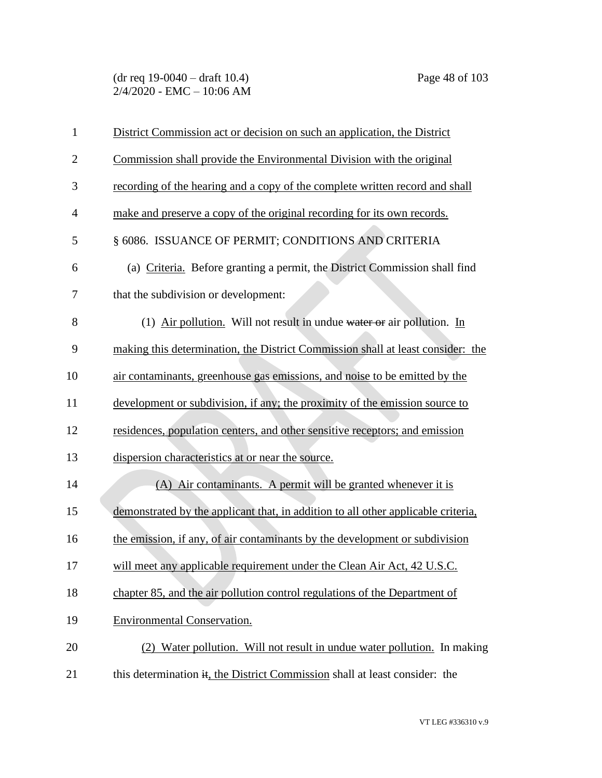(dr req 19-0040 – draft 10.4) Page 48 of 103 2/4/2020 - EMC – 10:06 AM

| $\mathbf{1}$   | District Commission act or decision on such an application, the District          |
|----------------|-----------------------------------------------------------------------------------|
| $\overline{2}$ | Commission shall provide the Environmental Division with the original             |
| 3              | recording of the hearing and a copy of the complete written record and shall      |
| $\overline{4}$ | make and preserve a copy of the original recording for its own records.           |
| 5              | § 6086. ISSUANCE OF PERMIT; CONDITIONS AND CRITERIA                               |
| 6              | (a) Criteria. Before granting a permit, the District Commission shall find        |
| 7              | that the subdivision or development:                                              |
| 8              | (1) Air pollution. Will not result in undue water or air pollution. In            |
| 9              | making this determination, the District Commission shall at least consider: the   |
| 10             | air contaminants, greenhouse gas emissions, and noise to be emitted by the        |
| 11             | development or subdivision, if any; the proximity of the emission source to       |
| 12             | residences, population centers, and other sensitive receptors; and emission       |
| 13             | dispersion characteristics at or near the source.                                 |
| 14             | (A) Air contaminants. A permit will be granted whenever it is                     |
| 15             | demonstrated by the applicant that, in addition to all other applicable criteria, |
| 16             | the emission, if any, of air contaminants by the development or subdivision       |
| 17             | will meet any applicable requirement under the Clean Air Act, 42 U.S.C.           |
| 18             | chapter 85, and the air pollution control regulations of the Department of        |
| 19             | <b>Environmental Conservation.</b>                                                |
| 20             | (2) Water pollution. Will not result in undue water pollution. In making          |
| 21             | this determination it, the District Commission shall at least consider: the       |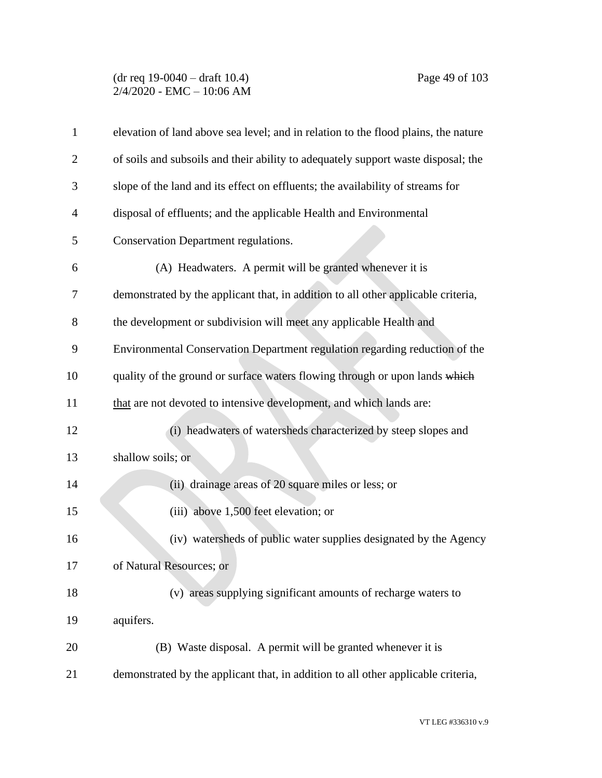## (dr req 19-0040 – draft 10.4) Page 49 of 103 2/4/2020 - EMC – 10:06 AM

| $\mathbf{1}$   | elevation of land above sea level; and in relation to the flood plains, the nature |
|----------------|------------------------------------------------------------------------------------|
| 2              | of soils and subsoils and their ability to adequately support waste disposal; the  |
| 3              | slope of the land and its effect on effluents; the availability of streams for     |
| $\overline{4}$ | disposal of effluents; and the applicable Health and Environmental                 |
| 5              | <b>Conservation Department regulations.</b>                                        |
| 6              | (A) Headwaters. A permit will be granted whenever it is                            |
| 7              | demonstrated by the applicant that, in addition to all other applicable criteria,  |
| 8              | the development or subdivision will meet any applicable Health and                 |
| 9              | Environmental Conservation Department regulation regarding reduction of the        |
| 10             | quality of the ground or surface waters flowing through or upon lands which        |
| 11             | that are not devoted to intensive development, and which lands are:                |
| 12             | (i) headwaters of watersheds characterized by steep slopes and                     |
| 13             | shallow soils; or                                                                  |
| 14             | (ii) drainage areas of 20 square miles or less; or                                 |
| 15             | (iii) above 1,500 feet elevation; or                                               |
| 16             | (iv) watersheds of public water supplies designated by the Agency                  |
| 17             | of Natural Resources; or                                                           |
| 18             | (v) areas supplying significant amounts of recharge waters to                      |
| 19             | aquifers.                                                                          |
| 20             | (B) Waste disposal. A permit will be granted whenever it is                        |
| 21             | demonstrated by the applicant that, in addition to all other applicable criteria,  |

VT LEG #336310 v.9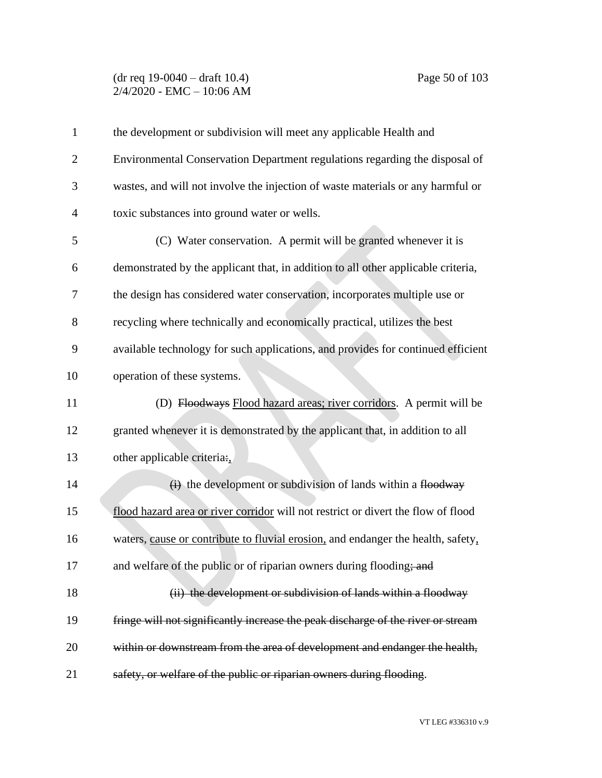### (dr req 19-0040 – draft 10.4) Page 50 of 103 2/4/2020 - EMC – 10:06 AM

| $\mathbf{1}$   | the development or subdivision will meet any applicable Health and                |
|----------------|-----------------------------------------------------------------------------------|
| $\overline{2}$ | Environmental Conservation Department regulations regarding the disposal of       |
| 3              | wastes, and will not involve the injection of waste materials or any harmful or   |
| $\overline{4}$ | toxic substances into ground water or wells.                                      |
| 5              | (C) Water conservation. A permit will be granted whenever it is                   |
| 6              | demonstrated by the applicant that, in addition to all other applicable criteria, |
| 7              | the design has considered water conservation, incorporates multiple use or        |
| 8              | recycling where technically and economically practical, utilizes the best         |
| 9              | available technology for such applications, and provides for continued efficient  |
| 10             | operation of these systems.                                                       |
| 11             | (D) Floodways Flood hazard areas; river corridors. A permit will be               |
| 12             | granted whenever it is demonstrated by the applicant that, in addition to all     |
| 13             | other applicable criteria:                                                        |
| 14             | $\overrightarrow{H}$ the development or subdivision of lands within a flood way   |
| 15             | flood hazard area or river corridor will not restrict or divert the flow of flood |
| 16             | waters, cause or contribute to fluvial erosion, and endanger the health, safety,  |
| 17             | and welfare of the public or of riparian owners during flooding; and              |
| 18             | (ii) the development or subdivision of lands within a floodway                    |
| 19             | fringe will not significantly increase the peak discharge of the river or stream  |
| 20             | within or downstream from the area of development and endanger the health,        |
| 21             | safety, or welfare of the public or riparian owners during flooding.              |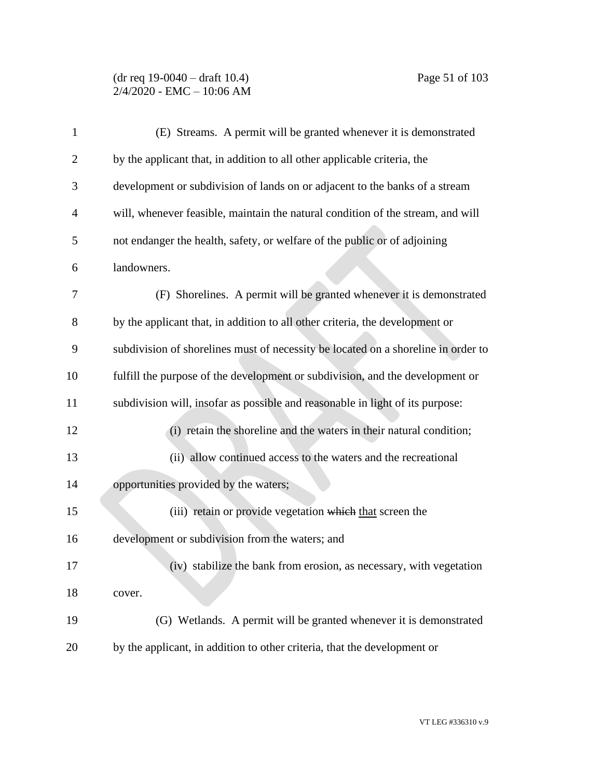### (dr req 19-0040 – draft 10.4) Page 51 of 103 2/4/2020 - EMC – 10:06 AM

| $\mathbf{1}$   | (E) Streams. A permit will be granted whenever it is demonstrated                 |
|----------------|-----------------------------------------------------------------------------------|
| $\overline{2}$ | by the applicant that, in addition to all other applicable criteria, the          |
| 3              | development or subdivision of lands on or adjacent to the banks of a stream       |
| 4              | will, whenever feasible, maintain the natural condition of the stream, and will   |
| 5              | not endanger the health, safety, or welfare of the public or of adjoining         |
| 6              | landowners.                                                                       |
| 7              | (F) Shorelines. A permit will be granted whenever it is demonstrated              |
| 8              | by the applicant that, in addition to all other criteria, the development or      |
| 9              | subdivision of shorelines must of necessity be located on a shoreline in order to |
| 10             | fulfill the purpose of the development or subdivision, and the development or     |
| 11             | subdivision will, insofar as possible and reasonable in light of its purpose:     |
| 12             | (i) retain the shoreline and the waters in their natural condition;               |
| 13             | (ii) allow continued access to the waters and the recreational                    |
| 14             | opportunities provided by the waters;                                             |
| 15             | (iii) retain or provide vegetation which that screen the                          |
| 16             | development or subdivision from the waters; and                                   |
| 17             | (iv) stabilize the bank from erosion, as necessary, with vegetation               |
| 18             | cover.                                                                            |
| 19             | (G) Wetlands. A permit will be granted whenever it is demonstrated                |
| 20             | by the applicant, in addition to other criteria, that the development or          |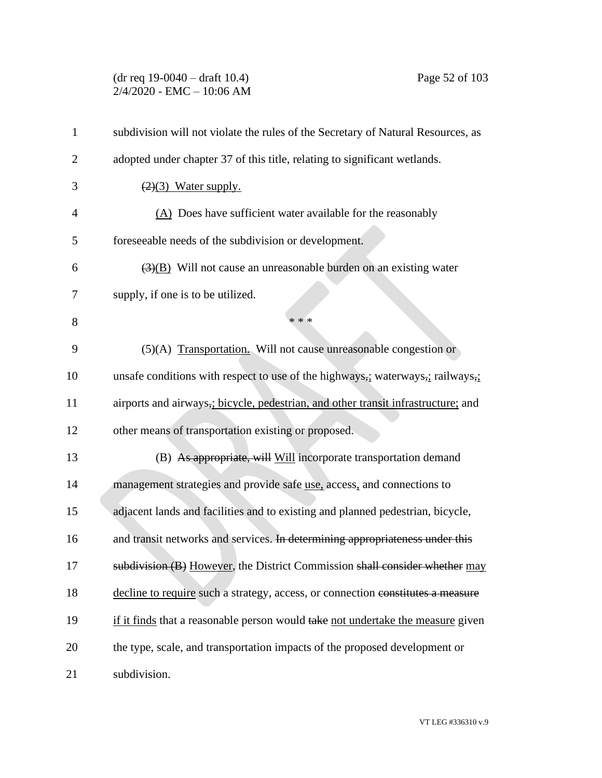## (dr req 19-0040 – draft 10.4) Page 52 of 103 2/4/2020 - EMC – 10:06 AM

| $\mathbf{1}$   | subdivision will not violate the rules of the Secretary of Natural Resources, as |
|----------------|----------------------------------------------------------------------------------|
| $\overline{2}$ | adopted under chapter 37 of this title, relating to significant wetlands.        |
| 3              | $(2)(3)$ Water supply.                                                           |
| $\overline{4}$ | $(A)$ Does have sufficient water available for the reasonably                    |
| 5              | foreseeable needs of the subdivision or development.                             |
| 6              | $\overline{(3)(B)}$ Will not cause an unreasonable burden on an existing water   |
| 7              | supply, if one is to be utilized.                                                |
| 8              | * * *                                                                            |
| 9              | (5)(A) Transportation. Will not cause unreasonable congestion or                 |
| 10             | unsafe conditions with respect to use of the highways, waterways, railways,      |
| 11             | airports and airways, bicycle, pedestrian, and other transit infrastructure; and |
| 12             | other means of transportation existing or proposed.                              |
| 13             | (B) As appropriate, will Will incorporate transportation demand                  |
| 14             | management strategies and provide safe use, access, and connections to           |
| 15             | adjacent lands and facilities and to existing and planned pedestrian, bicycle,   |
| 16             | and transit networks and services. In determining appropriateness under this     |
| 17             | subdivision (B) However, the District Commission shall consider whether may      |
| 18             | decline to require such a strategy, access, or connection constitutes a measure  |
| 19             | if it finds that a reasonable person would take not undertake the measure given  |
| 20             | the type, scale, and transportation impacts of the proposed development or       |
| 21             | subdivision.                                                                     |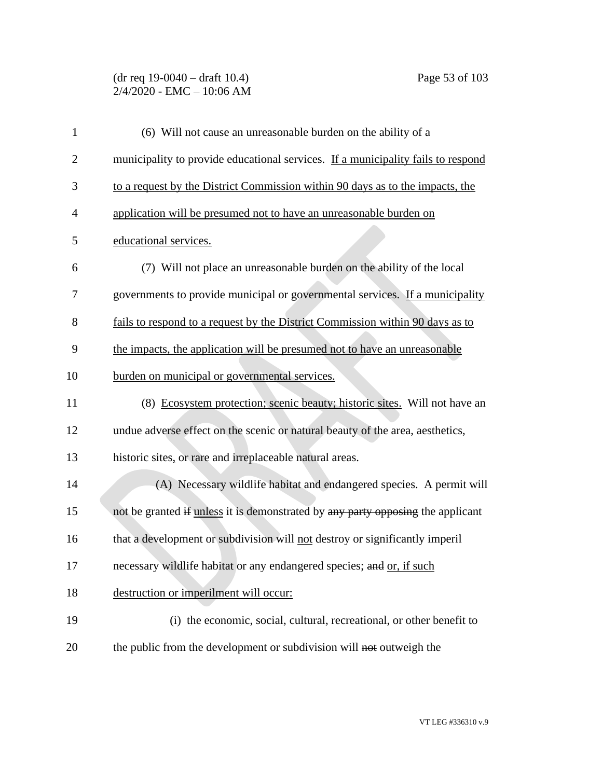# (dr req 19-0040 – draft 10.4) Page 53 of 103 2/4/2020 - EMC – 10:06 AM

| $\mathbf{1}$   | (6) Will not cause an unreasonable burden on the ability of a                    |
|----------------|----------------------------------------------------------------------------------|
| $\overline{2}$ | municipality to provide educational services. If a municipality fails to respond |
| 3              | to a request by the District Commission within 90 days as to the impacts, the    |
| 4              | application will be presumed not to have an unreasonable burden on               |
| 5              | educational services.                                                            |
| 6              | (7) Will not place an unreasonable burden on the ability of the local            |
| 7              | governments to provide municipal or governmental services. If a municipality     |
| 8              | fails to respond to a request by the District Commission within 90 days as to    |
| 9              | the impacts, the application will be presumed not to have an unreasonable        |
| 10             | burden on municipal or governmental services.                                    |
| 11             | (8) Ecosystem protection; scenic beauty; historic sites. Will not have an        |
| 12             | undue adverse effect on the scenic or natural beauty of the area, aesthetics,    |
| 13             | historic sites, or rare and irreplaceable natural areas.                         |
| 14             | (A) Necessary wildlife habitat and endangered species. A permit will             |
| 15             | not be granted if unless it is demonstrated by any party opposing the applicant  |
| 16             | that a development or subdivision will not destroy or significantly imperil      |
| 17             | necessary wildlife habitat or any endangered species; and or, if such            |
| 18             | destruction or imperilment will occur:                                           |
| 19             | (i) the economic, social, cultural, recreational, or other benefit to            |
| 20             | the public from the development or subdivision will not outweigh the             |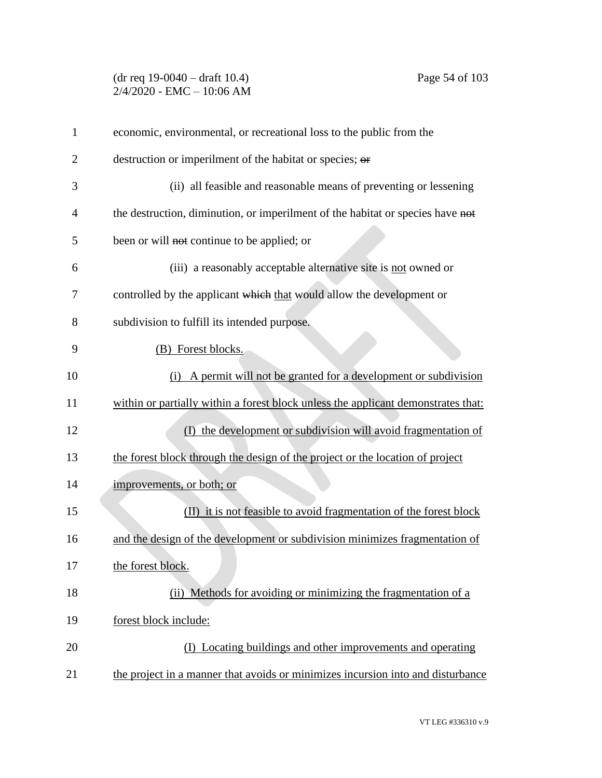## (dr req 19-0040 – draft 10.4) Page 54 of 103 2/4/2020 - EMC – 10:06 AM

| $\mathbf{1}$   | economic, environmental, or recreational loss to the public from the              |
|----------------|-----------------------------------------------------------------------------------|
| $\overline{2}$ | destruction or imperilment of the habitat or species; or                          |
| 3              | (ii) all feasible and reasonable means of preventing or lessening                 |
| $\overline{4}$ | the destruction, diminution, or imperilment of the habitat or species have not    |
| 5              | been or will not continue to be applied; or                                       |
| 6              | (iii) a reasonably acceptable alternative site is not owned or                    |
| 7              | controlled by the applicant which that would allow the development or             |
| 8              | subdivision to fulfill its intended purpose.                                      |
| 9              | (B) Forest blocks.                                                                |
| 10             | A permit will not be granted for a development or subdivision<br>(i)              |
| 11             | within or partially within a forest block unless the applicant demonstrates that: |
| 12             | the development or subdivision will avoid fragmentation of<br>(D                  |
| 13             | the forest block through the design of the project or the location of project     |
| 14             | improvements, or both; or                                                         |
| 15             | (II) it is not feasible to avoid fragmentation of the forest block                |
| 16             | and the design of the development or subdivision minimizes fragmentation of       |
| 17             | the forest block.                                                                 |
| 18             | (ii) Methods for avoiding or minimizing the fragmentation of a                    |
| 19             | forest block include:                                                             |
| 20             | (I) Locating buildings and other improvements and operating                       |
| 21             | the project in a manner that avoids or minimizes incursion into and disturbance   |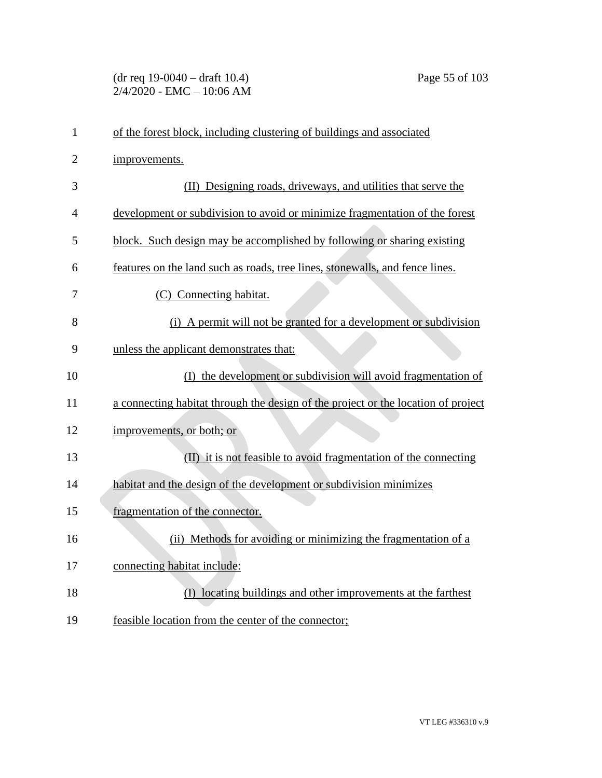# (dr req 19-0040 – draft 10.4) Page 55 of 103 2/4/2020 - EMC – 10:06 AM

| 1              | of the forest block, including clustering of buildings and associated             |
|----------------|-----------------------------------------------------------------------------------|
| $\overline{2}$ | improvements.                                                                     |
| 3              | (II) Designing roads, driveways, and utilities that serve the                     |
| 4              | development or subdivision to avoid or minimize fragmentation of the forest       |
| 5              | block. Such design may be accomplished by following or sharing existing           |
| 6              | features on the land such as roads, tree lines, stonewalls, and fence lines.      |
| 7              | (C) Connecting habitat.                                                           |
| 8              | (i) A permit will not be granted for a development or subdivision                 |
| 9              | unless the applicant demonstrates that:                                           |
| 10             | (I) the development or subdivision will avoid fragmentation of                    |
| 11             | a connecting habitat through the design of the project or the location of project |
| 12             | improvements, or both; or                                                         |
| 13             | (II) it is not feasible to avoid fragmentation of the connecting                  |
| 14             | habitat and the design of the development or subdivision minimizes                |
| 15             | fragmentation of the connector.                                                   |
| 16             | (ii) Methods for avoiding or minimizing the fragmentation of a                    |
| 17             | connecting habitat include:                                                       |
| 18             | (I) locating buildings and other improvements at the farthest                     |
| 19             | feasible location from the center of the connector;                               |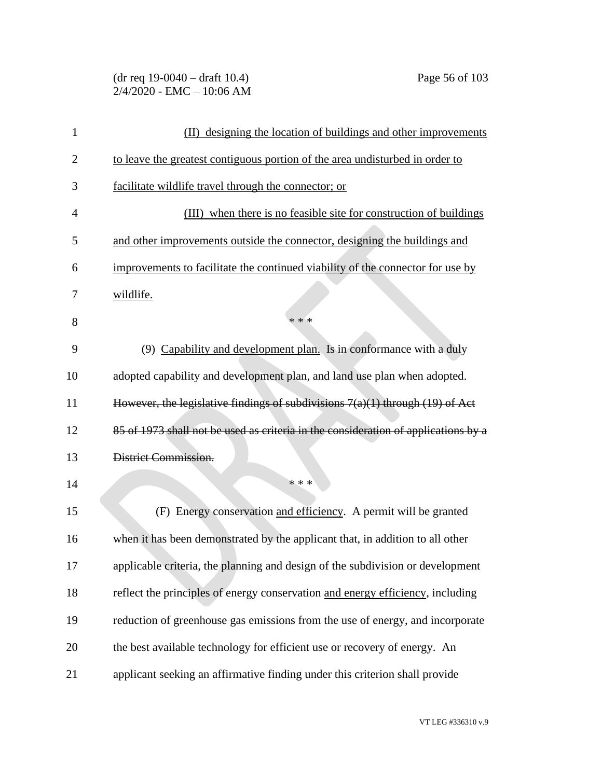(dr req 19-0040 – draft 10.4) Page 56 of 103 2/4/2020 - EMC – 10:06 AM

| 1              | designing the location of buildings and other improvements<br>(II)                 |
|----------------|------------------------------------------------------------------------------------|
| $\overline{2}$ | to leave the greatest contiguous portion of the area undisturbed in order to       |
| 3              | facilitate wildlife travel through the connector; or                               |
| $\overline{4}$ | (III) when there is no feasible site for construction of buildings                 |
| 5              | and other improvements outside the connector, designing the buildings and          |
| 6              | improvements to facilitate the continued viability of the connector for use by     |
| 7              | wildlife.                                                                          |
| 8              | * * *                                                                              |
| 9              | (9) Capability and development plan. Is in conformance with a duly                 |
| 10             | adopted capability and development plan, and land use plan when adopted.           |
| 11             | However, the legislative findings of subdivisions 7(a)(1) through (19) of Act      |
| 12             | 85 of 1973 shall not be used as criteria in the consideration of applications by a |
| 13             | District Commission.                                                               |
| 14             | * * *                                                                              |
| 15             | (F) Energy conservation and efficiency. A permit will be granted                   |
| 16             | when it has been demonstrated by the applicant that, in addition to all other      |
| 17             | applicable criteria, the planning and design of the subdivision or development     |
| 18             | reflect the principles of energy conservation and energy efficiency, including     |
| 19             | reduction of greenhouse gas emissions from the use of energy, and incorporate      |
| 20             | the best available technology for efficient use or recovery of energy. An          |
| 21             | applicant seeking an affirmative finding under this criterion shall provide        |

VT LEG #336310 v.9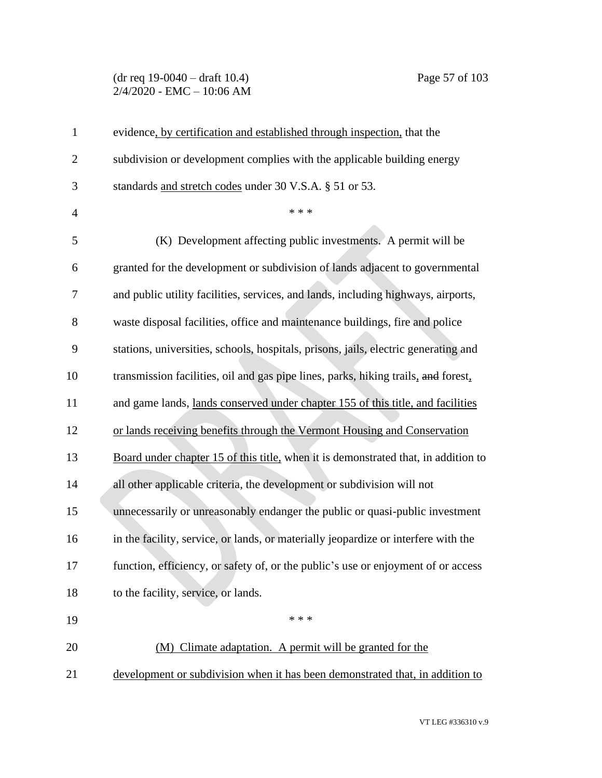### (dr req 19-0040 – draft 10.4) Page 57 of 103 2/4/2020 - EMC – 10:06 AM

| $\mathbf{1}$   | evidence, by certification and established through inspection, that the             |
|----------------|-------------------------------------------------------------------------------------|
| $\overline{2}$ | subdivision or development complies with the applicable building energy             |
| 3              | standards and stretch codes under 30 V.S.A. § 51 or 53.                             |
| $\overline{4}$ | * * *                                                                               |
| 5              | (K) Development affecting public investments. A permit will be                      |
| 6              | granted for the development or subdivision of lands adjacent to governmental        |
| 7              | and public utility facilities, services, and lands, including highways, airports,   |
| 8              | waste disposal facilities, office and maintenance buildings, fire and police        |
| 9              | stations, universities, schools, hospitals, prisons, jails, electric generating and |
| 10             | transmission facilities, oil and gas pipe lines, parks, hiking trails, and forest,  |
| 11             | and game lands, lands conserved under chapter 155 of this title, and facilities     |
| 12             | or lands receiving benefits through the Vermont Housing and Conservation            |
| 13             | Board under chapter 15 of this title, when it is demonstrated that, in addition to  |
| 14             | all other applicable criteria, the development or subdivision will not              |
| 15             | unnecessarily or unreasonably endanger the public or quasi-public investment        |
| 16             | in the facility, service, or lands, or materially jeopardize or interfere with the  |
| 17             | function, efficiency, or safety of, or the public's use or enjoyment of or access   |
| 18             | to the facility, service, or lands.                                                 |
| 19             | * * *                                                                               |
| 20             | (M) Climate adaptation. A permit will be granted for the                            |
| 21             | development or subdivision when it has been demonstrated that, in addition to       |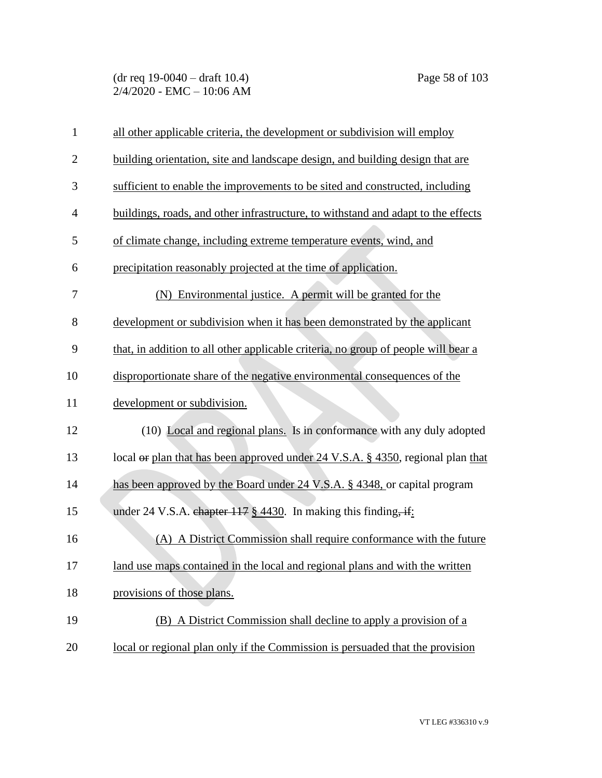| $\mathbf{1}$   | all other applicable criteria, the development or subdivision will employ          |
|----------------|------------------------------------------------------------------------------------|
| $\overline{2}$ | building orientation, site and landscape design, and building design that are      |
| 3              | sufficient to enable the improvements to be sited and constructed, including       |
| $\overline{4}$ | buildings, roads, and other infrastructure, to withstand and adapt to the effects  |
| 5              | of climate change, including extreme temperature events, wind, and                 |
| 6              | precipitation reasonably projected at the time of application.                     |
| 7              | (N) Environmental justice. A permit will be granted for the                        |
| 8              | development or subdivision when it has been demonstrated by the applicant          |
| 9              | that, in addition to all other applicable criteria, no group of people will bear a |
| 10             | disproportionate share of the negative environmental consequences of the           |
| 11             | development or subdivision.                                                        |
| 12             | (10) Local and regional plans. Is in conformance with any duly adopted             |
| 13             | local or plan that has been approved under 24 V.S.A. § 4350, regional plan that    |
| 14             | has been approved by the Board under 24 V.S.A. § 4348, or capital program          |
| 15             | under 24 V.S.A. chapter $117 \frac{8}{9}$ 4430. In making this finding, if:        |
| 16             | (A) A District Commission shall require conformance with the future                |
| 17             | land use maps contained in the local and regional plans and with the written       |
| 18             | provisions of those plans.                                                         |
| 19             | (B) A District Commission shall decline to apply a provision of a                  |
| 20             | local or regional plan only if the Commission is persuaded that the provision      |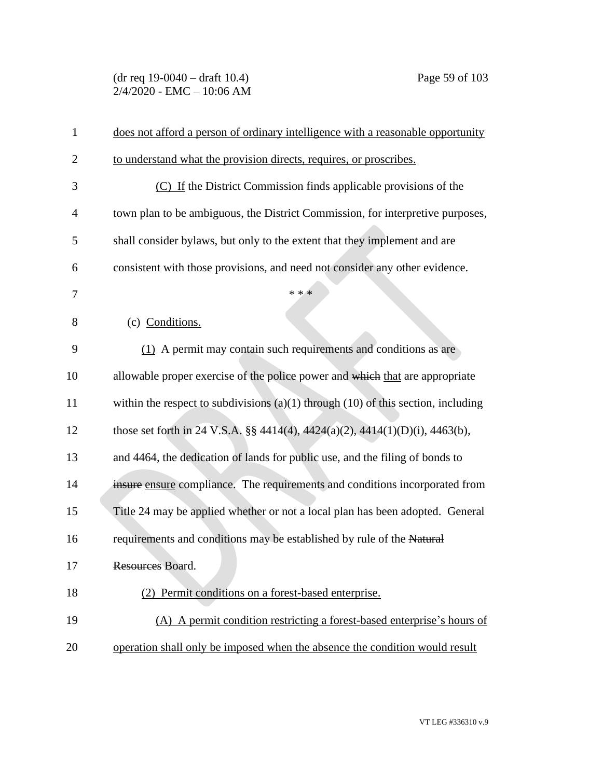## (dr req 19-0040 – draft 10.4) Page 59 of 103 2/4/2020 - EMC – 10:06 AM

| $\mathbf{1}$   | does not afford a person of ordinary intelligence with a reasonable opportunity       |
|----------------|---------------------------------------------------------------------------------------|
| $\overline{2}$ | to understand what the provision directs, requires, or proscribes.                    |
| 3              | (C) If the District Commission finds applicable provisions of the                     |
| 4              | town plan to be ambiguous, the District Commission, for interpretive purposes,        |
| 5              | shall consider by laws, but only to the extent that they implement and are            |
| 6              | consistent with those provisions, and need not consider any other evidence.           |
| 7              | * * *                                                                                 |
| 8              | (c) Conditions.                                                                       |
| 9              | (1) A permit may contain such requirements and conditions as are                      |
| 10             | allowable proper exercise of the police power and which that are appropriate          |
| 11             | within the respect to subdivisions $(a)(1)$ through $(10)$ of this section, including |
| 12             | those set forth in 24 V.S.A. §§ 4414(4), 4424(a)(2), 4414(1)(D)(i), 4463(b),          |
| 13             | and 4464, the dedication of lands for public use, and the filing of bonds to          |
| 14             | insure ensure compliance. The requirements and conditions incorporated from           |
| 15             | Title 24 may be applied whether or not a local plan has been adopted. General         |
| 16             | requirements and conditions may be established by rule of the Natural                 |
| 17             | Resources Board.                                                                      |
| 18             | (2) Permit conditions on a forest-based enterprise.                                   |
| 19             | (A) A permit condition restricting a forest-based enterprise's hours of               |
| 20             | operation shall only be imposed when the absence the condition would result           |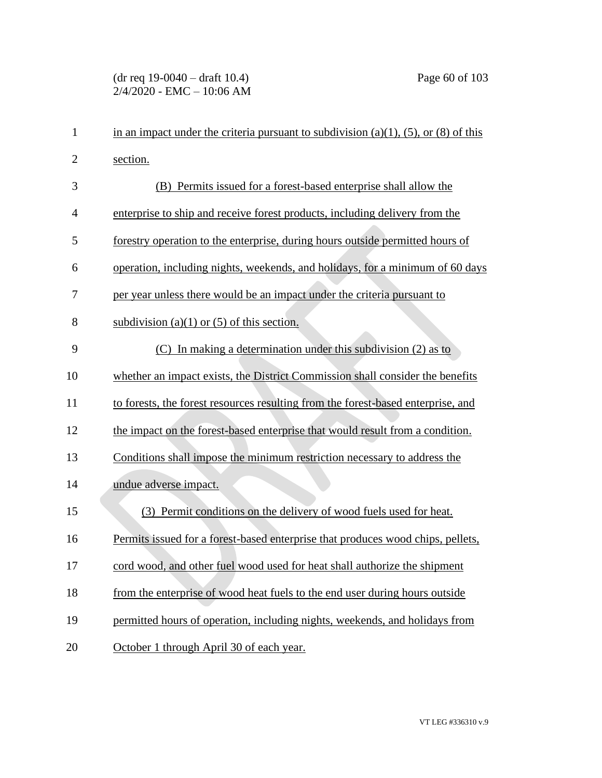# (dr req 19-0040 – draft 10.4) Page 60 of 103 2/4/2020 - EMC – 10:06 AM

| $\mathbf{1}$   | in an impact under the criteria pursuant to subdivision (a)(1), (5), or (8) of this |
|----------------|-------------------------------------------------------------------------------------|
| $\overline{c}$ | section.                                                                            |
| 3              | (B) Permits issued for a forest-based enterprise shall allow the                    |
| 4              | enterprise to ship and receive forest products, including delivery from the         |
| 5              | forestry operation to the enterprise, during hours outside permitted hours of       |
| 6              | operation, including nights, weekends, and holidays, for a minimum of 60 days       |
| 7              | per year unless there would be an impact under the criteria pursuant to             |
| 8              | subdivision (a)(1) or (5) of this section.                                          |
| 9              | In making a determination under this subdivision $(2)$ as to<br>(C)                 |
| 10             | whether an impact exists, the District Commission shall consider the benefits       |
| 11             | to forests, the forest resources resulting from the forest-based enterprise, and    |
| 12             | the impact on the forest-based enterprise that would result from a condition.       |
| 13             | Conditions shall impose the minimum restriction necessary to address the            |
| 14             | undue adverse impact.                                                               |
| 15             | Permit conditions on the delivery of wood fuels used for heat.<br>(3)               |
| 16             | Permits issued for a forest-based enterprise that produces wood chips, pellets,     |
| 17             | cord wood, and other fuel wood used for heat shall authorize the shipment           |
| 18             | from the enterprise of wood heat fuels to the end user during hours outside         |
| 19             | permitted hours of operation, including nights, weekends, and holidays from         |
| 20             | October 1 through April 30 of each year.                                            |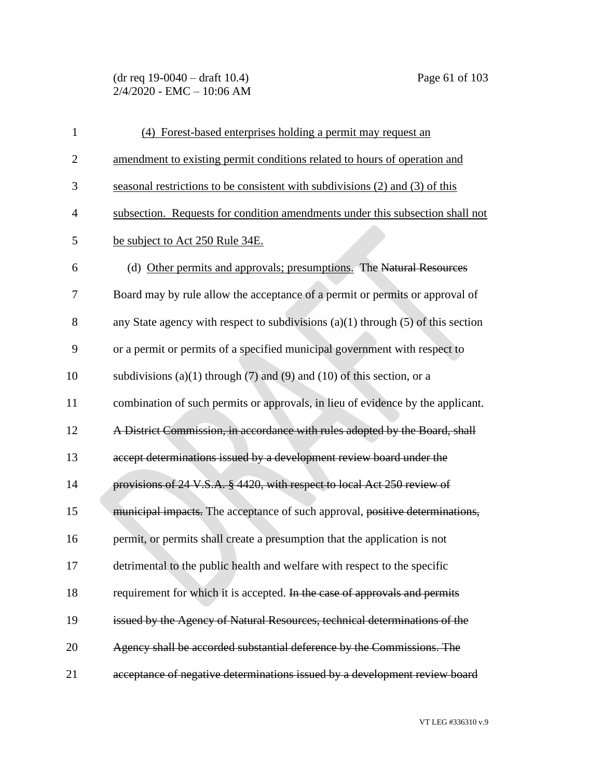(dr req 19-0040 – draft 10.4) Page 61 of 103 2/4/2020 - EMC – 10:06 AM

| $\mathbf{1}$   | (4) Forest-based enterprises holding a permit may request an                         |
|----------------|--------------------------------------------------------------------------------------|
| $\overline{2}$ | amendment to existing permit conditions related to hours of operation and            |
| 3              | seasonal restrictions to be consistent with subdivisions (2) and (3) of this         |
| $\overline{4}$ | subsection. Requests for condition amendments under this subsection shall not        |
| 5              | be subject to Act 250 Rule 34E.                                                      |
| 6              | (d) Other permits and approvals; presumptions. The Natural Resources                 |
| 7              | Board may by rule allow the acceptance of a permit or permits or approval of         |
| 8              | any State agency with respect to subdivisions $(a)(1)$ through $(5)$ of this section |
| 9              | or a permit or permits of a specified municipal government with respect to           |
| 10             | subdivisions (a)(1) through (7) and (9) and (10) of this section, or a               |
| 11             | combination of such permits or approvals, in lieu of evidence by the applicant.      |
| 12             | A District Commission, in accordance with rules adopted by the Board, shall          |
| 13             | accept determinations issued by a development review board under the                 |
| 14             | provisions of 24 V.S.A. § 4420, with respect to local Act 250 review of              |
| 15             | municipal impacts. The acceptance of such approval, positive determinations,         |
| 16             | permit, or permits shall create a presumption that the application is not            |
| 17             | detrimental to the public health and welfare with respect to the specific            |
| 18             | requirement for which it is accepted. In the case of approvals and permits           |
| 19             | issued by the Agency of Natural Resources, technical determinations of the           |
| 20             | Agency shall be accorded substantial deference by the Commissions. The               |
| 21             | acceptance of negative determinations issued by a development review board           |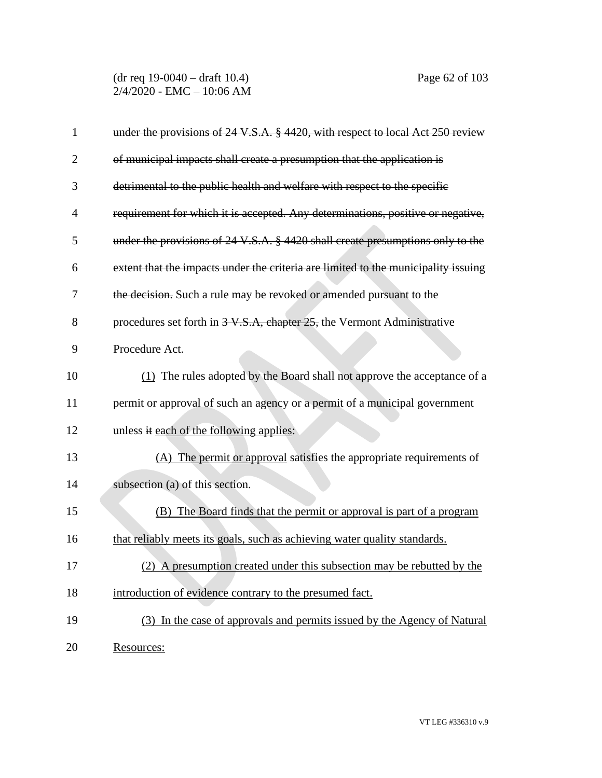(dr req 19-0040 – draft 10.4) Page 62 of 103 2/4/2020 - EMC – 10:06 AM

| 1              | under the provisions of 24 V.S.A. § 4420, with respect to local Act 250 review     |
|----------------|------------------------------------------------------------------------------------|
| 2              | of municipal impacts shall create a presumption that the application is            |
| 3              | detrimental to the public health and welfare with respect to the specific          |
| $\overline{4}$ | requirement for which it is accepted. Any determinations, positive or negative,    |
| 5              | under the provisions of 24 V.S.A. § 4420 shall create presumptions only to the     |
| 6              | extent that the impacts under the criteria are limited to the municipality issuing |
| 7              | the decision. Such a rule may be revoked or amended pursuant to the                |
| 8              | procedures set forth in 3-V.S.A, chapter 25, the Vermont Administrative            |
| 9              | Procedure Act.                                                                     |
| 10             | (1) The rules adopted by the Board shall not approve the acceptance of a           |
| 11             | permit or approval of such an agency or a permit of a municipal government         |
| 12             | unless it each of the following applies:                                           |
| 13             | (A) The permit or approval satisfies the appropriate requirements of               |
| 14             | subsection (a) of this section.                                                    |
| 15             | (B) The Board finds that the permit or approval is part of a program               |
| 16             | that reliably meets its goals, such as achieving water quality standards.          |
| 17             | (2) A presumption created under this subsection may be rebutted by the             |
| 18             | introduction of evidence contrary to the presumed fact.                            |
| 19             | (3) In the case of approvals and permits issued by the Agency of Natural           |
| 20             | Resources:                                                                         |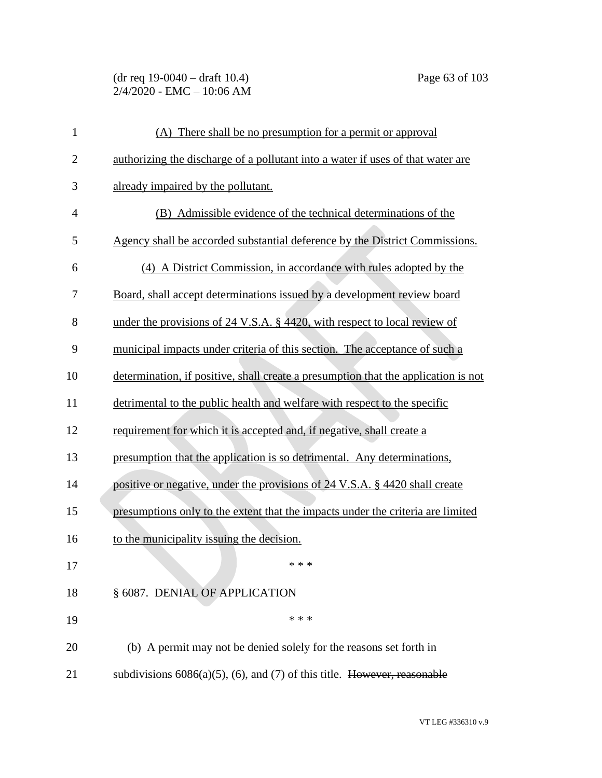(dr req 19-0040 – draft 10.4) Page 63 of 103 2/4/2020 - EMC – 10:06 AM

| $\mathbf{1}$   | (A) There shall be no presumption for a permit or approval                         |
|----------------|------------------------------------------------------------------------------------|
| $\overline{c}$ | authorizing the discharge of a pollutant into a water if uses of that water are    |
| 3              | already impaired by the pollutant.                                                 |
| 4              | (B) Admissible evidence of the technical determinations of the                     |
| 5              | Agency shall be accorded substantial deference by the District Commissions.        |
| 6              | (4) A District Commission, in accordance with rules adopted by the                 |
| 7              | Board, shall accept determinations issued by a development review board            |
| 8              | under the provisions of 24 V.S.A. $\S$ 4420, with respect to local review of       |
| 9              | municipal impacts under criteria of this section. The acceptance of such a         |
| 10             | determination, if positive, shall create a presumption that the application is not |
| 11             | detrimental to the public health and welfare with respect to the specific          |
| 12             | requirement for which it is accepted and, if negative, shall create a              |
| 13             | presumption that the application is so detrimental. Any determinations,            |
| 14             | positive or negative, under the provisions of 24 V.S.A. § 4420 shall create        |
| 15             | presumptions only to the extent that the impacts under the criteria are limited    |
| 16             | to the municipality issuing the decision.                                          |
| 17             | * * *                                                                              |
| 18             | § 6087. DENIAL OF APPLICATION                                                      |
| 19             | * * *                                                                              |
| 20             | (b) A permit may not be denied solely for the reasons set forth in                 |
| 21             | subdivisions $6086(a)(5)$ , (6), and (7) of this title. However, reasonable        |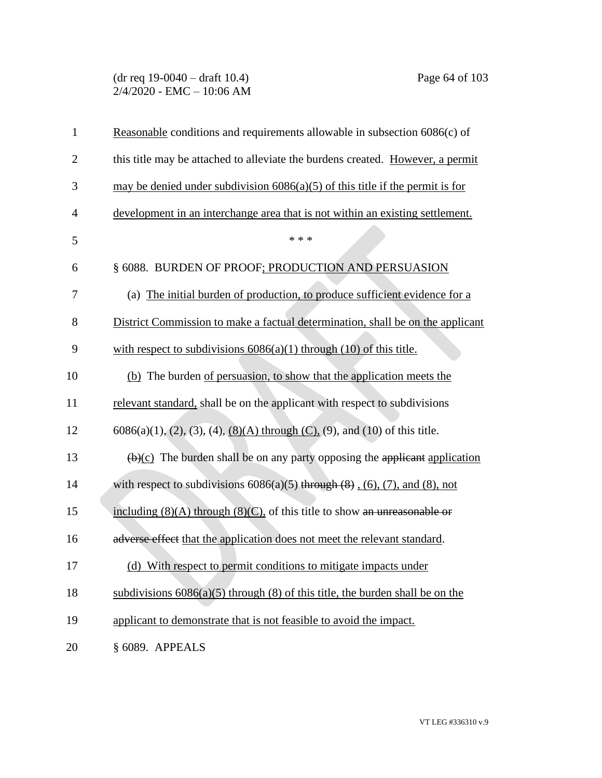## (dr req 19-0040 – draft 10.4) Page 64 of 103 2/4/2020 - EMC – 10:06 AM

| $\mathbf{1}$   | Reasonable conditions and requirements allowable in subsection 6086(c) of                      |
|----------------|------------------------------------------------------------------------------------------------|
| $\overline{2}$ | this title may be attached to alleviate the burdens created. However, a permit                 |
| 3              | may be denied under subdivision $6086(a)(5)$ of this title if the permit is for                |
| $\overline{4}$ | development in an interchange area that is not within an existing settlement.                  |
| 5              | * * *                                                                                          |
| 6              | § 6088. BURDEN OF PROOF; PRODUCTION AND PERSUASION                                             |
| 7              | (a) The initial burden of production, to produce sufficient evidence for a                     |
| 8              | District Commission to make a factual determination, shall be on the applicant                 |
| 9              | with respect to subdivisions $6086(a)(1)$ through $(10)$ of this title.                        |
| 10             | (b) The burden of persuasion, to show that the application meets the                           |
| 11             | relevant standard, shall be on the applicant with respect to subdivisions                      |
| 12             | $6086(a)(1), (2), (3), (4), (8)(A)$ through (C), (9), and (10) of this title.                  |
| 13             | $\left(\frac{b}{c}\right)$ The burden shall be on any party opposing the applicant application |
| 14             | with respect to subdivisions $6086(a)(5)$ through $(8)$ , $(6)$ , $(7)$ , and $(8)$ , not      |
| 15             | including $(8)(A)$ through $(8)(C)$ , of this title to show an unreasonable or                 |
| 16             | adverse effect that the application does not meet the relevant standard.                       |
| 17             | (d) With respect to permit conditions to mitigate impacts under                                |
| 18             | subdivisions $6086(a)(5)$ through (8) of this title, the burden shall be on the                |
| 19             | applicant to demonstrate that is not feasible to avoid the impact.                             |
| 20             | § 6089. APPEALS                                                                                |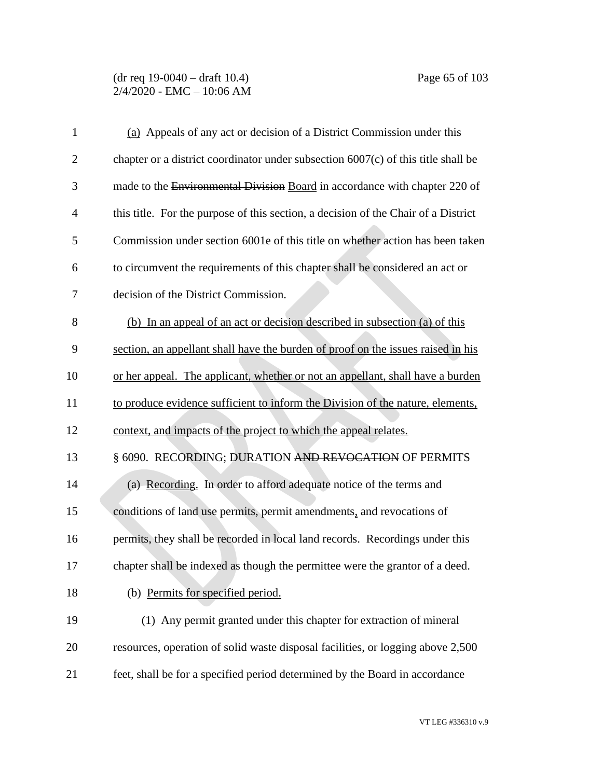### (dr req 19-0040 – draft 10.4) Page 65 of 103 2/4/2020 - EMC – 10:06 AM

| $\mathbf{1}$ | (a) Appeals of any act or decision of a District Commission under this             |
|--------------|------------------------------------------------------------------------------------|
| 2            | chapter or a district coordinator under subsection 6007(c) of this title shall be  |
| 3            | made to the Environmental Division Board in accordance with chapter 220 of         |
| 4            | this title. For the purpose of this section, a decision of the Chair of a District |
| 5            | Commission under section 6001e of this title on whether action has been taken      |
| 6            | to circumvent the requirements of this chapter shall be considered an act or       |
| 7            | decision of the District Commission.                                               |
| 8            | (b) In an appeal of an act or decision described in subsection (a) of this         |
| 9            | section, an appellant shall have the burden of proof on the issues raised in his   |
| 10           | or her appeal. The applicant, whether or not an appellant, shall have a burden     |
| 11           | to produce evidence sufficient to inform the Division of the nature, elements,     |
| 12           | context, and impacts of the project to which the appeal relates.                   |
| 13           | § 6090. RECORDING; DURATION AND REVOCATION OF PERMITS                              |
| 14           | (a) Recording. In order to afford adequate notice of the terms and                 |
| 15           | conditions of land use permits, permit amendments, and revocations of              |
| 16           | permits, they shall be recorded in local land records. Recordings under this       |
| 17           | chapter shall be indexed as though the permittee were the grantor of a deed.       |
| 18           | (b) Permits for specified period.                                                  |
| 19           | (1) Any permit granted under this chapter for extraction of mineral                |
| 20           | resources, operation of solid waste disposal facilities, or logging above 2,500    |
| 21           | feet, shall be for a specified period determined by the Board in accordance        |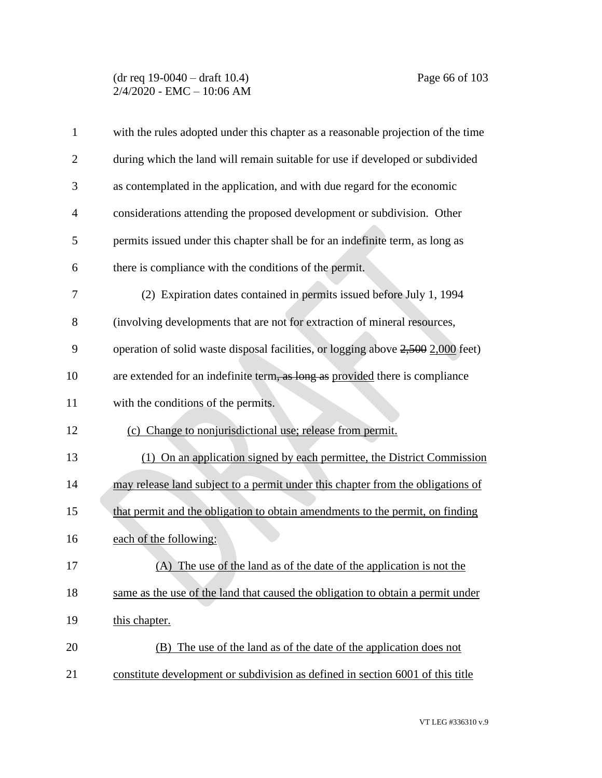### (dr req 19-0040 – draft 10.4) Page 66 of 103 2/4/2020 - EMC – 10:06 AM

| $\mathbf{1}$   | with the rules adopted under this chapter as a reasonable projection of the time |
|----------------|----------------------------------------------------------------------------------|
| $\overline{2}$ | during which the land will remain suitable for use if developed or subdivided    |
| 3              | as contemplated in the application, and with due regard for the economic         |
| $\overline{4}$ | considerations attending the proposed development or subdivision. Other          |
| 5              | permits issued under this chapter shall be for an indefinite term, as long as    |
| 6              | there is compliance with the conditions of the permit.                           |
| 7              | (2) Expiration dates contained in permits issued before July 1, 1994             |
| 8              | (involving developments that are not for extraction of mineral resources,        |
| 9              | operation of solid waste disposal facilities, or logging above 2,500 2,000 feet) |
| 10             | are extended for an indefinite term, as long as provided there is compliance     |
| 11             | with the conditions of the permits.                                              |
| 12             | (c) Change to nonjurisdictional use; release from permit.                        |
| 13             | (1) On an application signed by each permittee, the District Commission          |
| 14             | may release land subject to a permit under this chapter from the obligations of  |
| 15             | that permit and the obligation to obtain amendments to the permit, on finding    |
| 16             | each of the following:                                                           |
| 17             | (A) The use of the land as of the date of the application is not the             |
| 18             | same as the use of the land that caused the obligation to obtain a permit under  |
| 19             | this chapter.                                                                    |
| 20             | (B) The use of the land as of the date of the application does not               |
| 21             | constitute development or subdivision as defined in section 6001 of this title   |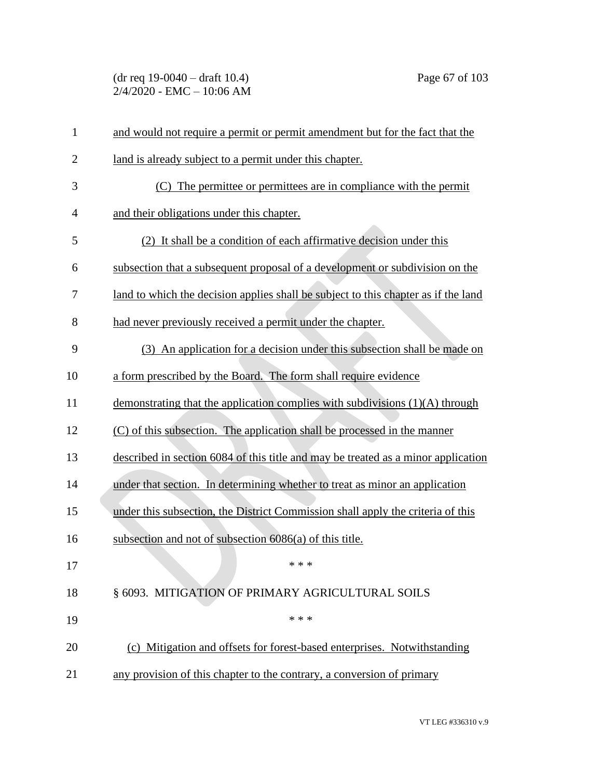(dr req 19-0040 – draft 10.4) Page 67 of 103 2/4/2020 - EMC – 10:06 AM

| $\mathbf{1}$   | and would not require a permit or permit amendment but for the fact that the       |
|----------------|------------------------------------------------------------------------------------|
| $\overline{c}$ | land is already subject to a permit under this chapter.                            |
| 3              | (C) The permittee or permittees are in compliance with the permit                  |
| 4              | and their obligations under this chapter.                                          |
| 5              | (2) It shall be a condition of each affirmative decision under this                |
| 6              | subsection that a subsequent proposal of a development or subdivision on the       |
| 7              | land to which the decision applies shall be subject to this chapter as if the land |
| 8              | had never previously received a permit under the chapter.                          |
| 9              | (3) An application for a decision under this subsection shall be made on           |
| 10             | a form prescribed by the Board. The form shall require evidence                    |
| 11             | demonstrating that the application complies with subdivisions (1)(A) through       |
| 12             | (C) of this subsection. The application shall be processed in the manner           |
| 13             | described in section 6084 of this title and may be treated as a minor application  |
| 14             | under that section. In determining whether to treat as minor an application        |
| 15             | under this subsection, the District Commission shall apply the criteria of this    |
| 16             | subsection and not of subsection 6086(a) of this title.                            |
| 17             | * * *                                                                              |
| 18             | § 6093. MITIGATION OF PRIMARY AGRICULTURAL SOILS                                   |
| 19             | * * *                                                                              |
| 20             | (c) Mitigation and offsets for forest-based enterprises. Notwithstanding           |
| 21             | any provision of this chapter to the contrary, a conversion of primary             |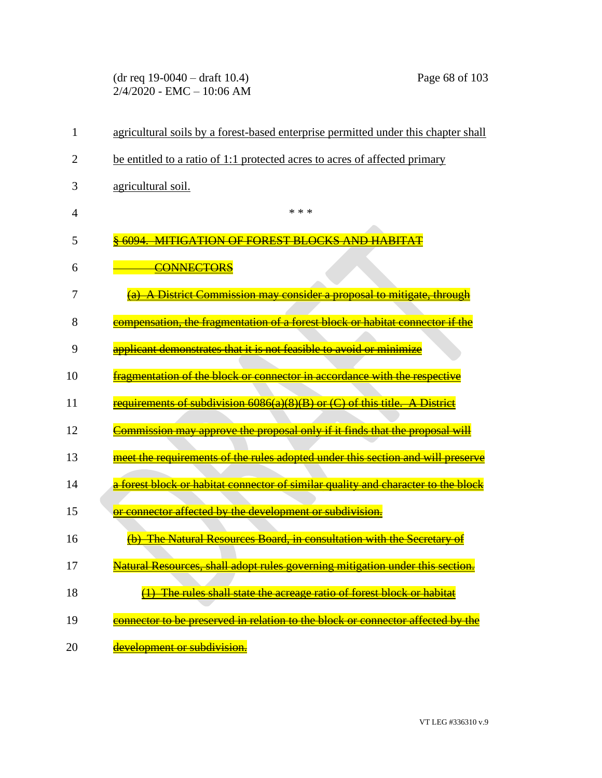(dr req 19-0040 – draft 10.4) Page 68 of 103 2/4/2020 - EMC – 10:06 AM

| 1  | agricultural soils by a forest-based enterprise permitted under this chapter shall           |
|----|----------------------------------------------------------------------------------------------|
| 2  | be entitled to a ratio of 1:1 protected acres to acres of affected primary                   |
| 3  | agricultural soil.                                                                           |
| 4  | * * *                                                                                        |
| 5  | <u>MITIGATION OF FOREST BLOCKS AND HABITAT</u>                                               |
| 6  | <b>CONNECTORS</b>                                                                            |
| 7  | A District Commission may consider a proposal to mitigate, through                           |
| 8  | compensation, the fragmentation of a forest block or habitat connector if the                |
| 9  | applicant demonstrates that it is not feasible to avoid or minimize                          |
| 10 | fragmentation of the block or connector in accordance with the respective                    |
| 11 | requirements of subdivision 6086(a)(8)(B) or (C) of this title. A District                   |
| 12 | <u> Commission may approve the proposal only if it finds that the proposal will</u>          |
| 13 | meet the requirements of the rules adopted under this section and will preserve              |
| 14 | <del>a forest block or habitat connector of similar quality and character to the block</del> |
| 15 | or connector affected by the development or subdivision.                                     |
| 16 | <b>The Natural Resources Board, in consultation with the Secretary of</b>                    |
| 17 | Natural Resources, shall adopt rules governing mitigation under this section.                |
| 18 | $(1)$ The rules shall state the acreage ratio of forest block or habitat                     |
| 19 | connector to be preserved in relation to the block or connector affected by the              |
| 20 | development or subdivision.                                                                  |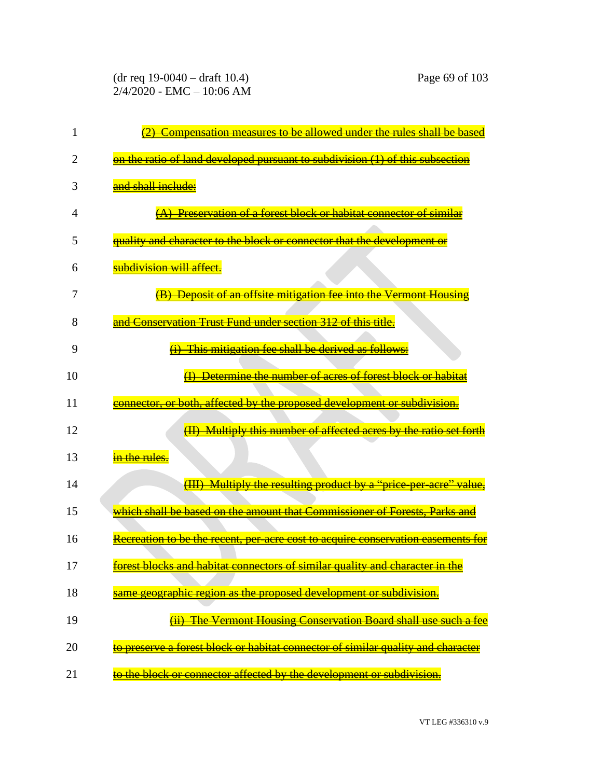(dr req 19-0040 – draft 10.4) Page 69 of 103 2/4/2020 - EMC – 10:06 AM

| 1  | Compensation measures to be allowed under the rules shall be based               |
|----|----------------------------------------------------------------------------------|
| 2  | on the ratio of land developed pursuant to subdivision (1) of this subsection    |
| 3  | and shall include:                                                               |
| 4  | (A) Preservation of a forest block or habitat connector of similar               |
| 5  | quality and character to the block or connector that the development or          |
| 6  | subdivision will affect.                                                         |
| 7  | (B) Deposit of an offsite mitigation fee into the Vermont Housing                |
| 8  | and Conservation Trust Fund under section 312 of this title.                     |
| 9  | This mitigation fee shall be derived as follows:                                 |
| 10 | Determine the number of acres of forest block or habitat                         |
| 11 | connector, or both, affected by the proposed development or subdivision.         |
| 12 | Multiply this number of affected acres by the ratio set forth                    |
| 13 | in the rules.                                                                    |
| 14 | (III) Multiply the resulting product by a "price-per-acre" value,                |
| 15 | which shall be based on the amount that Commissioner of Forests, Parks and       |
| 16 | Recreation to be the recent, per-acre cost to acquire conservation easements for |
| 17 | forest blocks and habitat connectors of similar quality and character in the     |
| 18 | same geographic region as the proposed development or subdivision.               |
| 19 | <b>The Vermont Housing Conservation Board shall use such a fee</b>               |
| 20 | to preserve a forest block or habitat connector of similar quality and character |
| 21 | to the block or connector affected by the development or subdivision.            |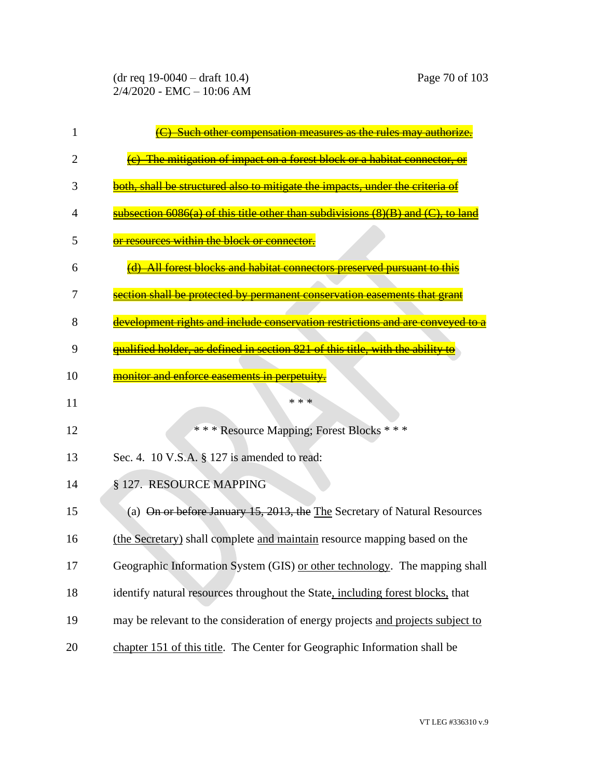| 1  | <u>Such other compensation measures as the rules may authori</u>                 |
|----|----------------------------------------------------------------------------------|
| 2  | <del>-mitigation of impact</del><br><del>forest block</del>                      |
| 3  | both, shall be structured also to mitigate the impacts, under the criteria of    |
| 4  | subsection 6086(a) of this title other than subdivisions (8)(B) and (C), to land |
| 5  | or resources within the block or connector.                                      |
| 6  | <u>All forest blocks and habitat connectors preserved pursuant to this</u>       |
| 7  | <u>etion shall be protected by permanent conservation easements that gra</u>     |
| 8  | development rights and include conservation restrictions and are                 |
| 9  | qualified holder, as defined in section 821 of this title, with the ability to   |
| 10 | monitor and enforce easements in perpetuity.                                     |
| 11 | * * *                                                                            |
|    |                                                                                  |
| 12 | *** Resource Mapping; Forest Blocks ***                                          |
| 13 | Sec. 4. 10 V.S.A. § 127 is amended to read:                                      |
| 14 | § 127. RESOURCE MAPPING                                                          |
| 15 | (a) On or before January 15, 2013, the The Secretary of Natural Resources        |
| 16 | (the Secretary) shall complete and maintain resource mapping based on the        |
| 17 | Geographic Information System (GIS) or other technology. The mapping shall       |
| 18 | identify natural resources throughout the State, including forest blocks, that   |
| 19 | may be relevant to the consideration of energy projects and projects subject to  |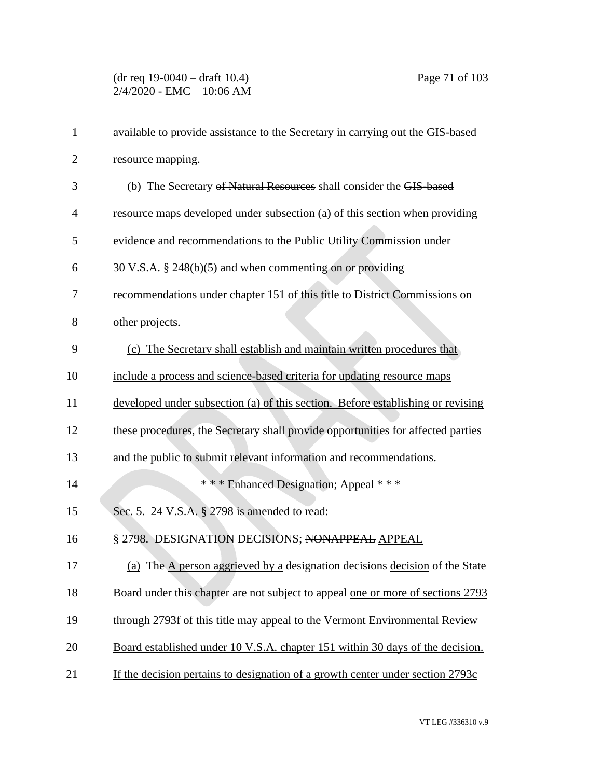(dr req 19-0040 – draft 10.4) Page 71 of 103 2/4/2020 - EMC – 10:06 AM

| $\mathbf{1}$   | available to provide assistance to the Secretary in carrying out the GIS-based   |
|----------------|----------------------------------------------------------------------------------|
| $\overline{2}$ | resource mapping.                                                                |
| 3              | (b) The Secretary of Natural Resources shall consider the GIS-based              |
| $\overline{4}$ | resource maps developed under subsection (a) of this section when providing      |
| 5              | evidence and recommendations to the Public Utility Commission under              |
| 6              | 30 V.S.A. § 248(b)(5) and when commenting on or providing                        |
| 7              | recommendations under chapter 151 of this title to District Commissions on       |
| 8              | other projects.                                                                  |
| 9              | (c) The Secretary shall establish and maintain written procedures that           |
| 10             | include a process and science-based criteria for updating resource maps          |
| 11             | developed under subsection (a) of this section. Before establishing or revising  |
| 12             | these procedures, the Secretary shall provide opportunities for affected parties |
| 13             | and the public to submit relevant information and recommendations.               |
| 14             | *** Enhanced Designation; Appeal ***                                             |
| 15             | Sec. 5. 24 V.S.A. § 2798 is amended to read:                                     |
| 16             | § 2798. DESIGNATION DECISIONS; NONAPPEAL APPEAL                                  |
| 17             | (a) The A person aggrieved by a designation decisions decision of the State      |
| 18             | Board under this chapter are not subject to appeal one or more of sections 2793  |
| 19             | through 2793f of this title may appeal to the Vermont Environmental Review       |
| 20             | Board established under 10 V.S.A. chapter 151 within 30 days of the decision.    |
| 21             | If the decision pertains to designation of a growth center under section 2793c   |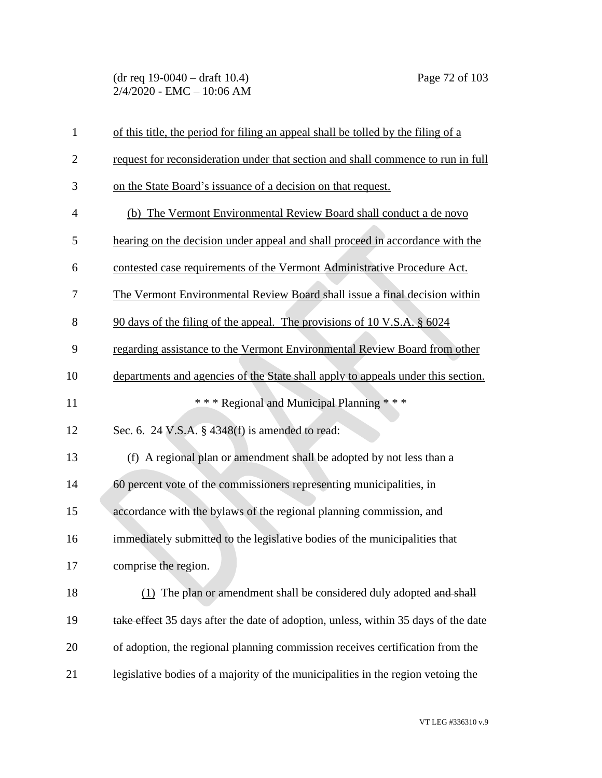(dr req 19-0040 – draft 10.4) Page 72 of 103 2/4/2020 - EMC – 10:06 AM

| $\mathbf{1}$   | of this title, the period for filing an appeal shall be tolled by the filing of a  |
|----------------|------------------------------------------------------------------------------------|
| $\overline{2}$ | request for reconsideration under that section and shall commence to run in full   |
| 3              | on the State Board's issuance of a decision on that request.                       |
| $\overline{4}$ | (b) The Vermont Environmental Review Board shall conduct a de novo                 |
| 5              | hearing on the decision under appeal and shall proceed in accordance with the      |
| 6              | contested case requirements of the Vermont Administrative Procedure Act.           |
| 7              | The Vermont Environmental Review Board shall issue a final decision within         |
| 8              | 90 days of the filing of the appeal. The provisions of 10 V.S.A. § 6024            |
| 9              | regarding assistance to the Vermont Environmental Review Board from other          |
| 10             | departments and agencies of the State shall apply to appeals under this section.   |
| 11             | *** Regional and Municipal Planning ***                                            |
| 12             | Sec. 6. 24 V.S.A. § 4348(f) is amended to read:                                    |
| 13             | (f) A regional plan or amendment shall be adopted by not less than a               |
| 14             | 60 percent vote of the commissioners representing municipalities, in               |
| 15             | accordance with the bylaws of the regional planning commission, and                |
| 16             | immediately submitted to the legislative bodies of the municipalities that         |
| 17             | comprise the region.                                                               |
| 18             | (1) The plan or amendment shall be considered duly adopted and shall               |
| 19             | take effect 35 days after the date of adoption, unless, within 35 days of the date |
| 20             | of adoption, the regional planning commission receives certification from the      |
| 21             | legislative bodies of a majority of the municipalities in the region vetoing the   |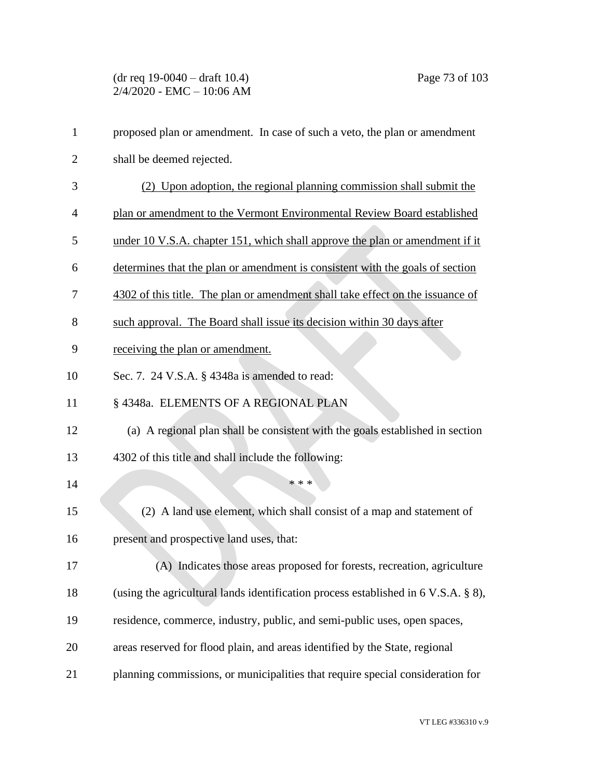| $\mathbf{1}$   | proposed plan or amendment. In case of such a veto, the plan or amendment          |
|----------------|------------------------------------------------------------------------------------|
| $\overline{2}$ | shall be deemed rejected.                                                          |
| 3              | (2) Upon adoption, the regional planning commission shall submit the               |
| 4              | plan or amendment to the Vermont Environmental Review Board established            |
| 5              | under 10 V.S.A. chapter 151, which shall approve the plan or amendment if it       |
| 6              | determines that the plan or amendment is consistent with the goals of section      |
| 7              | 4302 of this title. The plan or amendment shall take effect on the issuance of     |
| 8              | such approval. The Board shall issue its decision within 30 days after             |
| 9              | receiving the plan or amendment.                                                   |
| 10             | Sec. 7. 24 V.S.A. § 4348a is amended to read:                                      |
| 11             | § 4348a. ELEMENTS OF A REGIONAL PLAN                                               |
| 12             | (a) A regional plan shall be consistent with the goals established in section      |
| 13             | 4302 of this title and shall include the following:                                |
| 14             | * * *                                                                              |
| 15             | (2) A land use element, which shall consist of a map and statement of              |
| 16             | present and prospective land uses, that:                                           |
| 17             | (A) Indicates those areas proposed for forests, recreation, agriculture            |
| 18             | (using the agricultural lands identification process established in 6 V.S.A. § 8), |
| 19             | residence, commerce, industry, public, and semi-public uses, open spaces,          |
| 20             | areas reserved for flood plain, and areas identified by the State, regional        |
| 21             | planning commissions, or municipalities that require special consideration for     |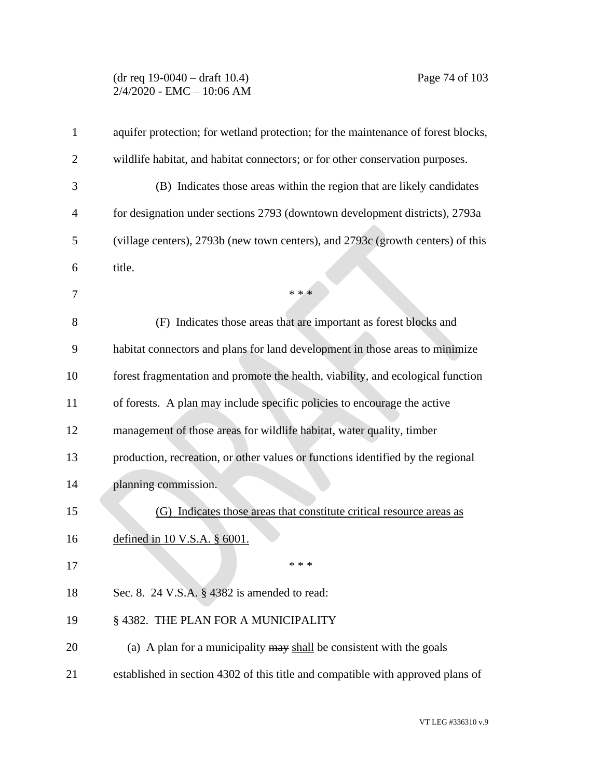## (dr req 19-0040 – draft 10.4) Page 74 of 103 2/4/2020 - EMC – 10:06 AM

| 1              | aquifer protection; for wetland protection; for the maintenance of forest blocks, |
|----------------|-----------------------------------------------------------------------------------|
| $\overline{2}$ | wildlife habitat, and habitat connectors; or for other conservation purposes.     |
| 3              | (B) Indicates those areas within the region that are likely candidates            |
| 4              | for designation under sections 2793 (downtown development districts), 2793a       |
| 5              | (village centers), 2793b (new town centers), and 2793c (growth centers) of this   |
| 6              | title.                                                                            |
| 7              | * * *                                                                             |
| 8              | (F) Indicates those areas that are important as forest blocks and                 |
| 9              | habitat connectors and plans for land development in those areas to minimize      |
| 10             | forest fragmentation and promote the health, viability, and ecological function   |
| 11             | of forests. A plan may include specific policies to encourage the active          |
| 12             | management of those areas for wildlife habitat, water quality, timber             |
| 13             | production, recreation, or other values or functions identified by the regional   |
| 14             | planning commission.                                                              |
| 15             | (G) Indicates those areas that constitute critical resource areas as              |
| 16             | defined in $10$ V.S.A. $\S$ 6001.                                                 |
| 17             | * * *                                                                             |
| 18             | Sec. 8. 24 V.S.A. § 4382 is amended to read:                                      |
| 19             | § 4382. THE PLAN FOR A MUNICIPALITY                                               |
| 20             | (a) A plan for a municipality $\frac{may}{head}$ be consistent with the goals     |
| 21             | established in section 4302 of this title and compatible with approved plans of   |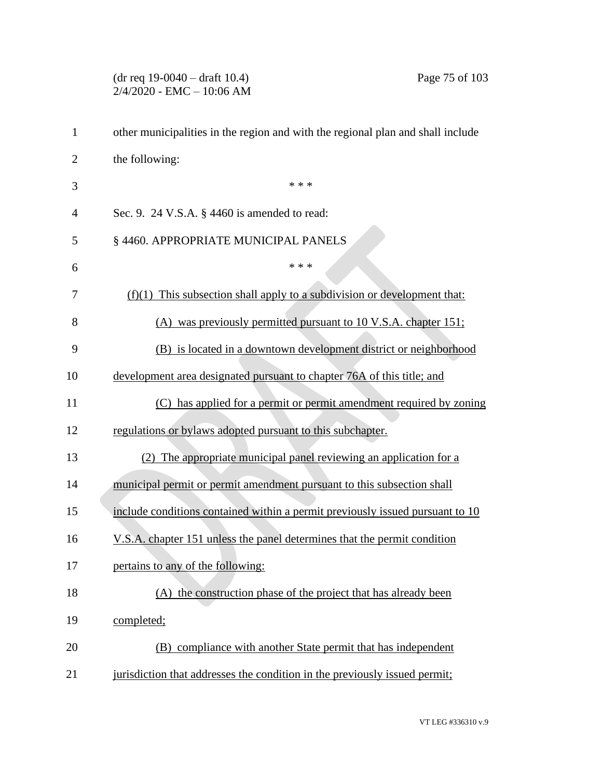# (dr req 19-0040 – draft 10.4) Page 75 of 103  $2/4/2020 - EMC - 10:06 AM$  other municipalities in the region and with the regional plan and shall include the following:  $***$  Sec. 9. 24 V.S.A. § 4460 is amended to read: § 4460. APPROPRIATE MUNICIPAL PANELS  $***$  (f)(1) This subsection shall apply to a subdivision or development that: (A) was previously permitted pursuant to 10 V.S.A. chapter 151; (B) is located in a downtown development district or neighborhood development area designated pursuant to chapter 76A of this title; and (C) has applied for a permit or permit amendment required by zoning regulations or bylaws adopted pursuant to this subchapter. (2) The appropriate municipal panel reviewing an application for a municipal permit or permit amendment pursuant to this subsection shall 15 include conditions contained within a permit previously issued pursuant to 10 V.S.A. chapter 151 unless the panel determines that the permit condition pertains to any of the following: (A) the construction phase of the project that has already been completed; (B) compliance with another State permit that has independent jurisdiction that addresses the condition in the previously issued permit;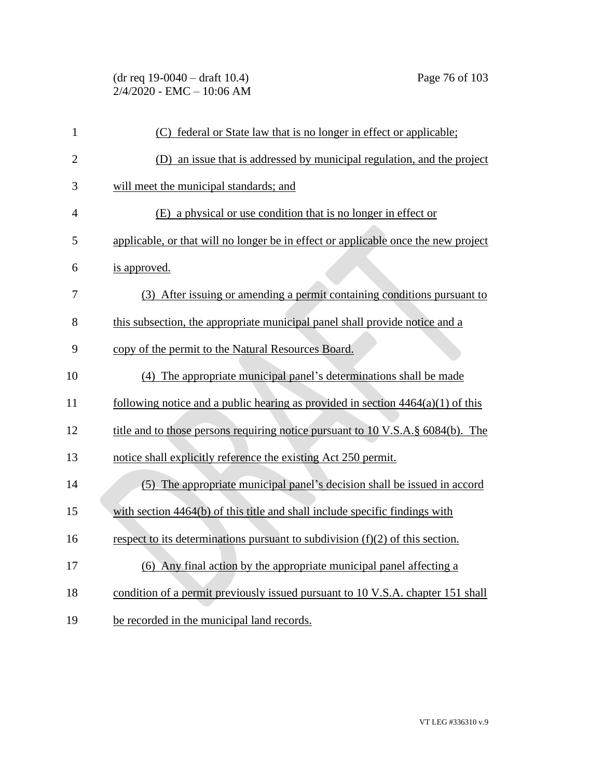| $\mathbf{1}$   | (C) federal or State law that is no longer in effect or applicable;                |
|----------------|------------------------------------------------------------------------------------|
| $\overline{2}$ | (D) an issue that is addressed by municipal regulation, and the project            |
| 3              | will meet the municipal standards; and                                             |
| 4              | (E) a physical or use condition that is no longer in effect or                     |
| 5              | applicable, or that will no longer be in effect or applicable once the new project |
| 6              | is approved.                                                                       |
| 7              | (3) After issuing or amending a permit containing conditions pursuant to           |
| 8              | this subsection, the appropriate municipal panel shall provide notice and a        |
| 9              | copy of the permit to the Natural Resources Board.                                 |
| 10             | (4) The appropriate municipal panel's determinations shall be made                 |
| 11             | following notice and a public hearing as provided in section $4464(a)(1)$ of this  |
| 12             | title and to those persons requiring notice pursuant to 10 V.S.A. § 6084(b). The   |
| 13             | notice shall explicitly reference the existing Act 250 permit.                     |
| 14             | (5) The appropriate municipal panel's decision shall be issued in accord           |
| 15             | with section 4464(b) of this title and shall include specific findings with        |
| 16             | respect to its determinations pursuant to subdivision $(f)(2)$ of this section.    |
| 17             | (6) Any final action by the appropriate municipal panel affecting a                |
| 18             | condition of a permit previously issued pursuant to 10 V.S.A. chapter 151 shall    |
| 19             | be recorded in the municipal land records.                                         |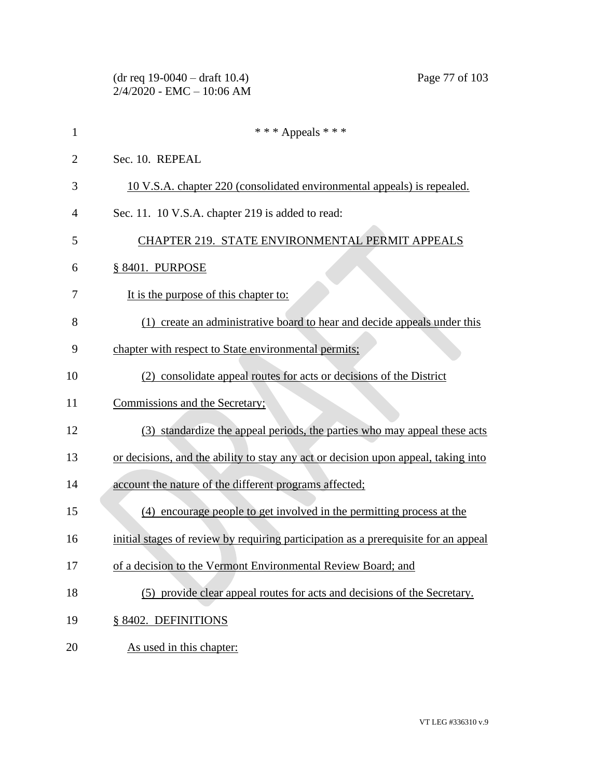|                | $(dr \text{ req } 19-0040 - draft \text{ } 10.4)$<br>Page 77 of 103<br>$2/4/2020$ - EMC - 10:06 AM |
|----------------|----------------------------------------------------------------------------------------------------|
| 1              | *** Appeals ***                                                                                    |
| $\overline{2}$ | Sec. 10. REPEAL                                                                                    |
| 3              | 10 V.S.A. chapter 220 (consolidated environmental appeals) is repealed.                            |
| 4              | Sec. 11. 10 V.S.A. chapter 219 is added to read:                                                   |
| 5              | CHAPTER 219. STATE ENVIRONMENTAL PERMIT APPEALS                                                    |
| 6              | § 8401. PURPOSE                                                                                    |
| 7              | It is the purpose of this chapter to:                                                              |
| 8              | (1) create an administrative board to hear and decide appeals under this                           |
| 9              | chapter with respect to State environmental permits;                                               |
| 10             | (2) consolidate appeal routes for acts or decisions of the District                                |
| 11             | Commissions and the Secretary;                                                                     |
| 12             | (3) standardize the appeal periods, the parties who may appeal these acts                          |
| 13             | or decisions, and the ability to stay any act or decision upon appeal, taking into                 |
| 14             | account the nature of the different programs affected;                                             |
| 15             | (4) encourage people to get involved in the permitting process at the                              |
| 16             | initial stages of review by requiring participation as a prerequisite for an appeal                |
| 17             | of a decision to the Vermont Environmental Review Board; and                                       |
| 18             | (5) provide clear appeal routes for acts and decisions of the Secretary.                           |
| 19             | § 8402. DEFINITIONS                                                                                |
| 20             | As used in this chapter:                                                                           |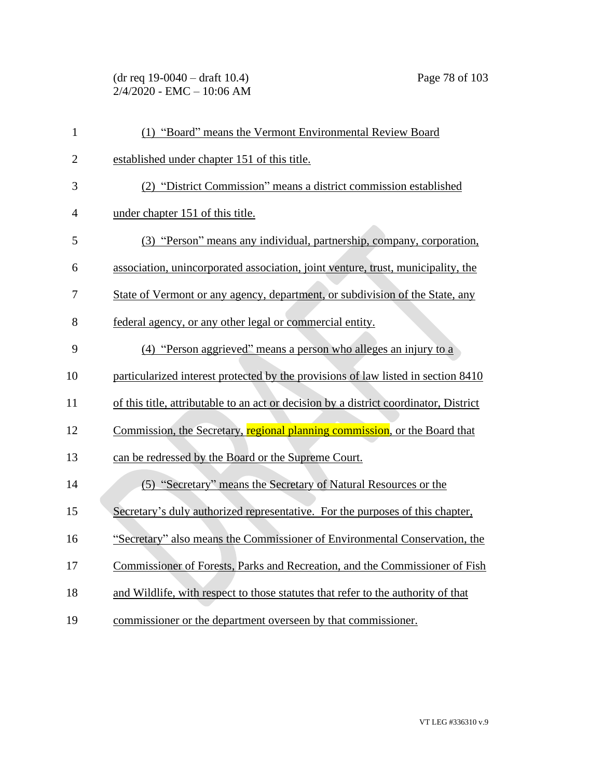(dr req 19-0040 – draft 10.4) Page 78 of 103 2/4/2020 - EMC – 10:06 AM

| $\mathbf{1}$   | (1) "Board" means the Vermont Environmental Review Board                              |
|----------------|---------------------------------------------------------------------------------------|
| $\overline{2}$ | established under chapter 151 of this title.                                          |
| 3              | (2) "District Commission" means a district commission established                     |
| $\overline{4}$ | under chapter 151 of this title.                                                      |
| 5              | (3) "Person" means any individual, partnership, company, corporation,                 |
| 6              | association, unincorporated association, joint venture, trust, municipality, the      |
| 7              | State of Vermont or any agency, department, or subdivision of the State, any          |
| 8              | federal agency, or any other legal or commercial entity.                              |
| 9              | (4) "Person aggrieved" means a person who alleges an injury to a                      |
| 10             | particularized interest protected by the provisions of law listed in section 8410     |
| 11             | of this title, attributable to an act or decision by a district coordinator, District |
| 12             | Commission, the Secretary, regional planning commission, or the Board that            |
| 13             | can be redressed by the Board or the Supreme Court.                                   |
| 14             | (5) "Secretary" means the Secretary of Natural Resources or the                       |
| 15             | Secretary's duly authorized representative. For the purposes of this chapter,         |
| 16             | "Secretary" also means the Commissioner of Environmental Conservation, the            |
| 17             | Commissioner of Forests, Parks and Recreation, and the Commissioner of Fish           |
| 18             | and Wildlife, with respect to those statutes that refer to the authority of that      |
| 19             | commissioner or the department overseen by that commissioner.                         |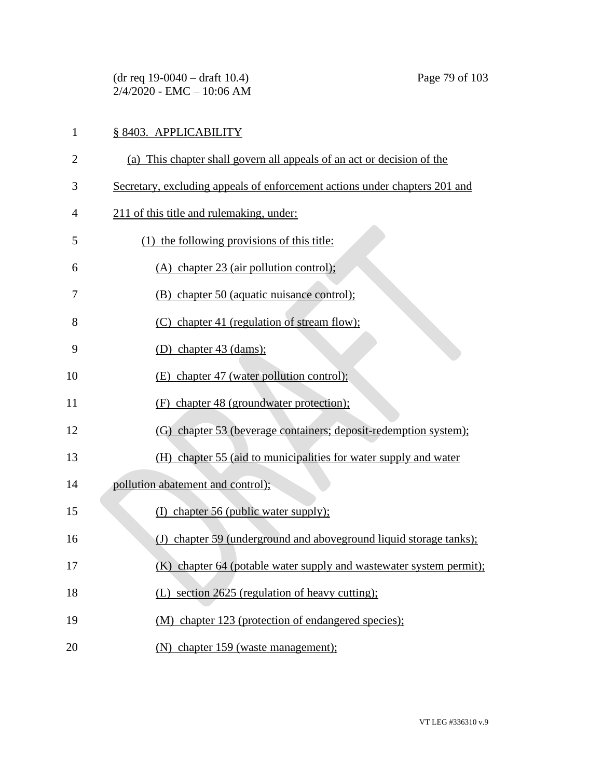(dr req 19-0040 – draft 10.4) Page 79 of 103  $2/4/2020 - EMC - 10:06 AM$ 

# § 8403. APPLICABILITY

- (a) This chapter shall govern all appeals of an act or decision of the
- Secretary, excluding appeals of enforcement actions under chapters 201 and
- 211 of this title and rulemaking, under:
- (1) the following provisions of this title:
- (A) chapter 23 (air pollution control);
- (B) chapter 50 (aquatic nuisance control);
- (C) chapter 41 (regulation of stream flow);
- (D) chapter 43 (dams);
- 10 (E) chapter 47 (water pollution control);
- (F) chapter 48 (groundwater protection);
- (G) chapter 53 (beverage containers; deposit-redemption system);
- (H) chapter 55 (aid to municipalities for water supply and water
- pollution abatement and control);
- 15 (I) chapter 56 (public water supply);
- (J) chapter 59 (underground and aboveground liquid storage tanks);
- (K) chapter 64 (potable water supply and wastewater system permit);
- 18 (L) section 2625 (regulation of heavy cutting);
- (M) chapter 123 (protection of endangered species);
- (N) chapter 159 (waste management);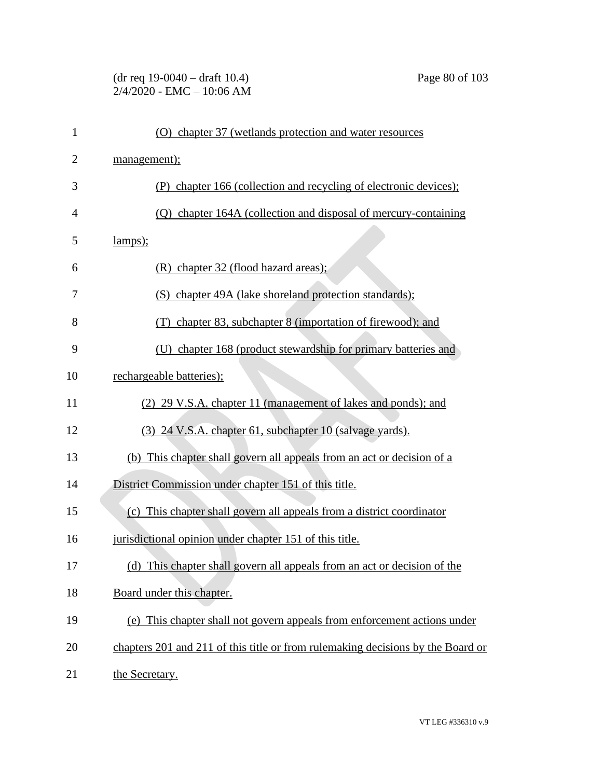# (dr req 19-0040 – draft 10.4) Page 80 of 103 2/4/2020 - EMC – 10:06 AM

| 1              | (O) chapter 37 (wetlands protection and water resources                         |
|----------------|---------------------------------------------------------------------------------|
| $\overline{2}$ | management);                                                                    |
| 3              | (P) chapter 166 (collection and recycling of electronic devices);               |
| $\overline{4}$ | (Q) chapter 164A (collection and disposal of mercury-containing                 |
| 5              | lamps);                                                                         |
| 6              | $(R)$ chapter 32 (flood hazard areas);                                          |
| 7              | (S) chapter 49A (lake shoreland protection standards);                          |
| 8              | (T) chapter 83, subchapter 8 (importation of firewood); and                     |
| 9              | (U) chapter 168 (product stewardship for primary batteries and                  |
| 10             | rechargeable batteries);                                                        |
| 11             | (2) 29 V.S.A. chapter 11 (management of lakes and ponds); and                   |
| 12             | (3) 24 V.S.A. chapter 61, subchapter 10 (salvage yards).                        |
| 13             | (b) This chapter shall govern all appeals from an act or decision of a          |
| 14             | District Commission under chapter 151 of this title.                            |
| 15             | (c) This chapter shall govern all appeals from a district coordinator           |
| 16             | jurisdictional opinion under chapter 151 of this title.                         |
| 17             | (d) This chapter shall govern all appeals from an act or decision of the        |
| 18             | Board under this chapter.                                                       |
| 19             | (e) This chapter shall not govern appeals from enforcement actions under        |
| 20             | chapters 201 and 211 of this title or from rulemaking decisions by the Board or |
| 21             | the Secretary.                                                                  |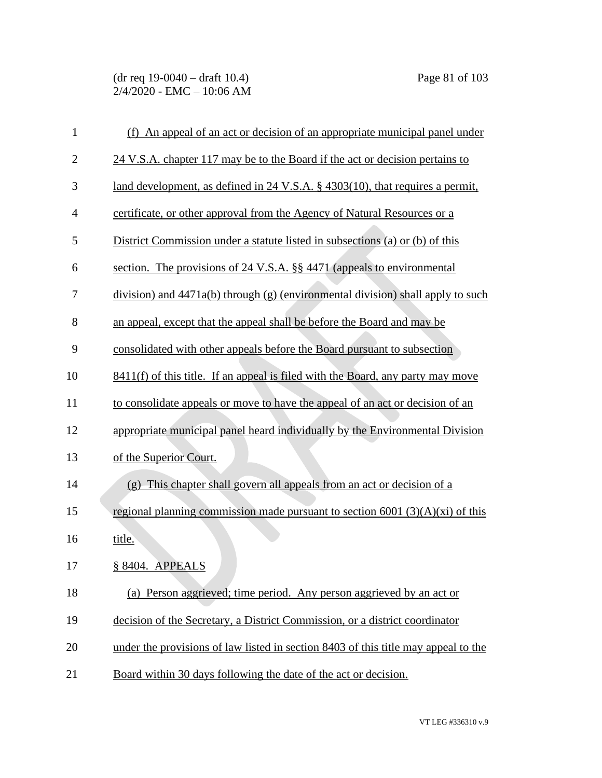(dr req 19-0040 – draft 10.4) Page 81 of 103 2/4/2020 - EMC – 10:06 AM

| $\mathbf{1}$   | (f) An appeal of an act or decision of an appropriate municipal panel under        |
|----------------|------------------------------------------------------------------------------------|
| $\overline{c}$ | 24 V.S.A. chapter 117 may be to the Board if the act or decision pertains to       |
| 3              | land development, as defined in 24 V.S.A. § 4303(10), that requires a permit,      |
| $\overline{4}$ | certificate, or other approval from the Agency of Natural Resources or a           |
| 5              | District Commission under a statute listed in subsections (a) or (b) of this       |
| 6              | section. The provisions of 24 V.S.A. §§ 4471 (appeals to environmental             |
| 7              | $division$ ) and 4471a(b) through (g) (environmental division) shall apply to such |
| 8              | an appeal, except that the appeal shall be before the Board and may be             |
| 9              | consolidated with other appeals before the Board pursuant to subsection            |
| 10             | 8411(f) of this title. If an appeal is filed with the Board, any party may move    |
| 11             | to consolidate appeals or move to have the appeal of an act or decision of an      |
| 12             | appropriate municipal panel heard individually by the Environmental Division       |
| 13             | of the Superior Court.                                                             |
| 14             | (g) This chapter shall govern all appeals from an act or decision of a             |
| 15             | regional planning commission made pursuant to section $6001$ (3)(A)(xi) of this    |
| 16             | title.                                                                             |
| 17             | § 8404. APPEALS                                                                    |
| 18             | (a) Person aggrieved; time period. Any person aggrieved by an act or               |
| 19             | decision of the Secretary, a District Commission, or a district coordinator        |
| 20             | under the provisions of law listed in section 8403 of this title may appeal to the |
| 21             | Board within 30 days following the date of the act or decision.                    |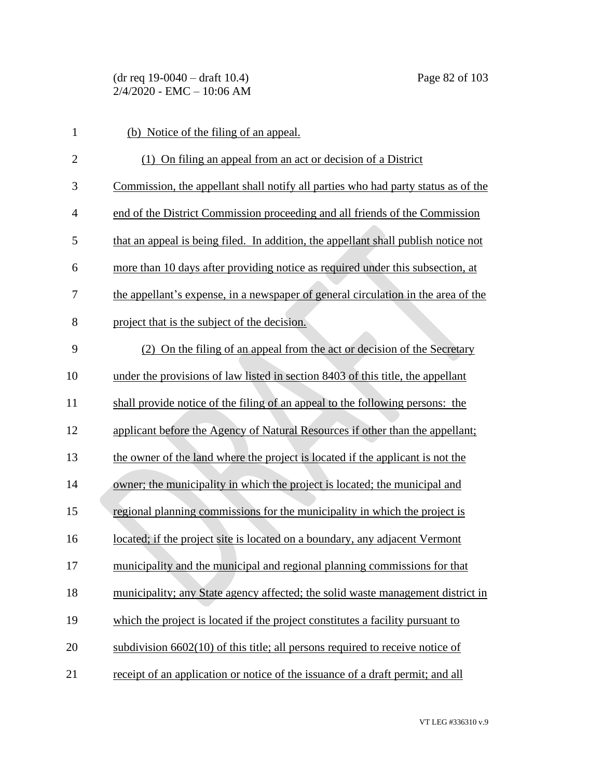(dr req 19-0040 – draft 10.4) Page 82 of 103 2/4/2020 - EMC – 10:06 AM

| $\mathbf{1}$   | (b) Notice of the filing of an appeal.                                             |
|----------------|------------------------------------------------------------------------------------|
| $\overline{2}$ | (1) On filing an appeal from an act or decision of a District                      |
| 3              | Commission, the appellant shall notify all parties who had party status as of the  |
| $\overline{4}$ | end of the District Commission proceeding and all friends of the Commission        |
| 5              | that an appeal is being filed. In addition, the appellant shall publish notice not |
| 6              | more than 10 days after providing notice as required under this subsection, at     |
| 7              | the appellant's expense, in a newspaper of general circulation in the area of the  |
| 8              | project that is the subject of the decision.                                       |
| 9              | (2) On the filing of an appeal from the act or decision of the Secretary           |
| 10             | under the provisions of law listed in section 8403 of this title, the appellant    |
| 11             | shall provide notice of the filing of an appeal to the following persons: the      |
| 12             | applicant before the Agency of Natural Resources if other than the appellant;      |
| 13             | the owner of the land where the project is located if the applicant is not the     |
| 14             | owner; the municipality in which the project is located; the municipal and         |
| 15             | regional planning commissions for the municipality in which the project is         |
| 16             | located; if the project site is located on a boundary, any adjacent Vermont        |
| 17             | municipality and the municipal and regional planning commissions for that          |
| 18             | municipality; any State agency affected; the solid waste management district in    |
| 19             | which the project is located if the project constitutes a facility pursuant to     |
| 20             | subdivision $6602(10)$ of this title; all persons required to receive notice of    |
| 21             | receipt of an application or notice of the issuance of a draft permit; and all     |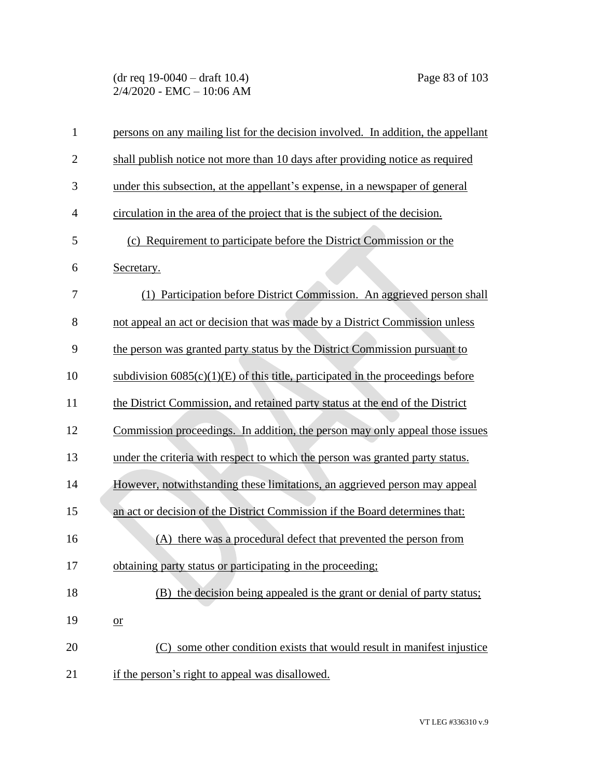(dr req 19-0040 – draft 10.4) Page 83 of 103 2/4/2020 - EMC – 10:06 AM

| $\mathbf{1}$   | persons on any mailing list for the decision involved. In addition, the appellant |
|----------------|-----------------------------------------------------------------------------------|
| $\overline{2}$ | shall publish notice not more than 10 days after providing notice as required     |
| 3              | under this subsection, at the appellant's expense, in a newspaper of general      |
| $\overline{4}$ | circulation in the area of the project that is the subject of the decision.       |
| 5              | (c) Requirement to participate before the District Commission or the              |
| 6              | Secretary.                                                                        |
| 7              | (1) Participation before District Commission. An aggrieved person shall           |
| 8              | not appeal an act or decision that was made by a District Commission unless       |
| 9              | the person was granted party status by the District Commission pursuant to        |
| 10             | subdivision $6085(c)(1)(E)$ of this title, participated in the proceedings before |
| 11             | the District Commission, and retained party status at the end of the District     |
| 12             | Commission proceedings. In addition, the person may only appeal those issues      |
| 13             | under the criteria with respect to which the person was granted party status.     |
| 14             | However, notwithstanding these limitations, an aggrieved person may appeal        |
| 15             | an act or decision of the District Commission if the Board determines that:       |
| 16             | there was a procedural defect that prevented the person from<br>(A)               |
| 17             | obtaining party status or participating in the proceeding;                        |
| 18             | (B) the decision being appealed is the grant or denial of party status;           |
| 19             | $or$                                                                              |
| 20             | (C) some other condition exists that would result in manifest injustice           |
| 21             | if the person's right to appeal was disallowed.                                   |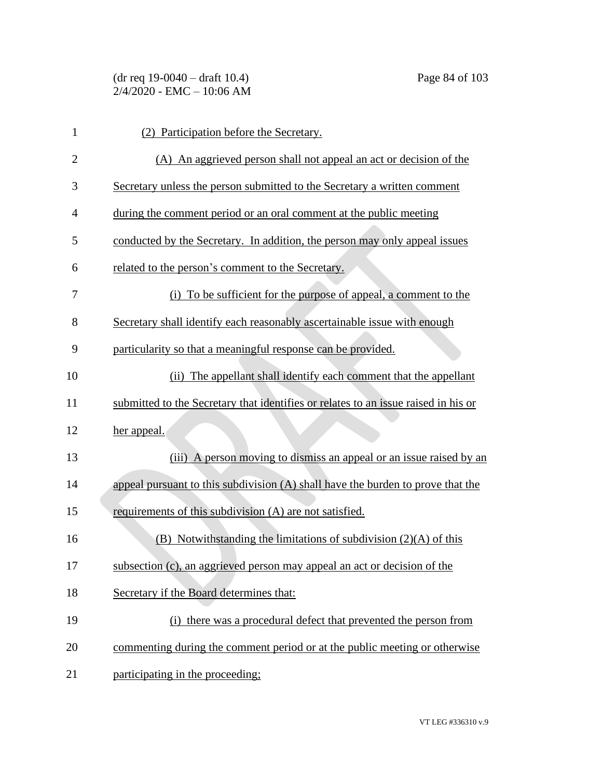| 1              | (2) Participation before the Secretary.                                            |
|----------------|------------------------------------------------------------------------------------|
| $\overline{2}$ | (A) An aggrieved person shall not appeal an act or decision of the                 |
| 3              | Secretary unless the person submitted to the Secretary a written comment           |
| $\overline{4}$ | during the comment period or an oral comment at the public meeting                 |
| 5              | conducted by the Secretary. In addition, the person may only appeal issues         |
| 6              | related to the person's comment to the Secretary.                                  |
| 7              | (i) To be sufficient for the purpose of appeal, a comment to the                   |
| 8              | Secretary shall identify each reasonably ascertainable issue with enough           |
| 9              | particularity so that a meaningful response can be provided.                       |
| 10             | (ii) The appellant shall identify each comment that the appellant                  |
| 11             | submitted to the Secretary that identifies or relates to an issue raised in his or |
| 12             | her appeal.                                                                        |
| 13             | A person moving to dismiss an appeal or an issue raised by an<br>(iii)             |
| 14             | appeal pursuant to this subdivision (A) shall have the burden to prove that the    |
| 15             | requirements of this subdivision (A) are not satisfied.                            |
| 16             | $(B)$ Notwithstanding the limitations of subdivision $(2)(A)$ of this              |
| 17             | subsection (c), an aggrieved person may appeal an act or decision of the           |
| 18             | Secretary if the Board determines that:                                            |
| 19             | (i) there was a procedural defect that prevented the person from                   |
| 20             | commenting during the comment period or at the public meeting or otherwise         |
| 21             | participating in the proceeding;                                                   |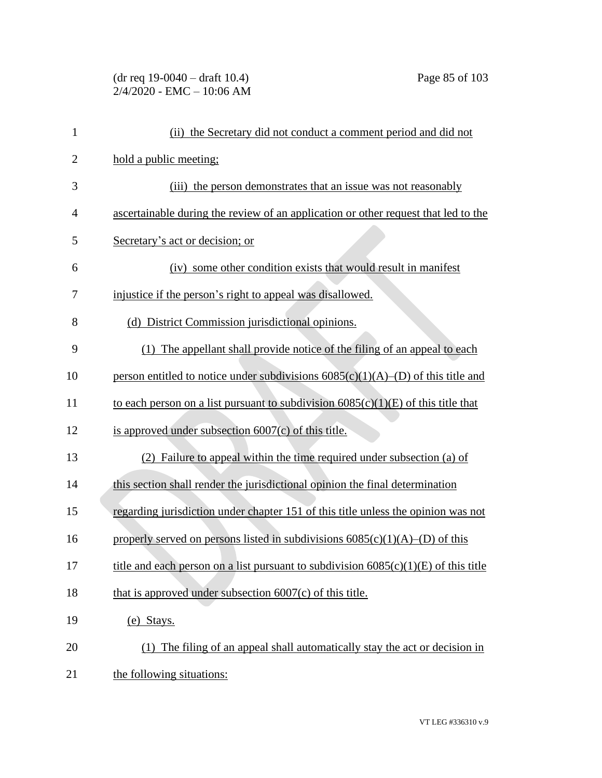# (dr req 19-0040 – draft 10.4) Page 85 of 103 2/4/2020 - EMC – 10:06 AM

| $\mathbf{1}$   | (ii) the Secretary did not conduct a comment period and did not                       |
|----------------|---------------------------------------------------------------------------------------|
| $\overline{2}$ | hold a public meeting;                                                                |
| 3              | (iii) the person demonstrates that an issue was not reasonably                        |
| $\overline{4}$ | ascertainable during the review of an application or other request that led to the    |
| 5              | Secretary's act or decision; or                                                       |
| 6              | (iv) some other condition exists that would result in manifest                        |
| 7              | injustice if the person's right to appeal was disallowed.                             |
| 8              | (d) District Commission jurisdictional opinions.                                      |
| 9              | (1) The appellant shall provide notice of the filing of an appeal to each             |
| 10             | person entitled to notice under subdivisions $6085(c)(1)(A)$ –(D) of this title and   |
| 11             | to each person on a list pursuant to subdivision $6085(c)(1)(E)$ of this title that   |
| 12             | is approved under subsection 6007(c) of this title.                                   |
| 13             | (2) Failure to appeal within the time required under subsection (a) of                |
| 14             | this section shall render the jurisdictional opinion the final determination          |
| 15             | regarding jurisdiction under chapter 151 of this title unless the opinion was not     |
| 16             | properly served on persons listed in subdivisions $6085(c)(1)(A)$ –(D) of this        |
| 17             | title and each person on a list pursuant to subdivision $6085(c)(1)(E)$ of this title |
| 18             | that is approved under subsection $6007(c)$ of this title.                            |
| 19             | (e) Stays.                                                                            |
| 20             | (1) The filing of an appeal shall automatically stay the act or decision in           |
| 21             | the following situations:                                                             |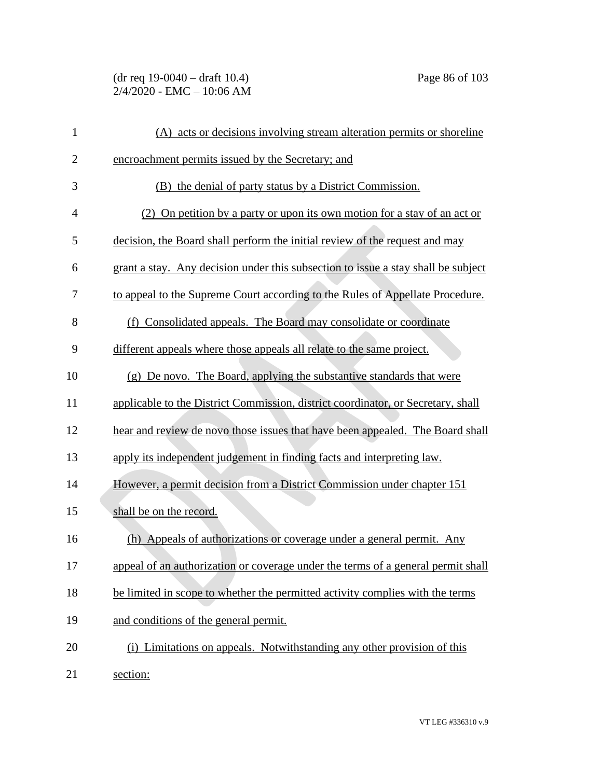(dr req 19-0040 – draft 10.4) Page 86 of 103 2/4/2020 - EMC – 10:06 AM

| $\mathbf{1}$   | (A) acts or decisions involving stream alteration permits or shoreline            |
|----------------|-----------------------------------------------------------------------------------|
| $\overline{2}$ | encroachment permits issued by the Secretary; and                                 |
| 3              | (B) the denial of party status by a District Commission.                          |
| $\overline{4}$ | (2) On petition by a party or upon its own motion for a stay of an act or         |
| 5              | decision, the Board shall perform the initial review of the request and may       |
| 6              | grant a stay. Any decision under this subsection to issue a stay shall be subject |
| 7              | to appeal to the Supreme Court according to the Rules of Appellate Procedure.     |
| 8              | (f) Consolidated appeals. The Board may consolidate or coordinate                 |
| 9              | different appeals where those appeals all relate to the same project.             |
| 10             | (g) De novo. The Board, applying the substantive standards that were              |
| 11             | applicable to the District Commission, district coordinator, or Secretary, shall  |
| 12             | hear and review de novo those issues that have been appealed. The Board shall     |
| 13             | apply its independent judgement in finding facts and interpreting law.            |
| 14             | However, a permit decision from a District Commission under chapter 151           |
| 15             | shall be on the record.                                                           |
| 16             | (h) Appeals of authorizations or coverage under a general permit. Any             |
| 17             | appeal of an authorization or coverage under the terms of a general permit shall  |
| 18             | be limited in scope to whether the permitted activity complies with the terms     |
| 19             | and conditions of the general permit.                                             |
| 20             | (i) Limitations on appeals. Notwithstanding any other provision of this           |
| 21             | section:                                                                          |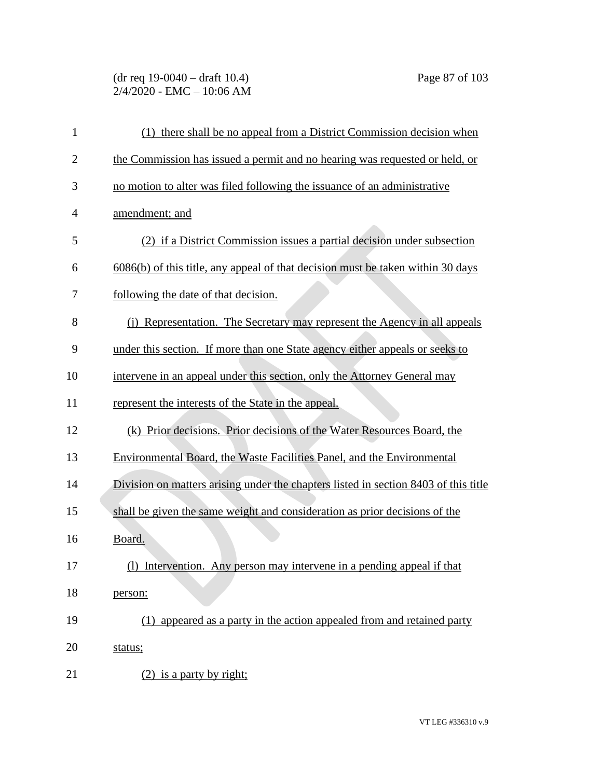# (dr req 19-0040 – draft 10.4) Page 87 of 103 2/4/2020 - EMC – 10:06 AM

| 1              | (1) there shall be no appeal from a District Commission decision when               |
|----------------|-------------------------------------------------------------------------------------|
| $\overline{2}$ | the Commission has issued a permit and no hearing was requested or held, or         |
| 3              | no motion to alter was filed following the issuance of an administrative            |
| $\overline{4}$ | amendment; and                                                                      |
| 5              | (2) if a District Commission issues a partial decision under subsection             |
| 6              | 6086(b) of this title, any appeal of that decision must be taken within 30 days     |
| 7              | following the date of that decision.                                                |
| 8              | (j) Representation. The Secretary may represent the Agency in all appeals           |
| 9              | under this section. If more than one State agency either appeals or seeks to        |
| 10             | intervene in an appeal under this section, only the Attorney General may            |
| 11             | represent the interests of the State in the appeal.                                 |
| 12             | (k) Prior decisions. Prior decisions of the Water Resources Board, the              |
| 13             | Environmental Board, the Waste Facilities Panel, and the Environmental              |
| 14             | Division on matters arising under the chapters listed in section 8403 of this title |
| 15             | shall be given the same weight and consideration as prior decisions of the          |
| 16             | Board.                                                                              |
| 17             | (1) Intervention. Any person may intervene in a pending appeal if that              |
| 18             | person:                                                                             |
| 19             | appeared as a party in the action appealed from and retained party<br>(1)           |
| 20             | status;                                                                             |
| 21             | $(2)$ is a party by right;                                                          |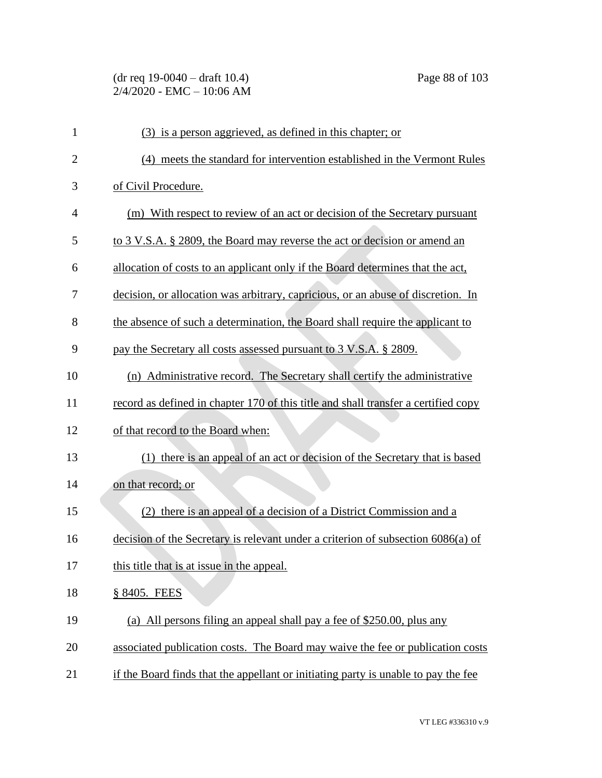# (dr req 19-0040 – draft 10.4) Page 88 of 103 2/4/2020 - EMC – 10:06 AM

| $\mathbf{1}$   | (3) is a person aggrieved, as defined in this chapter; or                          |
|----------------|------------------------------------------------------------------------------------|
| $\overline{2}$ | (4) meets the standard for intervention established in the Vermont Rules           |
| 3              | of Civil Procedure.                                                                |
| 4              | (m) With respect to review of an act or decision of the Secretary pursuant         |
| 5              | to 3 V.S.A. § 2809, the Board may reverse the act or decision or amend an          |
| 6              | allocation of costs to an applicant only if the Board determines that the act,     |
| 7              | decision, or allocation was arbitrary, capricious, or an abuse of discretion. In   |
| 8              | the absence of such a determination, the Board shall require the applicant to      |
| 9              | pay the Secretary all costs assessed pursuant to 3 V.S.A. § 2809.                  |
| 10             | (n) Administrative record. The Secretary shall certify the administrative          |
| 11             | record as defined in chapter 170 of this title and shall transfer a certified copy |
| 12             | of that record to the Board when:                                                  |
| 13             | (1) there is an appeal of an act or decision of the Secretary that is based        |
| 14             | on that record; or                                                                 |
| 15             | (2) there is an appeal of a decision of a District Commission and a                |
| 16             | decision of the Secretary is relevant under a criterion of subsection 6086(a) of   |
| 17             | this title that is at issue in the appeal.                                         |
| 18             | § 8405. FEES                                                                       |
| 19             | (a) All persons filing an appeal shall pay a fee of \$250.00, plus any             |
| 20             | associated publication costs. The Board may waive the fee or publication costs     |
| 21             | if the Board finds that the appellant or initiating party is unable to pay the fee |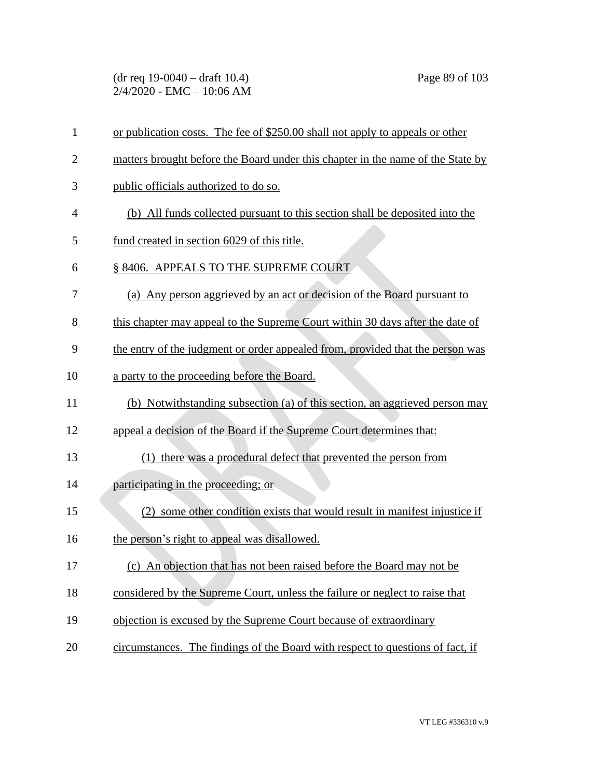(dr req 19-0040 – draft 10.4) Page 89 of 103 2/4/2020 - EMC – 10:06 AM

| $\mathbf{1}$   | or publication costs. The fee of \$250.00 shall not apply to appeals or other   |
|----------------|---------------------------------------------------------------------------------|
| $\overline{2}$ | matters brought before the Board under this chapter in the name of the State by |
| 3              | public officials authorized to do so.                                           |
| 4              | (b) All funds collected pursuant to this section shall be deposited into the    |
| 5              | fund created in section 6029 of this title.                                     |
| 6              | § 8406. APPEALS TO THE SUPREME COURT                                            |
| 7              | (a) Any person aggrieved by an act or decision of the Board pursuant to         |
| 8              | this chapter may appeal to the Supreme Court within 30 days after the date of   |
| 9              | the entry of the judgment or order appealed from, provided that the person was  |
| 10             | a party to the proceeding before the Board.                                     |
| 11             | (b) Notwithstanding subsection (a) of this section, an aggrieved person may     |
| 12             | appeal a decision of the Board if the Supreme Court determines that:            |
| 13             | (1) there was a procedural defect that prevented the person from                |
| 14             | participating in the proceeding; or                                             |
| 15             | (2) some other condition exists that would result in manifest injustice if      |
| 16             | the person's right to appeal was disallowed.                                    |
| 17             | (c) An objection that has not been raised before the Board may not be           |
| 18             | considered by the Supreme Court, unless the failure or neglect to raise that    |
| 19             | objection is excused by the Supreme Court because of extraordinary              |
| 20             | circumstances. The findings of the Board with respect to questions of fact, if  |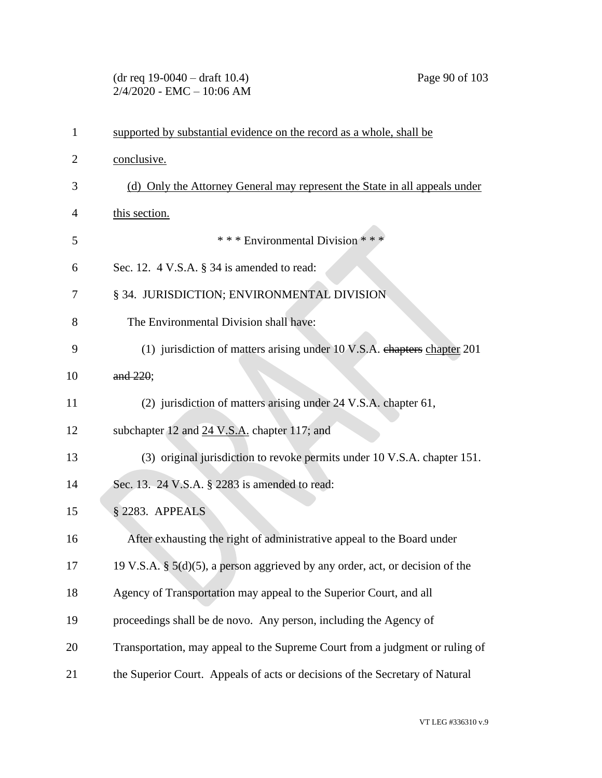#### (dr req 19-0040 – draft 10.4) Page 90 of 103 2/4/2020 - EMC – 10:06 AM

| $\mathbf 1$ | supported by substantial evidence on the record as a whole, shall be             |
|-------------|----------------------------------------------------------------------------------|
| 2           | conclusive.                                                                      |
| 3           | (d) Only the Attorney General may represent the State in all appeals under       |
| 4           | this section.                                                                    |
| 5           | *** Environmental Division ***                                                   |
| 6           | Sec. 12. $4$ V.S.A. $\S$ 34 is amended to read:                                  |
| 7           | § 34. JURISDICTION; ENVIRONMENTAL DIVISION                                       |
| 8           | The Environmental Division shall have:                                           |
| 9           | (1) jurisdiction of matters arising under 10 V.S.A. chapters chapter 201         |
| 10          | and 220;                                                                         |
| 11          | (2) jurisdiction of matters arising under 24 V.S.A. chapter 61,                  |
| 12          | subchapter 12 and 24 V.S.A. chapter 117; and                                     |
| 13          | (3) original jurisdiction to revoke permits under 10 V.S.A. chapter 151.         |
| 14          | Sec. 13. 24 V.S.A. § 2283 is amended to read:                                    |
| 15          | § 2283. APPEALS                                                                  |
| 16          | After exhausting the right of administrative appeal to the Board under           |
| 17          | 19 V.S.A. § $5(d)(5)$ , a person aggrieved by any order, act, or decision of the |
| 18          | Agency of Transportation may appeal to the Superior Court, and all               |
| 19          | proceedings shall be de novo. Any person, including the Agency of                |
| 20          | Transportation, may appeal to the Supreme Court from a judgment or ruling of     |
| 21          | the Superior Court. Appeals of acts or decisions of the Secretary of Natural     |
|             |                                                                                  |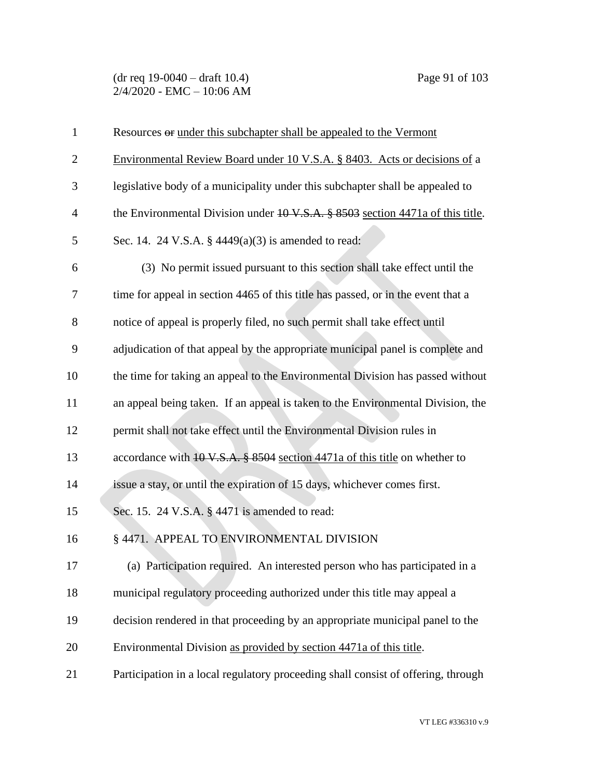(dr req 19-0040 – draft 10.4) Page 91 of 103 2/4/2020 - EMC – 10:06 AM

| $\mathbf{1}$   | Resources or under this subchapter shall be appealed to the Vermont                      |
|----------------|------------------------------------------------------------------------------------------|
| $\overline{2}$ | Environmental Review Board under 10 V.S.A. § 8403. Acts or decisions of a                |
| 3              | legislative body of a municipality under this subchapter shall be appealed to            |
| $\overline{4}$ | the Environmental Division under $10 \text{ V.S.A.}$ \$8503 section 4471a of this title. |
| 5              | Sec. 14. 24 V.S.A. $\S$ 4449(a)(3) is amended to read:                                   |
| 6              | (3) No permit issued pursuant to this section shall take effect until the                |
| 7              | time for appeal in section 4465 of this title has passed, or in the event that a         |
| 8              | notice of appeal is properly filed, no such permit shall take effect until               |
| 9              | adjudication of that appeal by the appropriate municipal panel is complete and           |
| 10             | the time for taking an appeal to the Environmental Division has passed without           |
| 11             | an appeal being taken. If an appeal is taken to the Environmental Division, the          |
| 12             | permit shall not take effect until the Environmental Division rules in                   |
| 13             | accordance with 10 V.S.A. § 8504 section 4471a of this title on whether to               |
| 14             | issue a stay, or until the expiration of 15 days, whichever comes first.                 |
| 15             | Sec. 15. 24 V.S.A. § 4471 is amended to read:                                            |
| 16             | § 4471. APPEAL TO ENVIRONMENTAL DIVISION                                                 |
| 17             | (a) Participation required. An interested person who has participated in a               |
| 18             | municipal regulatory proceeding authorized under this title may appeal a                 |
| 19             | decision rendered in that proceeding by an appropriate municipal panel to the            |
| 20             | Environmental Division as provided by section 4471a of this title.                       |
| 21             | Participation in a local regulatory proceeding shall consist of offering, through        |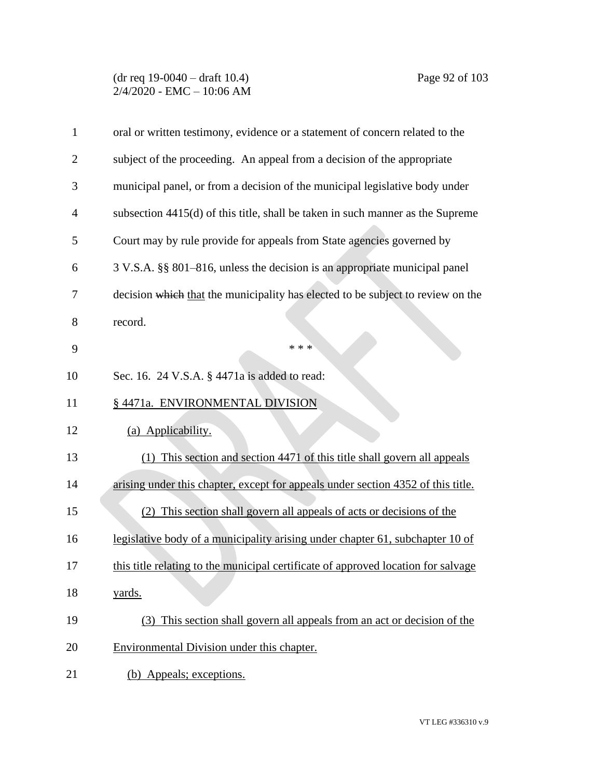#### (dr req 19-0040 – draft 10.4) Page 92 of 103 2/4/2020 - EMC – 10:06 AM

| $\mathbf{1}$   | oral or written testimony, evidence or a statement of concern related to the      |
|----------------|-----------------------------------------------------------------------------------|
| $\overline{2}$ | subject of the proceeding. An appeal from a decision of the appropriate           |
| 3              | municipal panel, or from a decision of the municipal legislative body under       |
| $\overline{4}$ | subsection 4415(d) of this title, shall be taken in such manner as the Supreme    |
| 5              | Court may by rule provide for appeals from State agencies governed by             |
| 6              | 3 V.S.A. §§ 801–816, unless the decision is an appropriate municipal panel        |
| 7              | decision which that the municipality has elected to be subject to review on the   |
| 8              | record.                                                                           |
| 9              | * * *                                                                             |
| 10             | Sec. 16. 24 V.S.A. § 4471a is added to read:                                      |
| 11             | § 4471a. ENVIRONMENTAL DIVISION                                                   |
| 12             | (a) Applicability.                                                                |
| 13             | This section and section 4471 of this title shall govern all appeals              |
| 14             | arising under this chapter, except for appeals under section 4352 of this title.  |
| 15             | This section shall govern all appeals of acts or decisions of the                 |
| 16             | legislative body of a municipality arising under chapter 61, subchapter 10 of     |
| 17             | this title relating to the municipal certificate of approved location for salvage |
| 18             | yards.                                                                            |
| 19             | This section shall govern all appeals from an act or decision of the<br>(3)       |
| 20             | Environmental Division under this chapter.                                        |
| 21             | (b) Appeals; exceptions.                                                          |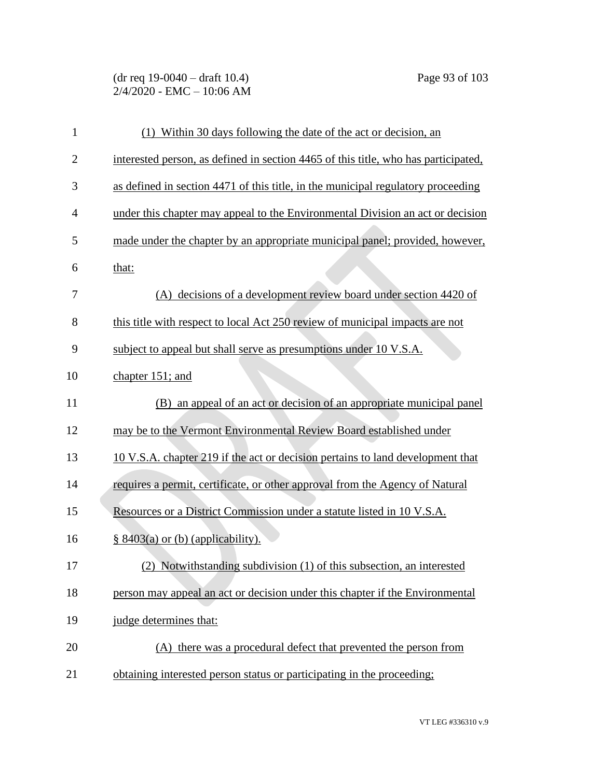(dr req 19-0040 – draft 10.4) Page 93 of 103 2/4/2020 - EMC – 10:06 AM

| 1              | (1) Within 30 days following the date of the act or decision, an                   |
|----------------|------------------------------------------------------------------------------------|
| $\overline{2}$ | interested person, as defined in section 4465 of this title, who has participated, |
| 3              | as defined in section 4471 of this title, in the municipal regulatory proceeding   |
| 4              | under this chapter may appeal to the Environmental Division an act or decision     |
| 5              | made under the chapter by an appropriate municipal panel; provided, however,       |
| 6              | that:                                                                              |
| 7              | (A) decisions of a development review board under section 4420 of                  |
| 8              | this title with respect to local Act 250 review of municipal impacts are not       |
| 9              | subject to appeal but shall serve as presumptions under 10 V.S.A.                  |
| 10             | chapter 151; and                                                                   |
| 11             | (B) an appeal of an act or decision of an appropriate municipal panel              |
| 12             | may be to the Vermont Environmental Review Board established under                 |
| 13             | 10 V.S.A. chapter 219 if the act or decision pertains to land development that     |
| 14             | requires a permit, certificate, or other approval from the Agency of Natural       |
| 15             | Resources or a District Commission under a statute listed in 10 V.S.A.             |
| 16             | $§ 8403(a)$ or (b) (applicability).                                                |
| 17             | (2) Notwithstanding subdivision (1) of this subsection, an interested              |
| 18             | person may appeal an act or decision under this chapter if the Environmental       |
| 19             | judge determines that:                                                             |
| 20             | (A) there was a procedural defect that prevented the person from                   |
| 21             | obtaining interested person status or participating in the proceeding;             |

VT LEG #336310 v.9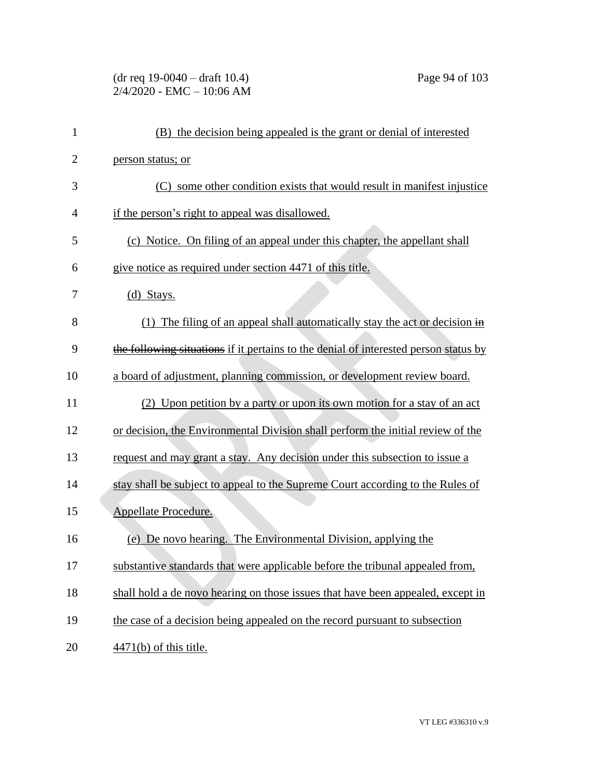## (dr req 19-0040 – draft 10.4) Page 94 of 103 2/4/2020 - EMC – 10:06 AM

| $\mathbf{1}$   | (B) the decision being appealed is the grant or denial of interested                    |
|----------------|-----------------------------------------------------------------------------------------|
| $\overline{2}$ | person status; or                                                                       |
| 3              | some other condition exists that would result in manifest injustice<br>(C)              |
| $\overline{4}$ | if the person's right to appeal was disallowed.                                         |
| 5              | (c) Notice. On filing of an appeal under this chapter, the appellant shall              |
| 6              | give notice as required under section 4471 of this title.                               |
| 7              | $(d)$ Stays.                                                                            |
| 8              | (1) The filing of an appeal shall automatically stay the act or decision $\overline{H}$ |
| 9              | the following situations if it pertains to the denial of interested person status by    |
| 10             | a board of adjustment, planning commission, or development review board.                |
| 11             | (2) Upon petition by a party or upon its own motion for a stay of an act                |
| 12             | or decision, the Environmental Division shall perform the initial review of the         |
| 13             | request and may grant a stay. Any decision under this subsection to issue a             |
| 14             | stay shall be subject to appeal to the Supreme Court according to the Rules of          |
| 15             | Appellate Procedure.                                                                    |
| 16             | (e) De novo hearing. The Environmental Division, applying the                           |
| 17             | substantive standards that were applicable before the tribunal appealed from,           |
| 18             | shall hold a de novo hearing on those issues that have been appealed, except in         |
| 19             | the case of a decision being appealed on the record pursuant to subsection              |
| 20             | $4471(b)$ of this title.                                                                |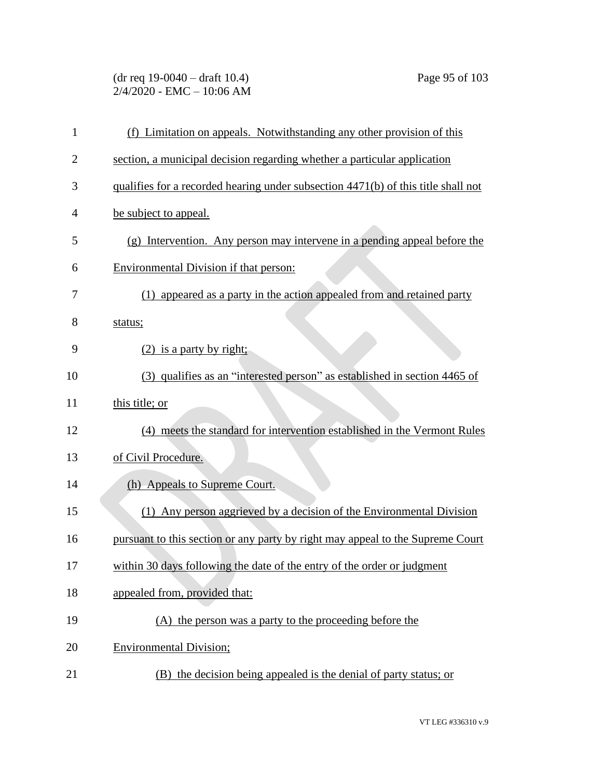# (dr req 19-0040 – draft 10.4) Page 95 of 103 2/4/2020 - EMC – 10:06 AM

| $\mathbf{1}$   | (f) Limitation on appeals. Notwithstanding any other provision of this            |
|----------------|-----------------------------------------------------------------------------------|
| $\overline{2}$ | section, a municipal decision regarding whether a particular application          |
| 3              | qualifies for a recorded hearing under subsection 4471(b) of this title shall not |
| $\overline{4}$ | be subject to appeal.                                                             |
| 5              | (g) Intervention. Any person may intervene in a pending appeal before the         |
| 6              | <b>Environmental Division if that person:</b>                                     |
| 7              | (1) appeared as a party in the action appealed from and retained party            |
| 8              | status;                                                                           |
| 9              | $(2)$ is a party by right;                                                        |
| 10             | (3) qualifies as an "interested person" as established in section 4465 of         |
| 11             | this title; or                                                                    |
| 12             | (4) meets the standard for intervention established in the Vermont Rules          |
| 13             | of Civil Procedure.                                                               |
| 14             | (h) Appeals to Supreme Court.                                                     |
| 15             | (1) Any person aggrieved by a decision of the Environmental Division              |
| 16             | pursuant to this section or any party by right may appeal to the Supreme Court    |
| 17             | within 30 days following the date of the entry of the order or judgment           |
| 18             | appealed from, provided that:                                                     |
| 19             | (A) the person was a party to the proceeding before the                           |
| 20             | <b>Environmental Division;</b>                                                    |
| 21             | (B) the decision being appealed is the denial of party status; or                 |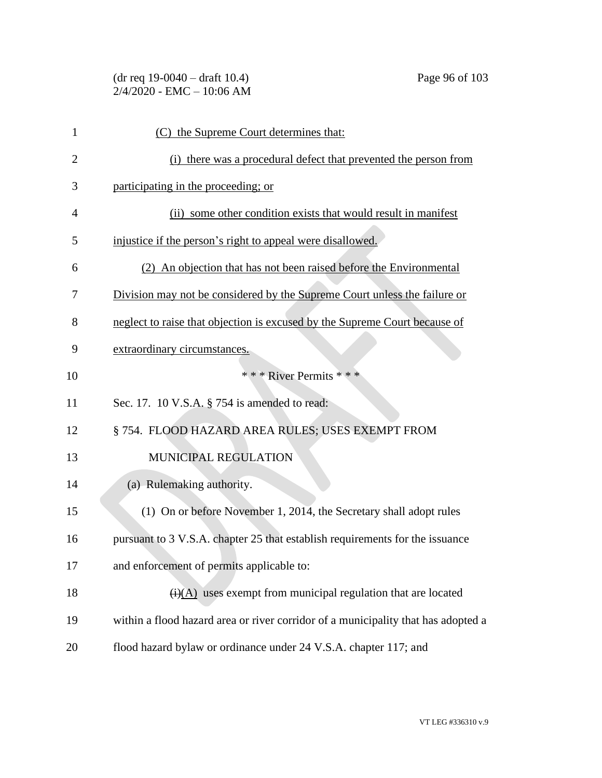| 1              | (C) the Supreme Court determines that:                                            |
|----------------|-----------------------------------------------------------------------------------|
| $\overline{2}$ | (i) there was a procedural defect that prevented the person from                  |
| 3              | participating in the proceeding; or                                               |
| $\overline{4}$ | (ii) some other condition exists that would result in manifest                    |
| 5              | injustice if the person's right to appeal were disallowed.                        |
| 6              | (2) An objection that has not been raised before the Environmental                |
| 7              | Division may not be considered by the Supreme Court unless the failure or         |
| 8              | neglect to raise that objection is excused by the Supreme Court because of        |
| 9              | extraordinary circumstances.                                                      |
| 10             | * * * River Permits * * *                                                         |
| 11             | Sec. 17. 10 V.S.A. § 754 is amended to read:                                      |
| 12             | § 754. FLOOD HAZARD AREA RULES; USES EXEMPT FROM                                  |
| 13             | MUNICIPAL REGULATION                                                              |
| 14             | (a) Rulemaking authority.                                                         |
| 15             | (1) On or before November 1, 2014, the Secretary shall adopt rules                |
| 16             | pursuant to 3 V.S.A. chapter 25 that establish requirements for the issuance      |
| 17             | and enforcement of permits applicable to:                                         |
| 18             | $\overline{(i)(A)}$ uses exempt from municipal regulation that are located        |
| 19             | within a flood hazard area or river corridor of a municipality that has adopted a |
| 20             | flood hazard bylaw or ordinance under 24 V.S.A. chapter 117; and                  |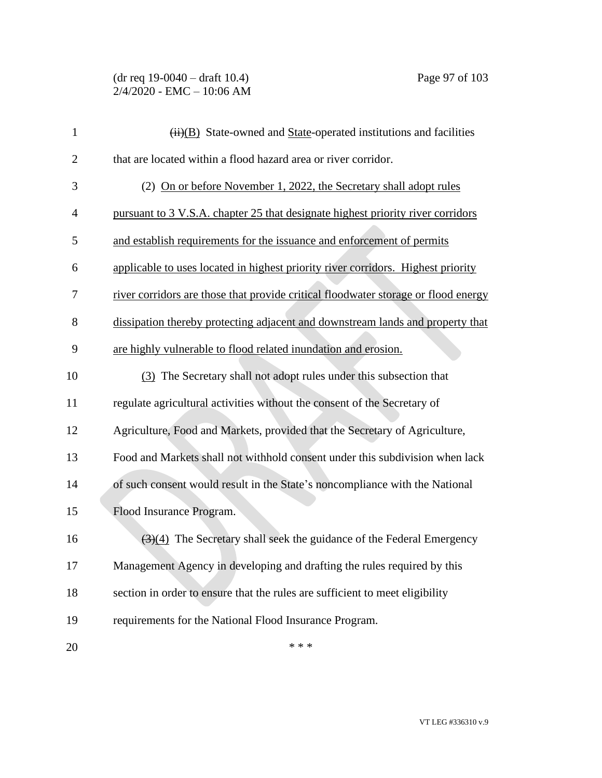| $\mathbf{1}$   | $\overline{(ii)(B)}$ State-owned and State-operated institutions and facilities           |
|----------------|-------------------------------------------------------------------------------------------|
| $\overline{c}$ | that are located within a flood hazard area or river corridor.                            |
| 3              | (2) On or before November 1, 2022, the Secretary shall adopt rules                        |
| 4              | pursuant to 3 V.S.A. chapter 25 that designate highest priority river corridors           |
| 5              | and establish requirements for the issuance and enforcement of permits                    |
| 6              | applicable to uses located in highest priority river corridors. Highest priority          |
| 7              | river corridors are those that provide critical floodwater storage or flood energy        |
| 8              | dissipation thereby protecting adjacent and downstream lands and property that            |
| 9              | are highly vulnerable to flood related inundation and erosion.                            |
| 10             | (3) The Secretary shall not adopt rules under this subsection that                        |
| 11             | regulate agricultural activities without the consent of the Secretary of                  |
| 12             | Agriculture, Food and Markets, provided that the Secretary of Agriculture,                |
| 13             | Food and Markets shall not withhold consent under this subdivision when lack              |
| 14             | of such consent would result in the State's noncompliance with the National               |
| 15             | Flood Insurance Program.                                                                  |
| 16             | $\left(\frac{3}{4}\right)$ The Secretary shall seek the guidance of the Federal Emergency |
| 17             | Management Agency in developing and drafting the rules required by this                   |
| 18             | section in order to ensure that the rules are sufficient to meet eligibility              |
| 19             | requirements for the National Flood Insurance Program.                                    |
| 20             | * * *                                                                                     |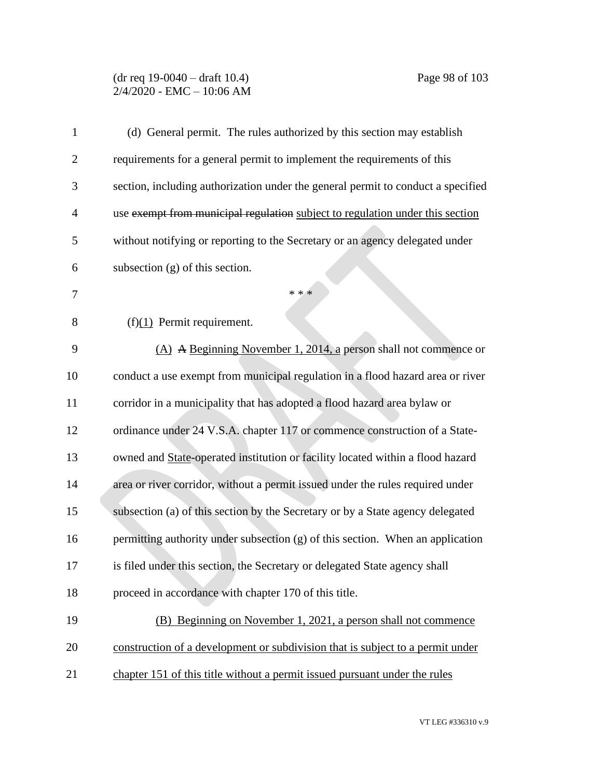#### (dr req 19-0040 – draft 10.4) Page 98 of 103 2/4/2020 - EMC – 10:06 AM

| $\mathbf{1}$   | (d) General permit. The rules authorized by this section may establish           |
|----------------|----------------------------------------------------------------------------------|
| $\overline{2}$ | requirements for a general permit to implement the requirements of this          |
| 3              | section, including authorization under the general permit to conduct a specified |
| $\overline{4}$ | use exempt from municipal regulation subject to regulation under this section    |
| 5              | without notifying or reporting to the Secretary or an agency delegated under     |
| 6              | subsection $(g)$ of this section.                                                |
| 7              | * * *                                                                            |
| 8              | $(f)(1)$ Permit requirement.                                                     |
| 9              | $(A)$ A Beginning November 1, 2014, a person shall not commence or               |
| 10             | conduct a use exempt from municipal regulation in a flood hazard area or river   |
| 11             | corridor in a municipality that has adopted a flood hazard area bylaw or         |
| 12             | ordinance under 24 V.S.A. chapter 117 or commence construction of a State-       |
| 13             | owned and State-operated institution or facility located within a flood hazard   |
| 14             | area or river corridor, without a permit issued under the rules required under   |
| 15             | subsection (a) of this section by the Secretary or by a State agency delegated   |
| 16             | permitting authority under subsection (g) of this section. When an application   |
| 17             | is filed under this section, the Secretary or delegated State agency shall       |
| 18             | proceed in accordance with chapter 170 of this title.                            |
| 19             | (B) Beginning on November 1, 2021, a person shall not commence                   |
| 20             | construction of a development or subdivision that is subject to a permit under   |
| 21             | chapter 151 of this title without a permit issued pursuant under the rules       |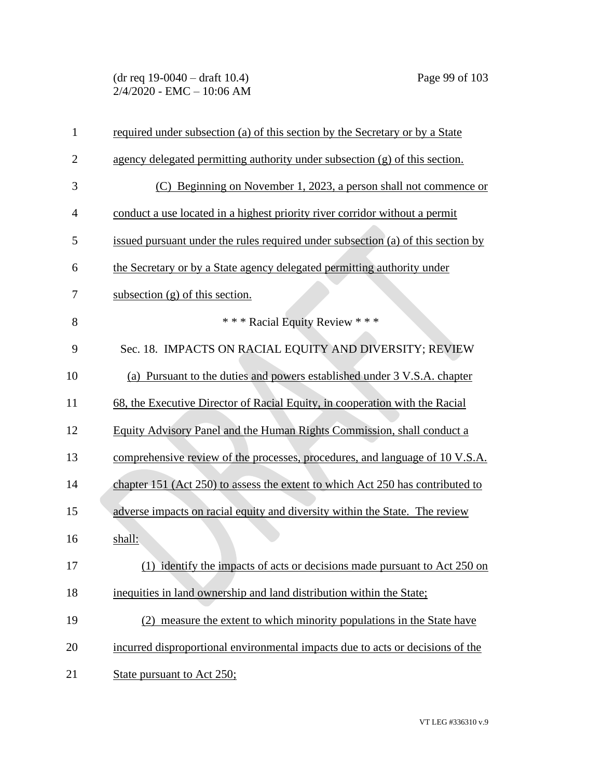(dr req 19-0040 – draft 10.4) Page 99 of 103 2/4/2020 - EMC – 10:06 AM

| $\mathbf{1}$   | required under subsection (a) of this section by the Secretary or by a State     |
|----------------|----------------------------------------------------------------------------------|
| $\overline{2}$ | agency delegated permitting authority under subsection (g) of this section.      |
| 3              | (C) Beginning on November 1, 2023, a person shall not commence or                |
| 4              | conduct a use located in a highest priority river corridor without a permit      |
| 5              | issued pursuant under the rules required under subsection (a) of this section by |
| 6              | the Secretary or by a State agency delegated permitting authority under          |
| 7              | subsection $(g)$ of this section.                                                |
| 8              | *** Racial Equity Review ***                                                     |
| 9              | Sec. 18. IMPACTS ON RACIAL EQUITY AND DIVERSITY; REVIEW                          |
| 10             | (a) Pursuant to the duties and powers established under 3 V.S.A. chapter         |
| 11             | 68, the Executive Director of Racial Equity, in cooperation with the Racial      |
| 12             | Equity Advisory Panel and the Human Rights Commission, shall conduct a           |
| 13             | comprehensive review of the processes, procedures, and language of 10 V.S.A.     |
| 14             | chapter 151 (Act 250) to assess the extent to which Act 250 has contributed to   |
| 15             | adverse impacts on racial equity and diversity within the State. The review      |
| 16             | shall:                                                                           |
| 17             | (1) identify the impacts of acts or decisions made pursuant to Act 250 on        |
| 18             | inequities in land ownership and land distribution within the State;             |
| 19             | (2) measure the extent to which minority populations in the State have           |
| 20             | incurred disproportional environmental impacts due to acts or decisions of the   |
| 21             | State pursuant to Act 250;                                                       |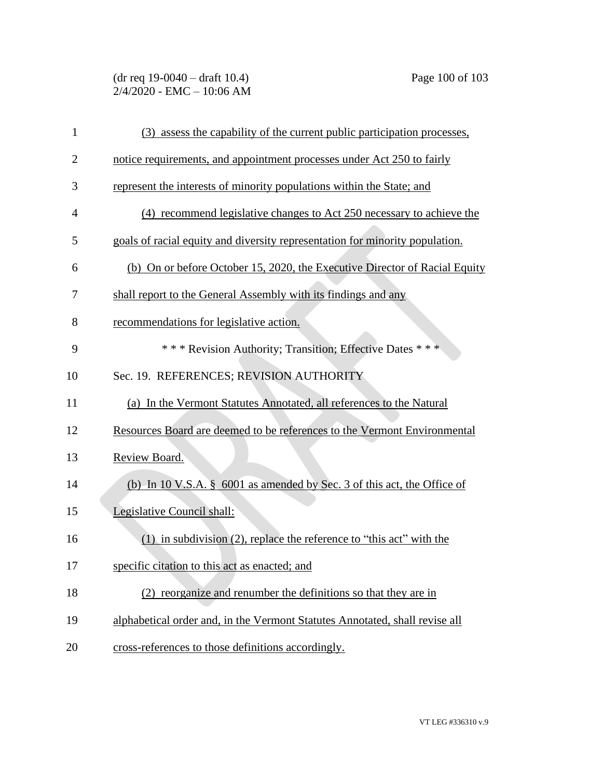# (dr req 19-0040 – draft 10.4) Page 100 of 103 2/4/2020 - EMC – 10:06 AM

| $\mathbf{1}$   | (3) assess the capability of the current public participation processes,     |
|----------------|------------------------------------------------------------------------------|
| $\overline{2}$ | notice requirements, and appointment processes under Act 250 to fairly       |
| 3              | represent the interests of minority populations within the State; and        |
| $\overline{4}$ | (4) recommend legislative changes to Act 250 necessary to achieve the        |
| 5              | goals of racial equity and diversity representation for minority population. |
| 6              | (b) On or before October 15, 2020, the Executive Director of Racial Equity   |
| 7              | shall report to the General Assembly with its findings and any               |
| 8              | recommendations for legislative action.                                      |
| 9              | *** Revision Authority; Transition; Effective Dates ***                      |
| 10             | Sec. 19. REFERENCES; REVISION AUTHORITY                                      |
| 11             | (a) In the Vermont Statutes Annotated, all references to the Natural         |
| 12             | Resources Board are deemed to be references to the Vermont Environmental     |
| 13             | Review Board.                                                                |
| 14             | (b) In 10 V.S.A. § 6001 as amended by Sec. 3 of this act, the Office of      |
| 15             | Legislative Council shall:                                                   |
| 16             | $(1)$ in subdivision $(2)$ , replace the reference to "this act" with the    |
| 17             | specific citation to this act as enacted; and                                |
| 18             | (2) reorganize and renumber the definitions so that they are in              |
| 19             | alphabetical order and, in the Vermont Statutes Annotated, shall revise all  |
| 20             | cross-references to those definitions accordingly.                           |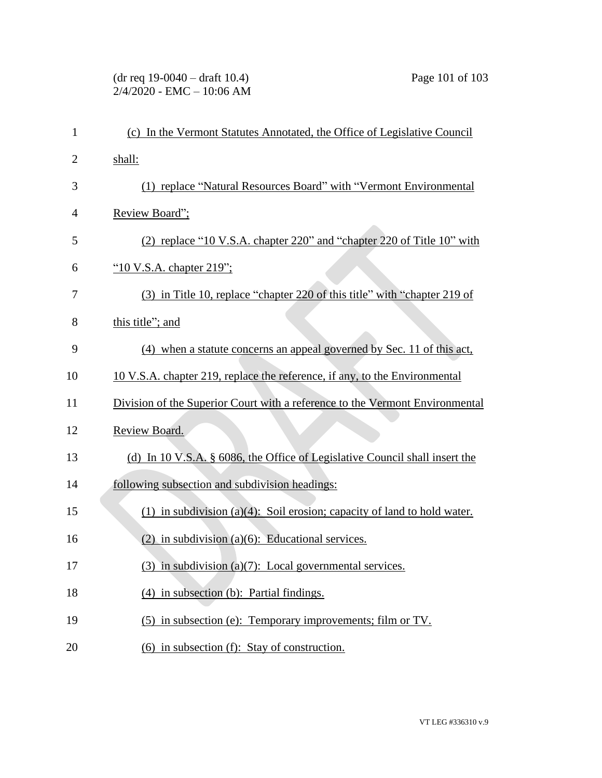# (dr req 19-0040 – draft 10.4) Page 101 of 103 2/4/2020 - EMC – 10:06 AM

| 1              | (c) In the Vermont Statutes Annotated, the Office of Legislative Council     |
|----------------|------------------------------------------------------------------------------|
| $\overline{2}$ | shall:                                                                       |
| 3              | (1) replace "Natural Resources Board" with "Vermont Environmental            |
| 4              | Review Board";                                                               |
| 5              | (2) replace "10 V.S.A. chapter 220" and "chapter 220 of Title 10" with       |
| 6              | "10 V.S.A. chapter 219";                                                     |
| 7              | (3) in Title 10, replace "chapter 220 of this title" with "chapter 219 of    |
| 8              | this title"; and                                                             |
| 9              | (4) when a statute concerns an appeal governed by Sec. 11 of this act,       |
| 10             | 10 V.S.A. chapter 219, replace the reference, if any, to the Environmental   |
| 11             | Division of the Superior Court with a reference to the Vermont Environmental |
| 12             | Review Board.                                                                |
| 13             | (d) In 10 V.S.A. § 6086, the Office of Legislative Council shall insert the  |
| 14             | following subsection and subdivision headings:                               |
| 15             | $(1)$ in subdivision (a)(4): Soil erosion; capacity of land to hold water.   |
| 16             | $(2)$ in subdivision $(a)(6)$ : Educational services.                        |
| 17             | $(3)$ in subdivision $(a)(7)$ : Local governmental services.                 |
| 18             | $(4)$ in subsection (b): Partial findings.                                   |
| 19             | (5) in subsection (e): Temporary improvements; film or TV.                   |
| 20             | $(6)$ in subsection $(f)$ : Stay of construction.                            |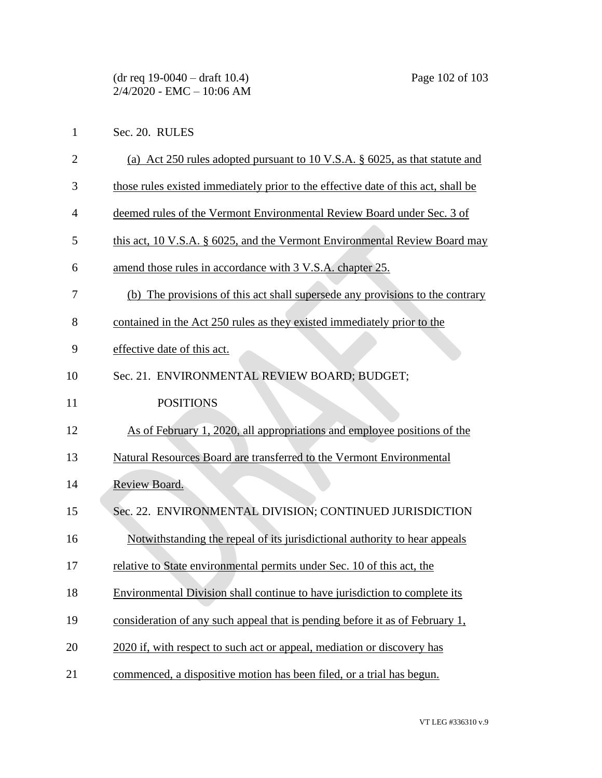Sec. 20. RULES

- (a) Act 250 rules adopted pursuant to 10 V.S.A. § 6025, as that statute and
- those rules existed immediately prior to the effective date of this act, shall be
- deemed rules of the Vermont Environmental Review Board under Sec. 3 of
- this act, 10 V.S.A. § 6025, and the Vermont Environmental Review Board may
- amend those rules in accordance with 3 V.S.A. chapter 25.
- (b) The provisions of this act shall supersede any provisions to the contrary
- contained in the Act 250 rules as they existed immediately prior to the
- effective date of this act.
- Sec. 21. ENVIRONMENTAL REVIEW BOARD; BUDGET;
- 11 POSITIONS
- As of February 1, 2020, all appropriations and employee positions of the
- Natural Resources Board are transferred to the Vermont Environmental
- Review Board.
- Sec. 22. ENVIRONMENTAL DIVISION; CONTINUED JURISDICTION
- Notwithstanding the repeal of its jurisdictional authority to hear appeals
- relative to State environmental permits under Sec. 10 of this act, the
- Environmental Division shall continue to have jurisdiction to complete its
- consideration of any such appeal that is pending before it as of February 1,
- 20 2020 if, with respect to such act or appeal, mediation or discovery has
- commenced, a dispositive motion has been filed, or a trial has begun.